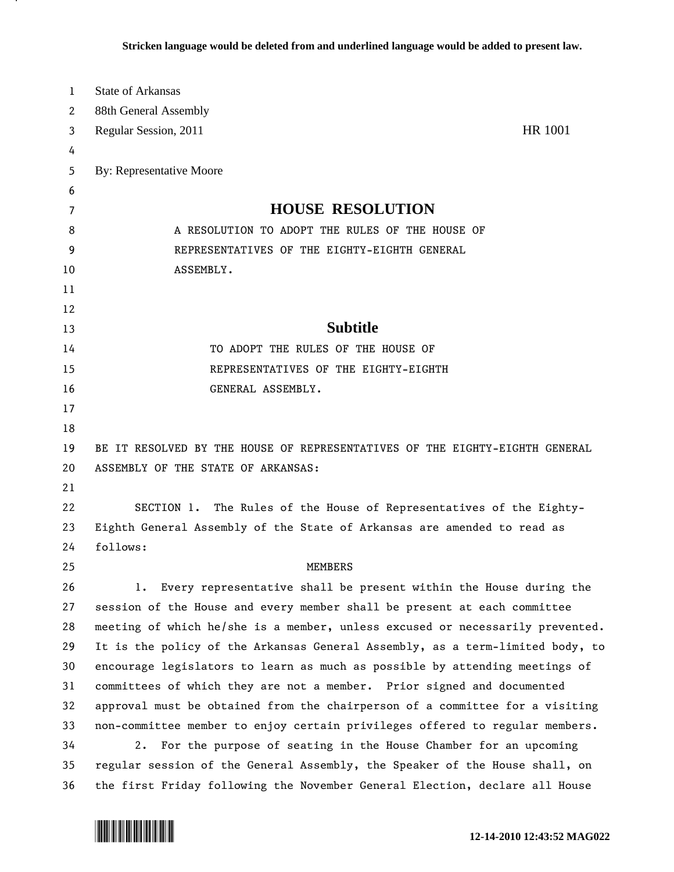| 1  | <b>State of Arkansas</b>                                                      |
|----|-------------------------------------------------------------------------------|
| 2  | 88th General Assembly                                                         |
| 3  | <b>HR 1001</b><br>Regular Session, 2011                                       |
| 4  |                                                                               |
| 5  | By: Representative Moore                                                      |
| 6  |                                                                               |
| 7  | <b>HOUSE RESOLUTION</b>                                                       |
| 8  | A RESOLUTION TO ADOPT THE RULES OF THE HOUSE OF                               |
| 9  | REPRESENTATIVES OF THE EIGHTY-EIGHTH GENERAL                                  |
| 10 | ASSEMBLY.                                                                     |
| 11 |                                                                               |
| 12 |                                                                               |
| 13 | <b>Subtitle</b>                                                               |
| 14 | TO ADOPT THE RULES OF THE HOUSE OF                                            |
| 15 | REPRESENTATIVES OF THE EIGHTY-EIGHTH                                          |
| 16 | GENERAL ASSEMBLY.                                                             |
| 17 |                                                                               |
| 18 |                                                                               |
| 19 | BE IT RESOLVED BY THE HOUSE OF REPRESENTATIVES OF THE EIGHTY-EIGHTH GENERAL   |
| 20 | ASSEMBLY OF THE STATE OF ARKANSAS:                                            |
| 21 |                                                                               |
| 22 | SECTION 1. The Rules of the House of Representatives of the Eighty-           |
| 23 | Eighth General Assembly of the State of Arkansas are amended to read as       |
| 24 | follows:                                                                      |
| 25 | <b>MEMBERS</b>                                                                |
| 26 | 1. Every representative shall be present within the House during the          |
| 27 | session of the House and every member shall be present at each committee      |
| 28 | meeting of which he/she is a member, unless excused or necessarily prevented. |
| 29 | It is the policy of the Arkansas General Assembly, as a term-limited body, to |
| 30 | encourage legislators to learn as much as possible by attending meetings of   |
| 31 | committees of which they are not a member. Prior signed and documented        |
| 32 | approval must be obtained from the chairperson of a committee for a visiting  |
| 33 | non-committee member to enjoy certain privileges offered to regular members.  |
| 34 | 2. For the purpose of seating in the House Chamber for an upcoming            |
| 35 | regular session of the General Assembly, the Speaker of the House shall, on   |
| 36 | the first Friday following the November General Election, declare all House   |



.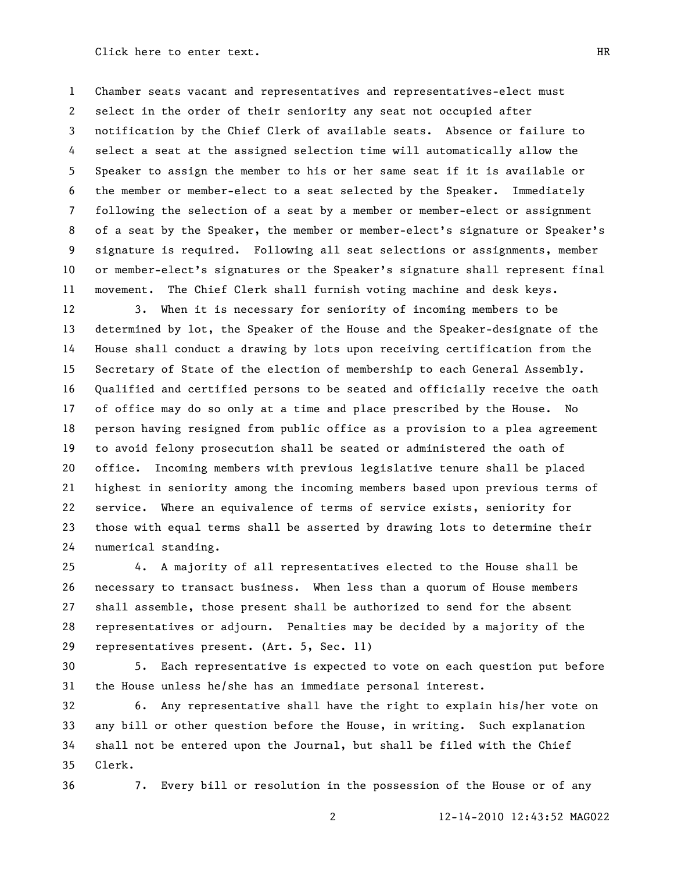Chamber seats vacant and representatives and representatives-elect must select in the order of their seniority any seat not occupied after notification by the Chief Clerk of available seats. Absence or failure to select a seat at the assigned selection time will automatically allow the Speaker to assign the member to his or her same seat if it is available or the member or member-elect to a seat selected by the Speaker. Immediately following the selection of a seat by a member or member-elect or assignment of a seat by the Speaker, the member or member-elect's signature or Speaker's signature is required. Following all seat selections or assignments, member or member-elect's signatures or the Speaker's signature shall represent final movement. The Chief Clerk shall furnish voting machine and desk keys.

 3. When it is necessary for seniority of incoming members to be determined by lot, the Speaker of the House and the Speaker-designate of the House shall conduct a drawing by lots upon receiving certification from the Secretary of State of the election of membership to each General Assembly. Qualified and certified persons to be seated and officially receive the oath of office may do so only at a time and place prescribed by the House. No person having resigned from public office as a provision to a plea agreement to avoid felony prosecution shall be seated or administered the oath of office. Incoming members with previous legislative tenure shall be placed highest in seniority among the incoming members based upon previous terms of service. Where an equivalence of terms of service exists, seniority for those with equal terms shall be asserted by drawing lots to determine their numerical standing.

 4. A majority of all representatives elected to the House shall be necessary to transact business. When less than a quorum of House members shall assemble, those present shall be authorized to send for the absent representatives or adjourn. Penalties may be decided by a majority of the representatives present. (Art. 5, Sec. 11)

 5. Each representative is expected to vote on each question put before the House unless he/she has an immediate personal interest.

 6. Any representative shall have the right to explain his/her vote on any bill or other question before the House, in writing. Such explanation shall not be entered upon the Journal, but shall be filed with the Chief Clerk.

7. Every bill or resolution in the possession of the House or of any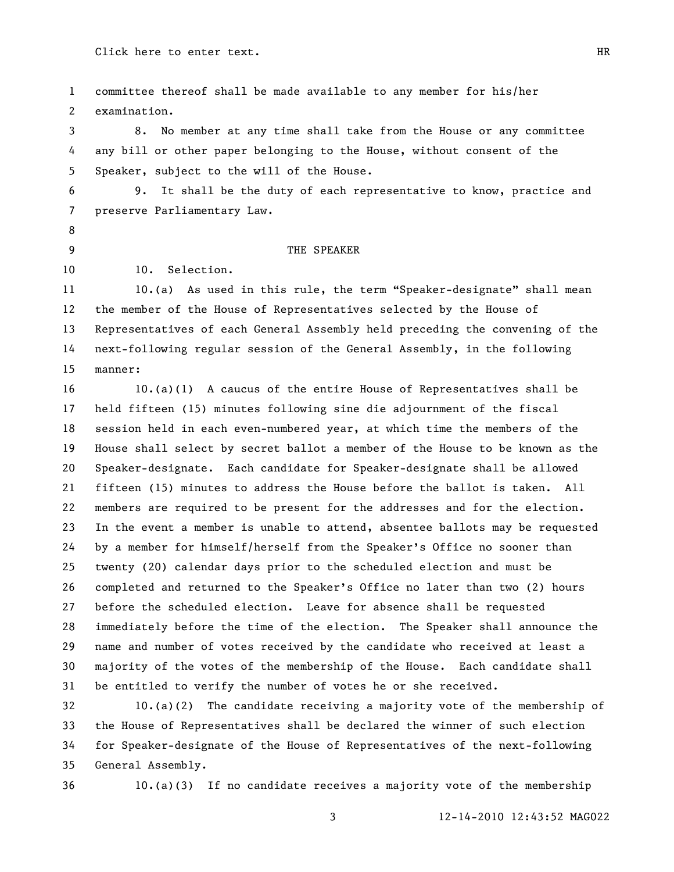committee thereof shall be made available to any member for his/her examination.

 8. No member at any time shall take from the House or any committee any bill or other paper belonging to the House, without consent of the Speaker, subject to the will of the House.

 9. It shall be the duty of each representative to know, practice and preserve Parliamentary Law.

## 9 THE SPEAKER

10. Selection.

11 10.(a) As used in this rule, the term "Speaker-designate" shall mean the member of the House of Representatives selected by the House of Representatives of each General Assembly held preceding the convening of the next-following regular session of the General Assembly, in the following

manner:

 10.(a)(1) A caucus of the entire House of Representatives shall be held fifteen (15) minutes following sine die adjournment of the fiscal session held in each even-numbered year, at which time the members of the House shall select by secret ballot a member of the House to be known as the Speaker-designate. Each candidate for Speaker-designate shall be allowed fifteen (15) minutes to address the House before the ballot is taken. All members are required to be present for the addresses and for the election. In the event a member is unable to attend, absentee ballots may be requested by a member for himself/herself from the Speaker's Office no sooner than twenty (20) calendar days prior to the scheduled election and must be completed and returned to the Speaker's Office no later than two (2) hours before the scheduled election. Leave for absence shall be requested immediately before the time of the election. The Speaker shall announce the name and number of votes received by the candidate who received at least a majority of the votes of the membership of the House. Each candidate shall be entitled to verify the number of votes he or she received.

 10.(a)(2) The candidate receiving a majority vote of the membership of the House of Representatives shall be declared the winner of such election for Speaker-designate of the House of Representatives of the next-following General Assembly.

10.(a)(3) If no candidate receives a majority vote of the membership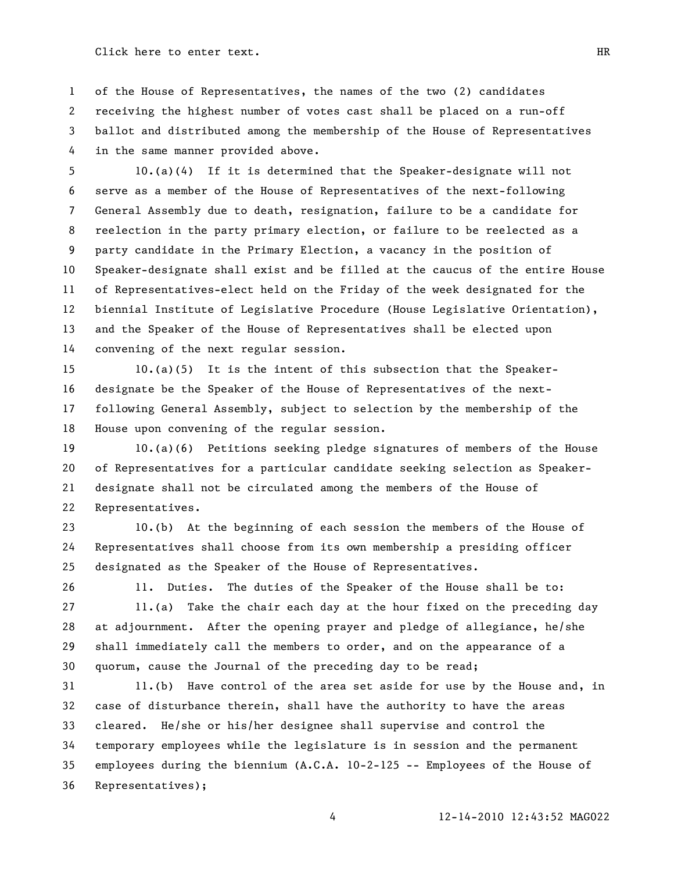of the House of Representatives, the names of the two (2) candidates receiving the highest number of votes cast shall be placed on a run-off ballot and distributed among the membership of the House of Representatives in the same manner provided above.

 10.(a)(4) If it is determined that the Speaker-designate will not serve as a member of the House of Representatives of the next-following General Assembly due to death, resignation, failure to be a candidate for reelection in the party primary election, or failure to be reelected as a party candidate in the Primary Election, a vacancy in the position of Speaker-designate shall exist and be filled at the caucus of the entire House of Representatives-elect held on the Friday of the week designated for the biennial Institute of Legislative Procedure (House Legislative Orientation), and the Speaker of the House of Representatives shall be elected upon convening of the next regular session.

 10.(a)(5) It is the intent of this subsection that the Speaker- designate be the Speaker of the House of Representatives of the next- following General Assembly, subject to selection by the membership of the House upon convening of the regular session.

 10.(a)(6) Petitions seeking pledge signatures of members of the House of Representatives for a particular candidate seeking selection as Speaker- designate shall not be circulated among the members of the House of Representatives.

 10.(b) At the beginning of each session the members of the House of Representatives shall choose from its own membership a presiding officer designated as the Speaker of the House of Representatives.

11. Duties. The duties of the Speaker of the House shall be to:

 11.(a) Take the chair each day at the hour fixed on the preceding day at adjournment. After the opening prayer and pledge of allegiance, he/she shall immediately call the members to order, and on the appearance of a quorum, cause the Journal of the preceding day to be read;

 11.(b) Have control of the area set aside for use by the House and, in case of disturbance therein, shall have the authority to have the areas cleared. He/she or his/her designee shall supervise and control the temporary employees while the legislature is in session and the permanent employees during the biennium (A.C.A. 10-2-125 -- Employees of the House of Representatives);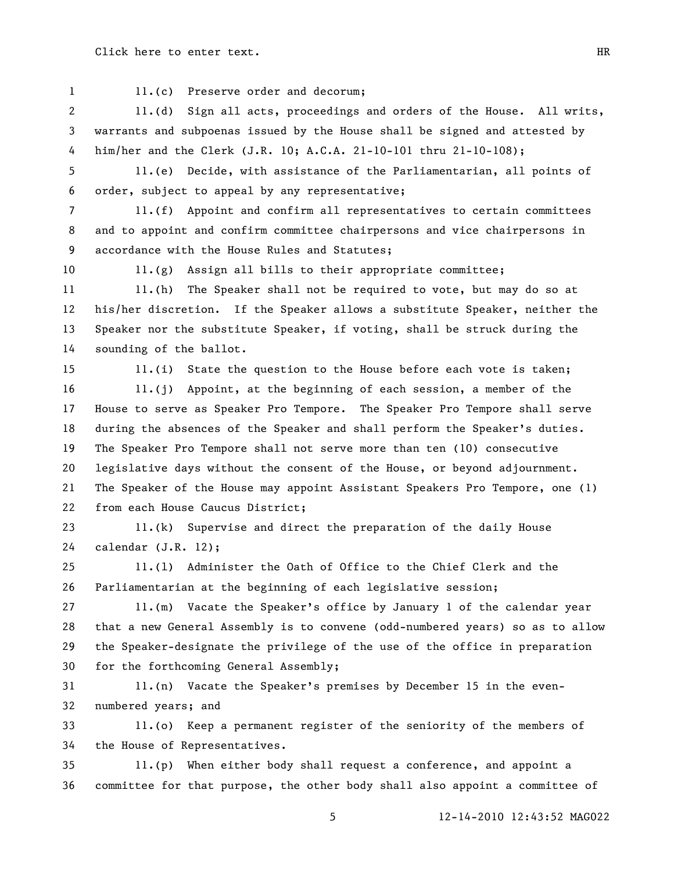1 11.(c) Preserve order and decorum;

 11.(d) Sign all acts, proceedings and orders of the House. All writs, warrants and subpoenas issued by the House shall be signed and attested by him/her and the Clerk (J.R. 10; A.C.A. 21-10-101 thru 21-10-108);

 11.(e) Decide, with assistance of the Parliamentarian, all points of order, subject to appeal by any representative;

 11.(f) Appoint and confirm all representatives to certain committees and to appoint and confirm committee chairpersons and vice chairpersons in accordance with the House Rules and Statutes;

11.(g) Assign all bills to their appropriate committee;

11 11.(h) The Speaker shall not be required to vote, but may do so at his/her discretion. If the Speaker allows a substitute Speaker, neither the Speaker nor the substitute Speaker, if voting, shall be struck during the sounding of the ballot.

11.(i) State the question to the House before each vote is taken;

 11.(j) Appoint, at the beginning of each session, a member of the House to serve as Speaker Pro Tempore. The Speaker Pro Tempore shall serve during the absences of the Speaker and shall perform the Speaker's duties. The Speaker Pro Tempore shall not serve more than ten (10) consecutive legislative days without the consent of the House, or beyond adjournment. The Speaker of the House may appoint Assistant Speakers Pro Tempore, one (1) from each House Caucus District;

 11.(k) Supervise and direct the preparation of the daily House calendar (J.R. 12);

 11.(l) Administer the Oath of Office to the Chief Clerk and the Parliamentarian at the beginning of each legislative session;

 11.(m) Vacate the Speaker's office by January 1 of the calendar year that a new General Assembly is to convene (odd-numbered years) so as to allow the Speaker-designate the privilege of the use of the office in preparation for the forthcoming General Assembly;

 11.(n) Vacate the Speaker's premises by December 15 in the even-numbered years; and

 11.(o) Keep a permanent register of the seniority of the members of the House of Representatives.

 11.(p) When either body shall request a conference, and appoint a committee for that purpose, the other body shall also appoint a committee of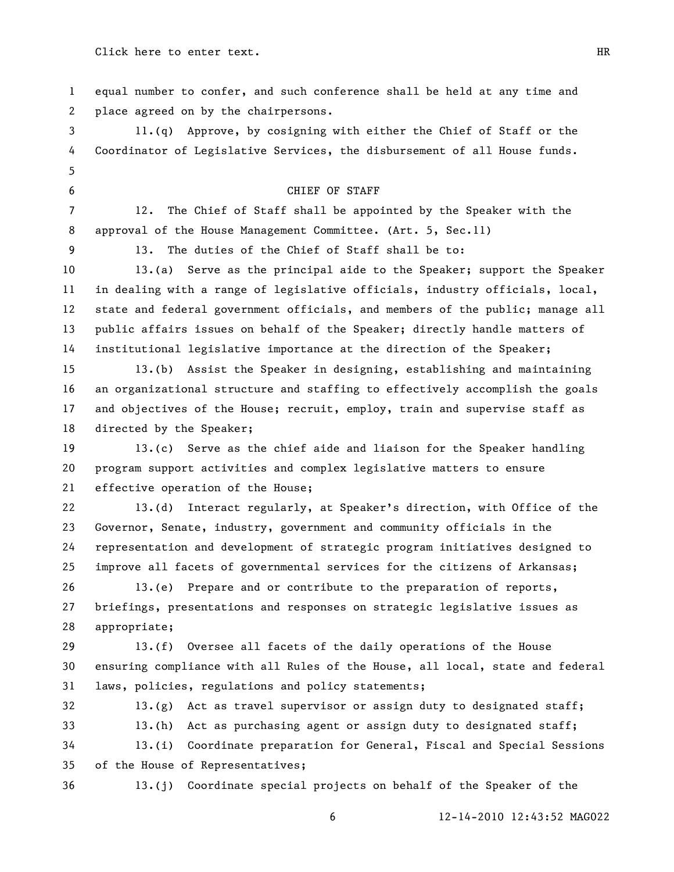| 1                        | equal number to confer, and such conference shall be held at any time and     |  |
|--------------------------|-------------------------------------------------------------------------------|--|
| 2                        | place agreed on by the chairpersons.                                          |  |
| 3                        | 11.(q) Approve, by cosigning with either the Chief of Staff or the            |  |
| 4                        | Coordinator of Legislative Services, the disbursement of all House funds.     |  |
| 5                        |                                                                               |  |
| 6                        | CHIEF OF STAFF                                                                |  |
| $\overline{\phantom{a}}$ | 12.<br>The Chief of Staff shall be appointed by the Speaker with the          |  |
| 8                        | approval of the House Management Committee. (Art. 5, Sec.11)                  |  |
| 9                        | 13. The duties of the Chief of Staff shall be to:                             |  |
| 10                       | 13.(a) Serve as the principal aide to the Speaker; support the Speaker        |  |
| 11                       | in dealing with a range of legislative officials, industry officials, local,  |  |
| 12                       | state and federal government officials, and members of the public; manage all |  |
| 13                       | public affairs issues on behalf of the Speaker; directly handle matters of    |  |
| 14                       | institutional legislative importance at the direction of the Speaker;         |  |
| 15                       | 13.(b) Assist the Speaker in designing, establishing and maintaining          |  |
| 16                       | an organizational structure and staffing to effectively accomplish the goals  |  |
| 17                       | and objectives of the House; recruit, employ, train and supervise staff as    |  |
| 18                       | directed by the Speaker;                                                      |  |
| 19                       | 13.(c) Serve as the chief aide and liaison for the Speaker handling           |  |
| 20                       | program support activities and complex legislative matters to ensure          |  |
| 21                       | effective operation of the House;                                             |  |
| 22                       | 13.(d) Interact regularly, at Speaker's direction, with Office of the         |  |
| 23                       | Governor, Senate, industry, government and community officials in the         |  |
| 24                       | representation and development of strategic program initiatives designed to   |  |
| 25                       | improve all facets of governmental services for the citizens of Arkansas;     |  |
| 26                       | 13.(e) Prepare and or contribute to the preparation of reports,               |  |
| 27                       | briefings, presentations and responses on strategic legislative issues as     |  |
| 28                       | appropriate;                                                                  |  |
| 29                       | Oversee all facets of the daily operations of the House<br>13. (f)            |  |
| 30                       | ensuring compliance with all Rules of the House, all local, state and federal |  |
| 31                       | laws, policies, regulations and policy statements;                            |  |
| 32                       | Act as travel supervisor or assign duty to designated staff;<br>13.(g)        |  |
| 33                       | 13.(h)<br>Act as purchasing agent or assign duty to designated staff;         |  |
| 34                       | 13.(i)<br>Coordinate preparation for General, Fiscal and Special Sessions     |  |
| 35                       | of the House of Representatives;                                              |  |
| 36                       | Coordinate special projects on behalf of the Speaker of the<br>13.(j)         |  |
|                          | 12-14-2010 12:43:52 MAG022<br>6                                               |  |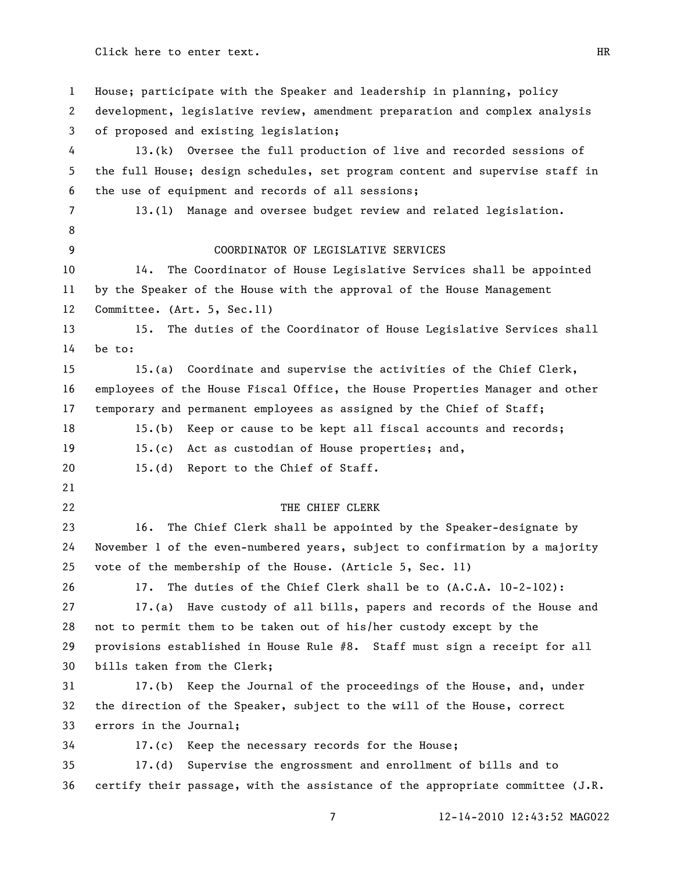House; participate with the Speaker and leadership in planning, policy development, legislative review, amendment preparation and complex analysis of proposed and existing legislation; 13.(k) Oversee the full production of live and recorded sessions of the full House; design schedules, set program content and supervise staff in the use of equipment and records of all sessions; 13.(l) Manage and oversee budget review and related legislation. 9 COORDINATOR OF LEGISLATIVE SERVICES 14. The Coordinator of House Legislative Services shall be appointed by the Speaker of the House with the approval of the House Management Committee. (Art. 5, Sec.11) 15. The duties of the Coordinator of House Legislative Services shall be to: 15.(a) Coordinate and supervise the activities of the Chief Clerk, employees of the House Fiscal Office, the House Properties Manager and other temporary and permanent employees as assigned by the Chief of Staff; 18 15.(b) Keep or cause to be kept all fiscal accounts and records; 15.(c) Act as custodian of House properties; and, 20 15.(d) Report to the Chief of Staff. 22 THE CHIEF CLERK 16. The Chief Clerk shall be appointed by the Speaker-designate by November 1 of the even-numbered years, subject to confirmation by a majority vote of the membership of the House. (Article 5, Sec. 11) 17. The duties of the Chief Clerk shall be to (A.C.A. 10-2-102): 17.(a) Have custody of all bills, papers and records of the House and not to permit them to be taken out of his/her custody except by the provisions established in House Rule #8. Staff must sign a receipt for all bills taken from the Clerk; 17.(b) Keep the Journal of the proceedings of the House, and, under the direction of the Speaker, subject to the will of the House, correct errors in the Journal; 17.(c) Keep the necessary records for the House; 17.(d) Supervise the engrossment and enrollment of bills and to certify their passage, with the assistance of the appropriate committee (J.R.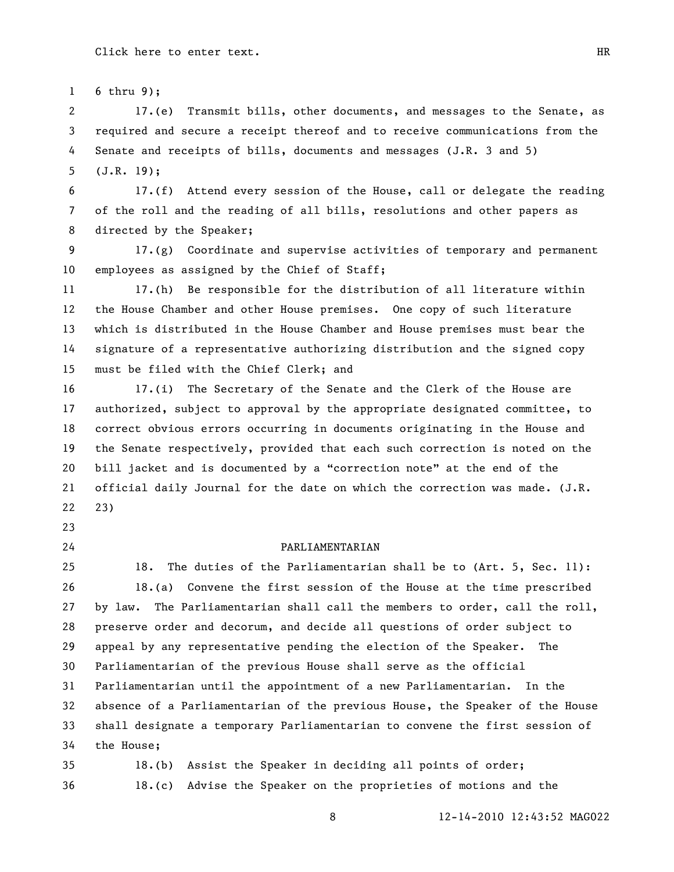6 thru 9);

 17.(e) Transmit bills, other documents, and messages to the Senate, as required and secure a receipt thereof and to receive communications from the Senate and receipts of bills, documents and messages (J.R. 3 and 5) (J.R. 19);

 17.(f) Attend every session of the House, call or delegate the reading of the roll and the reading of all bills, resolutions and other papers as directed by the Speaker;

 17.(g) Coordinate and supervise activities of temporary and permanent employees as assigned by the Chief of Staff;

 17.(h) Be responsible for the distribution of all literature within the House Chamber and other House premises. One copy of such literature which is distributed in the House Chamber and House premises must bear the signature of a representative authorizing distribution and the signed copy must be filed with the Chief Clerk; and

 17.(i) The Secretary of the Senate and the Clerk of the House are authorized, subject to approval by the appropriate designated committee, to correct obvious errors occurring in documents originating in the House and the Senate respectively, provided that each such correction is noted on the 20 bill jacket and is documented by a "correction note" at the end of the official daily Journal for the date on which the correction was made. (J.R. 23)

24 PARLIAMENTARIAN

 18. The duties of the Parliamentarian shall be to (Art. 5, Sec. 11): 18.(a) Convene the first session of the House at the time prescribed by law. The Parliamentarian shall call the members to order, call the roll, preserve order and decorum, and decide all questions of order subject to appeal by any representative pending the election of the Speaker. The Parliamentarian of the previous House shall serve as the official Parliamentarian until the appointment of a new Parliamentarian. In the absence of a Parliamentarian of the previous House, the Speaker of the House shall designate a temporary Parliamentarian to convene the first session of the House;

 18.(b) Assist the Speaker in deciding all points of order; 18.(c) Advise the Speaker on the proprieties of motions and the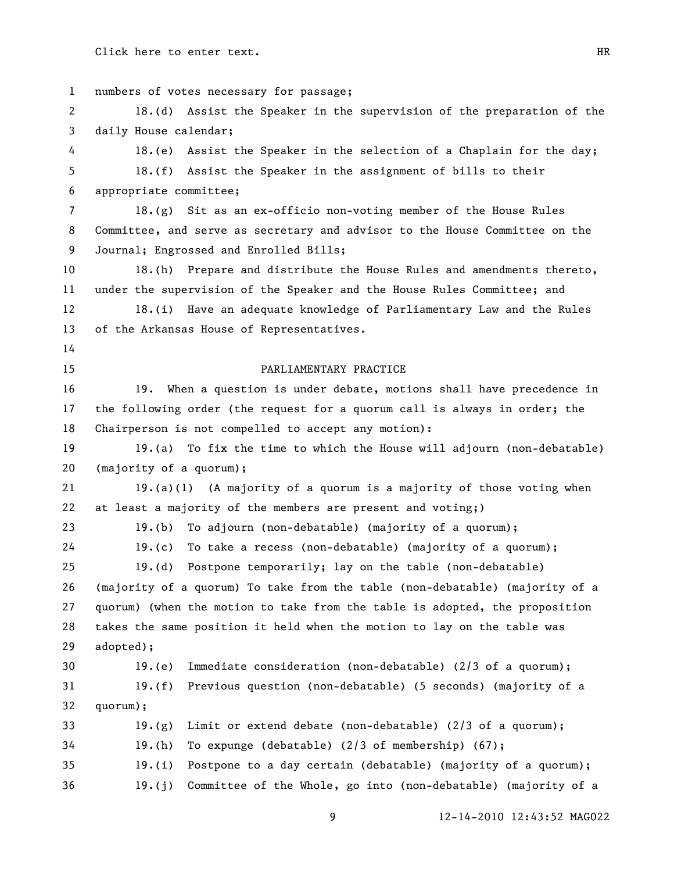| $\mathbf{1}$ | numbers of votes necessary for passage;                                      |  |  |
|--------------|------------------------------------------------------------------------------|--|--|
| 2            | 18.(d) Assist the Speaker in the supervision of the preparation of the       |  |  |
| 3            | daily House calendar;                                                        |  |  |
| 4            | 18.(e) Assist the Speaker in the selection of a Chaplain for the day;        |  |  |
| 5            | 18.(f) Assist the Speaker in the assignment of bills to their                |  |  |
| 6            | appropriate committee;                                                       |  |  |
| 7            | $18.(g)$ Sit as an ex-officio non-voting member of the House Rules           |  |  |
| 8            | Committee, and serve as secretary and advisor to the House Committee on the  |  |  |
| 9            | Journal; Engrossed and Enrolled Bills;                                       |  |  |
| 10           | 18.(h) Prepare and distribute the House Rules and amendments thereto,        |  |  |
| 11           | under the supervision of the Speaker and the House Rules Committee; and      |  |  |
| 12           | 18.(i) Have an adequate knowledge of Parliamentary Law and the Rules         |  |  |
| 13           | of the Arkansas House of Representatives.                                    |  |  |
| 14           |                                                                              |  |  |
| 15           | PARLIAMENTARY PRACTICE                                                       |  |  |
| 16           | When a question is under debate, motions shall have precedence in<br>19.     |  |  |
| 17           | the following order (the request for a quorum call is always in order; the   |  |  |
| 18           | Chairperson is not compelled to accept any motion):                          |  |  |
| 19           | 19.(a) To fix the time to which the House will adjourn (non-debatable)       |  |  |
| 20           | (majority of a quorum);                                                      |  |  |
| 21           | $19.(a)(1)$ (A majority of a quorum is a majority of those voting when       |  |  |
| 22           | at least a majority of the members are present and voting;)                  |  |  |
| 23           | 19.(b) To adjourn (non-debatable) (majority of a quorum);                    |  |  |
| 24           | 19.(c) To take a recess (non-debatable) (majority of a quorum);              |  |  |
| 25           | 19.(d) Postpone temporarily; lay on the table (non-debatable)                |  |  |
| 26           | (majority of a quorum) To take from the table (non-debatable) (majority of a |  |  |
| 27           | quorum) (when the motion to take from the table is adopted, the proposition  |  |  |
| 28           | takes the same position it held when the motion to lay on the table was      |  |  |
| 29           | adopted);                                                                    |  |  |
| 30           | Immediate consideration (non-debatable) (2/3 of a quorum);<br>19.(e)         |  |  |
| 31           | 19.(f)<br>Previous question (non-debatable) (5 seconds) (majority of a       |  |  |
| 32           | quorum);                                                                     |  |  |
| 33           | Limit or extend debate (non-debatable) (2/3 of a quorum);<br>19.(g)          |  |  |
| 34           | 19.(h)<br>To expunge (debatable) $(2/3$ of membership) $(67)$ ;              |  |  |
| 35           | 19.(i)<br>Postpone to a day certain (debatable) (majority of a quorum);      |  |  |
| 36           | 19.(j)<br>Committee of the Whole, go into (non-debatable) (majority of a     |  |  |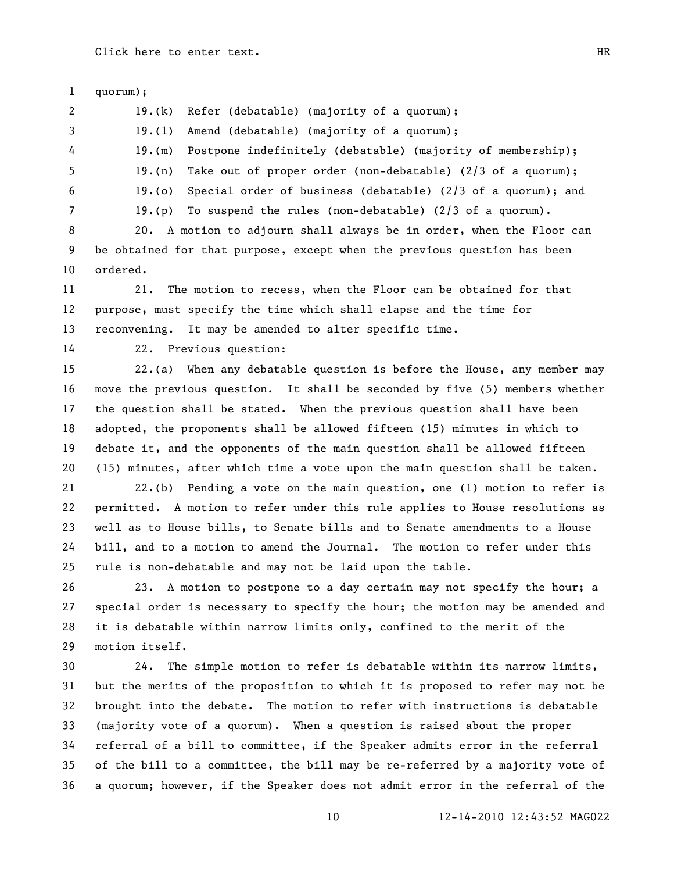quorum); 19.(k) Refer (debatable) (majority of a quorum); 19.(l) Amend (debatable) (majority of a quorum); 19.(m) Postpone indefinitely (debatable) (majority of membership); 19.(n) Take out of proper order (non-debatable) (2/3 of a quorum); 19.(o) Special order of business (debatable) (2/3 of a quorum); and 19.(p) To suspend the rules (non-debatable) (2/3 of a quorum). 20. A motion to adjourn shall always be in order, when the Floor can be obtained for that purpose, except when the previous question has been ordered. 21. The motion to recess, when the Floor can be obtained for that purpose, must specify the time which shall elapse and the time for reconvening. It may be amended to alter specific time. 22. Previous question: 22.(a) When any debatable question is before the House, any member may move the previous question. It shall be seconded by five (5) members whether the question shall be stated. When the previous question shall have been adopted, the proponents shall be allowed fifteen (15) minutes in which to debate it, and the opponents of the main question shall be allowed fifteen (15) minutes, after which time a vote upon the main question shall be taken. 22.(b) Pending a vote on the main question, one (1) motion to refer is

 permitted. A motion to refer under this rule applies to House resolutions as well as to House bills, to Senate bills and to Senate amendments to a House bill, and to a motion to amend the Journal. The motion to refer under this rule is non-debatable and may not be laid upon the table.

 23. A motion to postpone to a day certain may not specify the hour; a special order is necessary to specify the hour; the motion may be amended and it is debatable within narrow limits only, confined to the merit of the motion itself.

 24. The simple motion to refer is debatable within its narrow limits, but the merits of the proposition to which it is proposed to refer may not be brought into the debate. The motion to refer with instructions is debatable (majority vote of a quorum). When a question is raised about the proper referral of a bill to committee, if the Speaker admits error in the referral of the bill to a committee, the bill may be re-referred by a majority vote of a quorum; however, if the Speaker does not admit error in the referral of the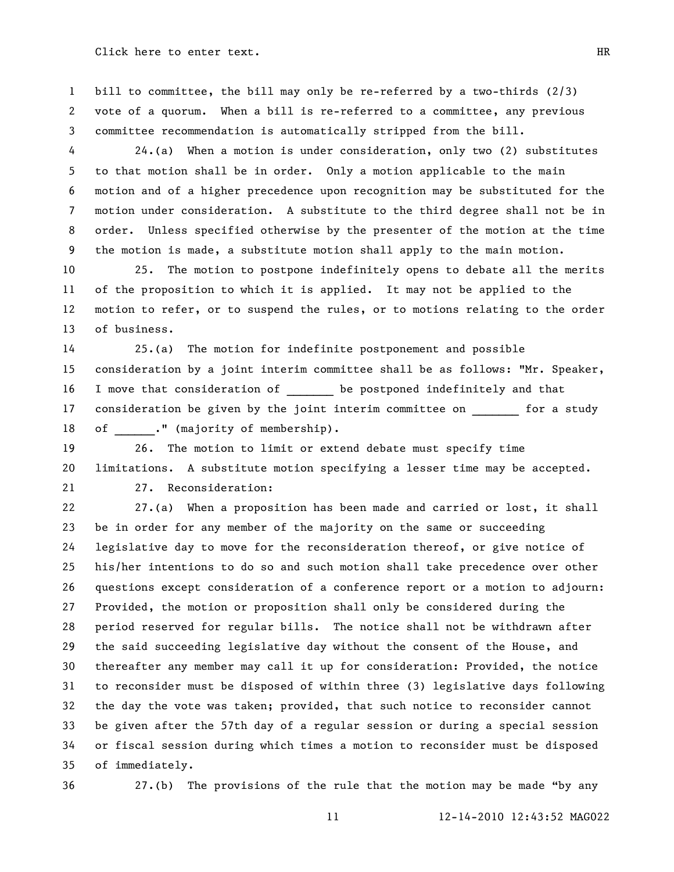bill to committee, the bill may only be re-referred by a two-thirds (2/3) vote of a quorum. When a bill is re-referred to a committee, any previous committee recommendation is automatically stripped from the bill.

 24.(a) When a motion is under consideration, only two (2) substitutes to that motion shall be in order. Only a motion applicable to the main motion and of a higher precedence upon recognition may be substituted for the motion under consideration. A substitute to the third degree shall not be in order. Unless specified otherwise by the presenter of the motion at the time the motion is made, a substitute motion shall apply to the main motion.

 25. The motion to postpone indefinitely opens to debate all the merits of the proposition to which it is applied. It may not be applied to the motion to refer, or to suspend the rules, or to motions relating to the order of business.

 25.(a) The motion for indefinite postponement and possible consideration by a joint interim committee shall be as follows: "Mr. Speaker, 16 I move that consideration of be postponed indefinitely and that 17 consideration be given by the joint interim committee on for a study 18 of ." (majority of membership).

 26. The motion to limit or extend debate must specify time limitations. A substitute motion specifying a lesser time may be accepted. 27. Reconsideration:

 27.(a) When a proposition has been made and carried or lost, it shall be in order for any member of the majority on the same or succeeding legislative day to move for the reconsideration thereof, or give notice of his/her intentions to do so and such motion shall take precedence over other questions except consideration of a conference report or a motion to adjourn: Provided, the motion or proposition shall only be considered during the period reserved for regular bills. The notice shall not be withdrawn after the said succeeding legislative day without the consent of the House, and thereafter any member may call it up for consideration: Provided, the notice to reconsider must be disposed of within three (3) legislative days following the day the vote was taken; provided, that such notice to reconsider cannot be given after the 57th day of a regular session or during a special session or fiscal session during which times a motion to reconsider must be disposed of immediately.

36 27.(b) The provisions of the rule that the motion may be made "by any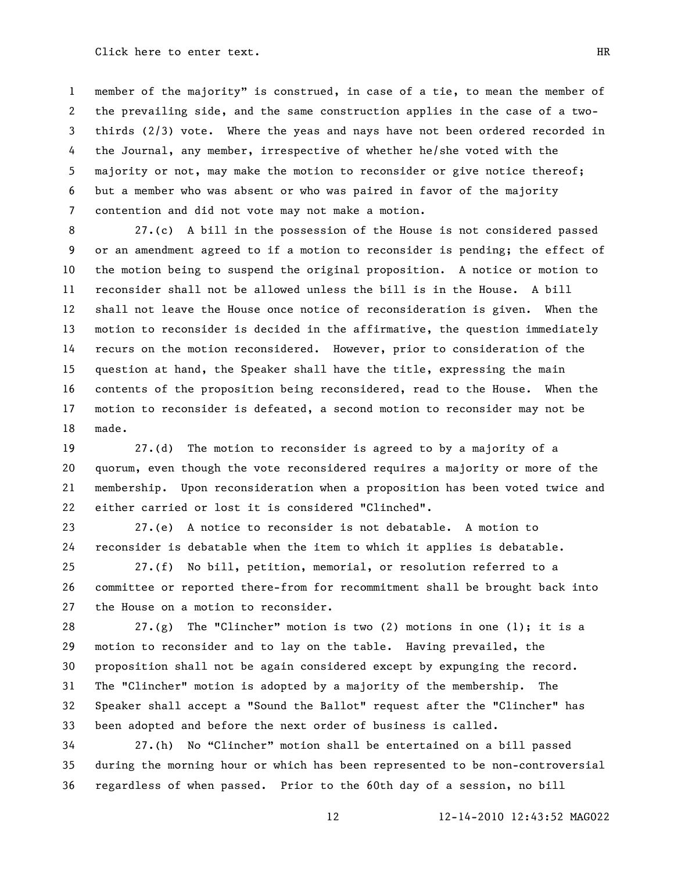1 member of the majority" is construed, in case of a tie, to mean the member of the prevailing side, and the same construction applies in the case of a two- thirds (2/3) vote. Where the yeas and nays have not been ordered recorded in the Journal, any member, irrespective of whether he/she voted with the majority or not, may make the motion to reconsider or give notice thereof; but a member who was absent or who was paired in favor of the majority contention and did not vote may not make a motion.

 27.(c) A bill in the possession of the House is not considered passed or an amendment agreed to if a motion to reconsider is pending; the effect of the motion being to suspend the original proposition. A notice or motion to reconsider shall not be allowed unless the bill is in the House. A bill shall not leave the House once notice of reconsideration is given. When the motion to reconsider is decided in the affirmative, the question immediately recurs on the motion reconsidered. However, prior to consideration of the question at hand, the Speaker shall have the title, expressing the main contents of the proposition being reconsidered, read to the House. When the motion to reconsider is defeated, a second motion to reconsider may not be made.

 27.(d) The motion to reconsider is agreed to by a majority of a quorum, even though the vote reconsidered requires a majority or more of the membership. Upon reconsideration when a proposition has been voted twice and either carried or lost it is considered "Clinched".

 27.(e) A notice to reconsider is not debatable. A motion to reconsider is debatable when the item to which it applies is debatable.

 27.(f) No bill, petition, memorial, or resolution referred to a committee or reported there-from for recommitment shall be brought back into the House on a motion to reconsider.

28 27.(g) The "Clincher" motion is two (2) motions in one (1); it is a motion to reconsider and to lay on the table. Having prevailed, the proposition shall not be again considered except by expunging the record. The "Clincher" motion is adopted by a majority of the membership. The Speaker shall accept a "Sound the Ballot" request after the "Clincher" has been adopted and before the next order of business is called.

34 27.(h) No "Clincher" motion shall be entertained on a bill passed during the morning hour or which has been represented to be non-controversial regardless of when passed. Prior to the 60th day of a session, no bill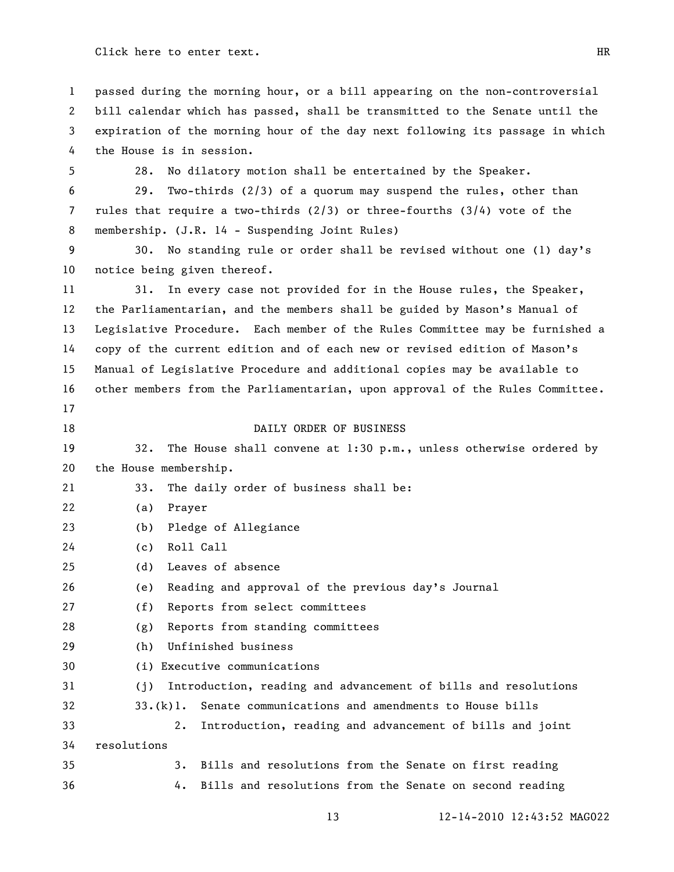passed during the morning hour, or a bill appearing on the non-controversial bill calendar which has passed, shall be transmitted to the Senate until the expiration of the morning hour of the day next following its passage in which the House is in session.

28. No dilatory motion shall be entertained by the Speaker.

 29. Two-thirds (2/3) of a quorum may suspend the rules, other than rules that require a two-thirds (2/3) or three-fourths (3/4) vote of the membership. (J.R. 14 - Suspending Joint Rules)

 30. No standing rule or order shall be revised without one (1) day's notice being given thereof.

 31. In every case not provided for in the House rules, the Speaker, the Parliamentarian, and the members shall be guided by Mason's Manual of Legislative Procedure. Each member of the Rules Committee may be furnished a copy of the current edition and of each new or revised edition of Mason's Manual of Legislative Procedure and additional copies may be available to other members from the Parliamentarian, upon approval of the Rules Committee. 

#### 18 DAILY ORDER OF BUSINESS

 32. The House shall convene at 1:30 p.m., unless otherwise ordered by the House membership.

33. The daily order of business shall be:

(a) Prayer

(b) Pledge of Allegiance

(c) Roll Call

(d) Leaves of absence

(e) Reading and approval of the previous day's Journal

(f) Reports from select committees

(g) Reports from standing committees

(h) Unfinished business

(i) Executive communications

(j) Introduction, reading and advancement of bills and resolutions

 33.(k)1. Senate communications and amendments to House bills 2. Introduction, reading and advancement of bills and joint

resolutions

 3. Bills and resolutions from the Senate on first reading 4. Bills and resolutions from the Senate on second reading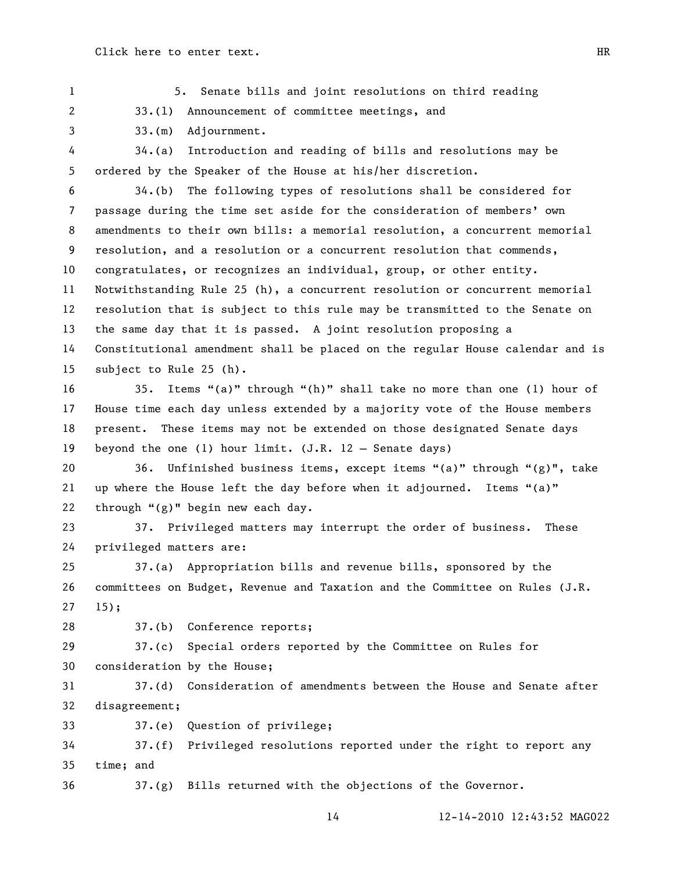1 5. Senate bills and joint resolutions on third reading

33.(l) Announcement of committee meetings, and

33.(m) Adjournment.

 34.(a) Introduction and reading of bills and resolutions may be ordered by the Speaker of the House at his/her discretion.

- 34.(b) The following types of resolutions shall be considered for passage during the time set aside for the consideration of members' own amendments to their own bills: a memorial resolution, a concurrent memorial resolution, and a resolution or a concurrent resolution that commends, congratulates, or recognizes an individual, group, or other entity. Notwithstanding Rule 25 (h), a concurrent resolution or concurrent memorial resolution that is subject to this rule may be transmitted to the Senate on the same day that it is passed. A joint resolution proposing a Constitutional amendment shall be placed on the regular House calendar and is subject to Rule 25 (h).
- 16 35. Items "(a)" through "(h)" shall take no more than one (1) hour of House time each day unless extended by a majority vote of the House members present. These items may not be extended on those designated Senate days beyond the one (1) hour limit. (J.R. 12 – Senate days)
- 20 36. Unfinished business items, except items "(a)" through "(g)", take 21 up where the House left the day before when it adjourned. Items " $(a)$ " 22 through " $(g)$ " begin new each day.

 37. Privileged matters may interrupt the order of business. These privileged matters are:

 37.(a) Appropriation bills and revenue bills, sponsored by the committees on Budget, Revenue and Taxation and the Committee on Rules (J.R. 15);

37.(b) Conference reports;

 37.(c) Special orders reported by the Committee on Rules for consideration by the House;

 37.(d) Consideration of amendments between the House and Senate after disagreement;

37.(e) Question of privilege;

 37.(f) Privileged resolutions reported under the right to report any time; and

37.(g) Bills returned with the objections of the Governor.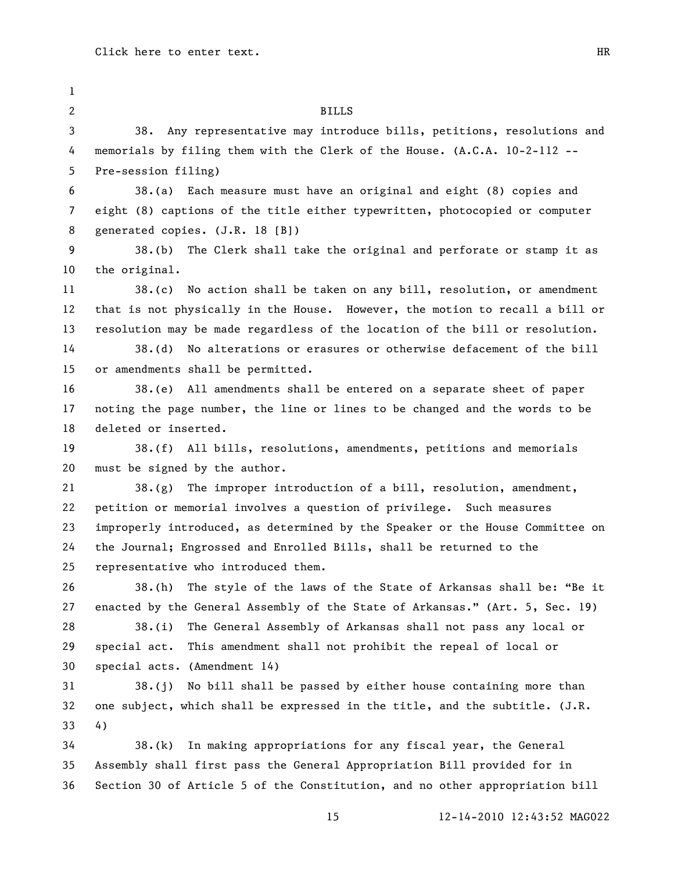| $\mathbf{1}$ |                                                                               |
|--------------|-------------------------------------------------------------------------------|
| 2            | <b>BILLS</b>                                                                  |
| 3            | 38.<br>Any representative may introduce bills, petitions, resolutions and     |
| 4            | memorials by filing them with the Clerk of the House. (A.C.A. 10-2-112 --     |
| 5            | Pre-session filing)                                                           |
| 6            | 38.(a) Each measure must have an original and eight (8) copies and            |
| 7            | eight (8) captions of the title either typewritten, photocopied or computer   |
| 8            | generated copies. (J.R. 18 [B])                                               |
| 9            | 38.(b) The Clerk shall take the original and perforate or stamp it as         |
| 10           | the original.                                                                 |
| 11           | 38.(c) No action shall be taken on any bill, resolution, or amendment         |
| 12           | that is not physically in the House. However, the motion to recall a bill or  |
| 13           | resolution may be made regardless of the location of the bill or resolution.  |
| 14           | 38.(d) No alterations or erasures or otherwise defacement of the bill         |
| 15           | or amendments shall be permitted.                                             |
| 16           | 38.(e) All amendments shall be entered on a separate sheet of paper           |
| 17           | noting the page number, the line or lines to be changed and the words to be   |
| 18           | deleted or inserted.                                                          |
| 19           | 38.(f) All bills, resolutions, amendments, petitions and memorials            |
| 20           | must be signed by the author.                                                 |
| 21           | $38.(g)$ The improper introduction of a bill, resolution, amendment,          |
| 22           | petition or memorial involves a question of privilege. Such measures          |
| 23           | improperly introduced, as determined by the Speaker or the House Committee on |
| 24           | the Journal; Engrossed and Enrolled Bills, shall be returned to the           |
| 25           | representative who introduced them.                                           |
| 26           | 38.(h) The style of the laws of the State of Arkansas shall be: "Be it        |
| 27           | enacted by the General Assembly of the State of Arkansas." (Art. 5, Sec. 19)  |
| 28           | The General Assembly of Arkansas shall not pass any local or<br>38.(i)        |
| 29           | special act.<br>This amendment shall not prohibit the repeal of local or      |
| 30           | special acts. (Amendment 14)                                                  |
| 31           | $38.$ (j) No bill shall be passed by either house containing more than        |
| 32           | one subject, which shall be expressed in the title, and the subtitle. (J.R.   |
| 33           | 4)                                                                            |
| 34           | In making appropriations for any fiscal year, the General<br>38.(k)           |
| 35           | Assembly shall first pass the General Appropriation Bill provided for in      |
| 36           | Section 30 of Article 5 of the Constitution, and no other appropriation bill  |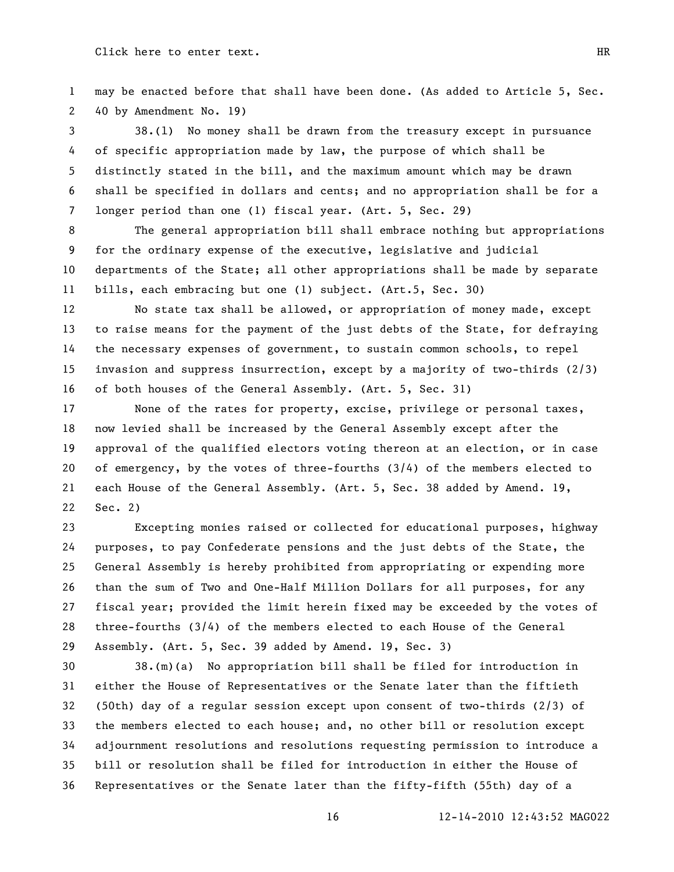may be enacted before that shall have been done. (As added to Article 5, Sec. 40 by Amendment No. 19)

 38.(l) No money shall be drawn from the treasury except in pursuance of specific appropriation made by law, the purpose of which shall be distinctly stated in the bill, and the maximum amount which may be drawn shall be specified in dollars and cents; and no appropriation shall be for a longer period than one (1) fiscal year. (Art. 5, Sec. 29)

 The general appropriation bill shall embrace nothing but appropriations for the ordinary expense of the executive, legislative and judicial departments of the State; all other appropriations shall be made by separate bills, each embracing but one (1) subject. (Art.5, Sec. 30)

 No state tax shall be allowed, or appropriation of money made, except to raise means for the payment of the just debts of the State, for defraying the necessary expenses of government, to sustain common schools, to repel invasion and suppress insurrection, except by a majority of two-thirds (2/3) of both houses of the General Assembly. (Art. 5, Sec. 31)

 None of the rates for property, excise, privilege or personal taxes, now levied shall be increased by the General Assembly except after the approval of the qualified electors voting thereon at an election, or in case of emergency, by the votes of three-fourths (3/4) of the members elected to each House of the General Assembly. (Art. 5, Sec. 38 added by Amend. 19, Sec. 2)

 Excepting monies raised or collected for educational purposes, highway purposes, to pay Confederate pensions and the just debts of the State, the General Assembly is hereby prohibited from appropriating or expending more than the sum of Two and One-Half Million Dollars for all purposes, for any fiscal year; provided the limit herein fixed may be exceeded by the votes of three-fourths (3/4) of the members elected to each House of the General Assembly. (Art. 5, Sec. 39 added by Amend. 19, Sec. 3)

 38.(m)(a) No appropriation bill shall be filed for introduction in either the House of Representatives or the Senate later than the fiftieth (50th) day of a regular session except upon consent of two-thirds (2/3) of the members elected to each house; and, no other bill or resolution except adjournment resolutions and resolutions requesting permission to introduce a bill or resolution shall be filed for introduction in either the House of Representatives or the Senate later than the fifty-fifth (55th) day of a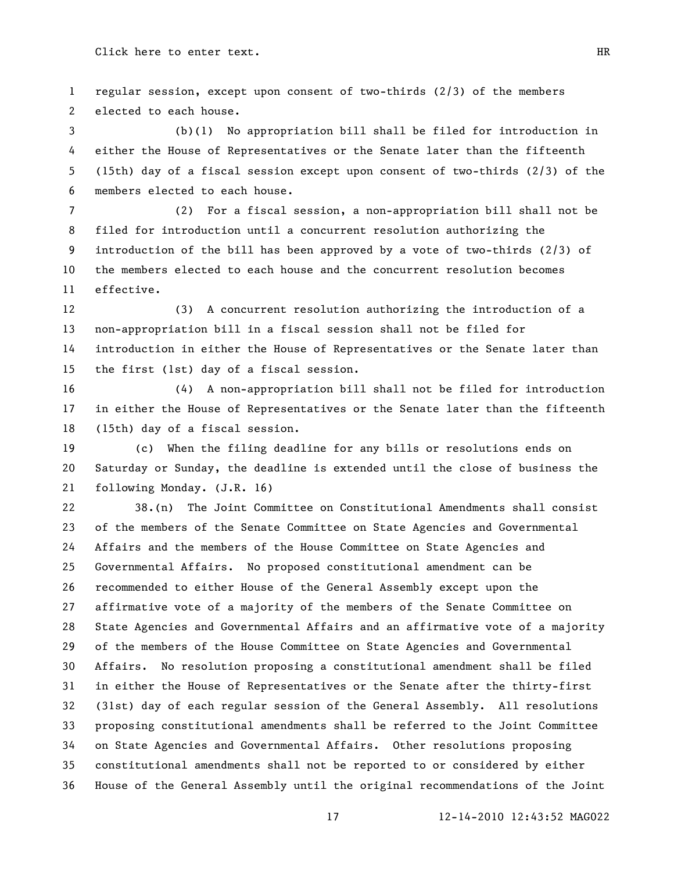regular session, except upon consent of two-thirds (2/3) of the members elected to each house.

 (b)(1) No appropriation bill shall be filed for introduction in either the House of Representatives or the Senate later than the fifteenth (15th) day of a fiscal session except upon consent of two-thirds (2/3) of the members elected to each house.

 (2) For a fiscal session, a non-appropriation bill shall not be filed for introduction until a concurrent resolution authorizing the introduction of the bill has been approved by a vote of two-thirds (2/3) of the members elected to each house and the concurrent resolution becomes effective.

 (3) A concurrent resolution authorizing the introduction of a non-appropriation bill in a fiscal session shall not be filed for introduction in either the House of Representatives or the Senate later than the first (1st) day of a fiscal session.

 (4) A non-appropriation bill shall not be filed for introduction in either the House of Representatives or the Senate later than the fifteenth (15th) day of a fiscal session.

 (c) When the filing deadline for any bills or resolutions ends on Saturday or Sunday, the deadline is extended until the close of business the following Monday. (J.R. 16)

 38.(n) The Joint Committee on Constitutional Amendments shall consist of the members of the Senate Committee on State Agencies and Governmental Affairs and the members of the House Committee on State Agencies and Governmental Affairs. No proposed constitutional amendment can be recommended to either House of the General Assembly except upon the affirmative vote of a majority of the members of the Senate Committee on State Agencies and Governmental Affairs and an affirmative vote of a majority of the members of the House Committee on State Agencies and Governmental Affairs. No resolution proposing a constitutional amendment shall be filed in either the House of Representatives or the Senate after the thirty-first (31st) day of each regular session of the General Assembly. All resolutions proposing constitutional amendments shall be referred to the Joint Committee on State Agencies and Governmental Affairs. Other resolutions proposing constitutional amendments shall not be reported to or considered by either House of the General Assembly until the original recommendations of the Joint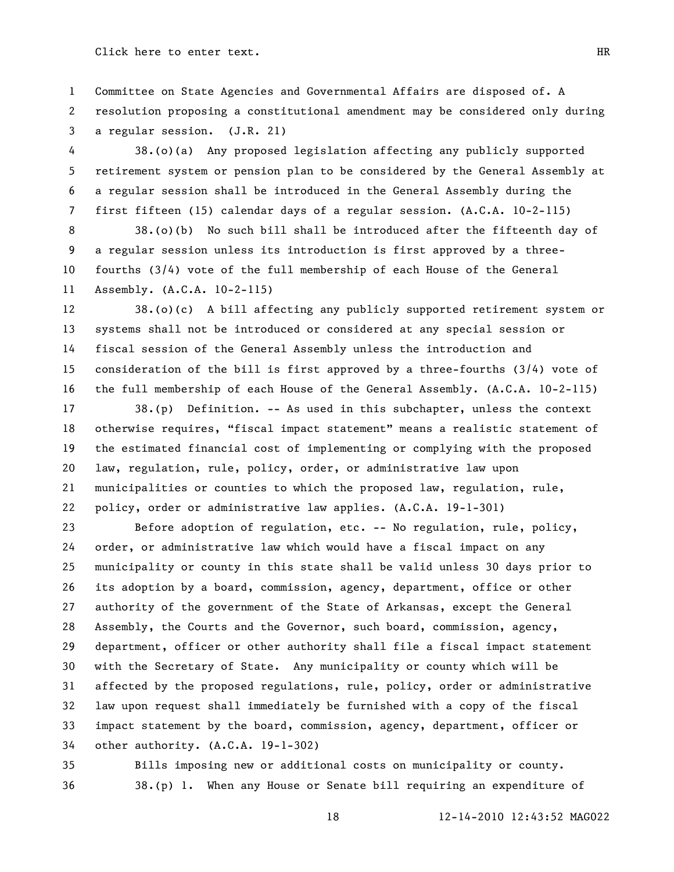Committee on State Agencies and Governmental Affairs are disposed of. A resolution proposing a constitutional amendment may be considered only during a regular session. (J.R. 21)

 38.(o)(a) Any proposed legislation affecting any publicly supported retirement system or pension plan to be considered by the General Assembly at a regular session shall be introduced in the General Assembly during the first fifteen (15) calendar days of a regular session. (A.C.A. 10-2-115)

 38.(o)(b) No such bill shall be introduced after the fifteenth day of a regular session unless its introduction is first approved by a three- fourths (3/4) vote of the full membership of each House of the General Assembly. (A.C.A. 10-2-115)

 38.(o)(c) A bill affecting any publicly supported retirement system or systems shall not be introduced or considered at any special session or fiscal session of the General Assembly unless the introduction and consideration of the bill is first approved by a three-fourths (3/4) vote of the full membership of each House of the General Assembly. (A.C.A. 10-2-115)

 38.(p) Definition. -- As used in this subchapter, unless the context 18 otherwise requires, "fiscal impact statement" means a realistic statement of the estimated financial cost of implementing or complying with the proposed law, regulation, rule, policy, order, or administrative law upon municipalities or counties to which the proposed law, regulation, rule, policy, order or administrative law applies. (A.C.A. 19-1-301)

 Before adoption of regulation, etc. -- No regulation, rule, policy, order, or administrative law which would have a fiscal impact on any municipality or county in this state shall be valid unless 30 days prior to its adoption by a board, commission, agency, department, office or other authority of the government of the State of Arkansas, except the General Assembly, the Courts and the Governor, such board, commission, agency, department, officer or other authority shall file a fiscal impact statement with the Secretary of State. Any municipality or county which will be affected by the proposed regulations, rule, policy, order or administrative law upon request shall immediately be furnished with a copy of the fiscal impact statement by the board, commission, agency, department, officer or other authority. (A.C.A. 19-1-302)

 Bills imposing new or additional costs on municipality or county. 38.(p) 1. When any House or Senate bill requiring an expenditure of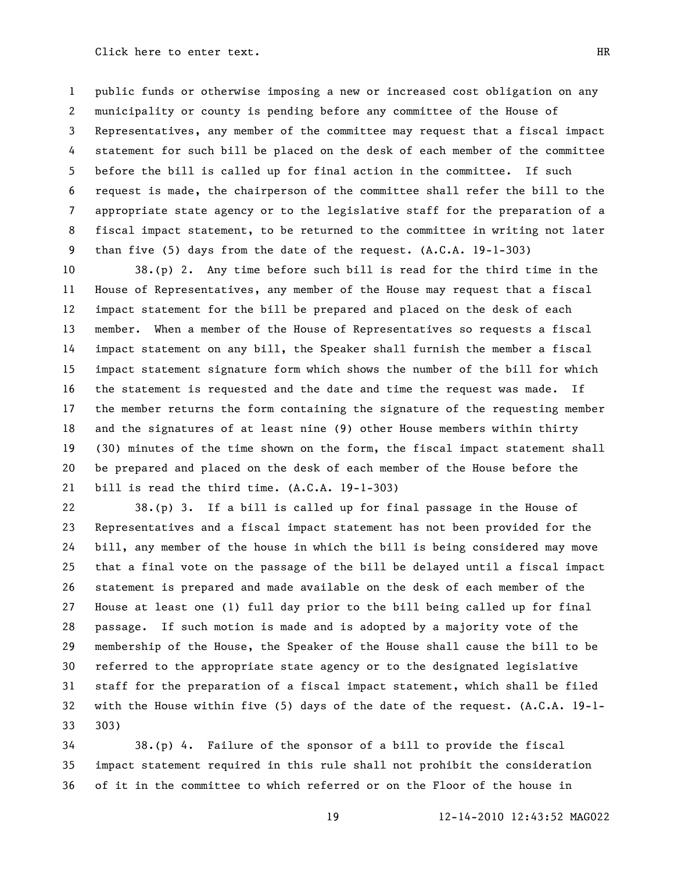public funds or otherwise imposing a new or increased cost obligation on any municipality or county is pending before any committee of the House of Representatives, any member of the committee may request that a fiscal impact statement for such bill be placed on the desk of each member of the committee before the bill is called up for final action in the committee. If such request is made, the chairperson of the committee shall refer the bill to the appropriate state agency or to the legislative staff for the preparation of a fiscal impact statement, to be returned to the committee in writing not later than five (5) days from the date of the request. (A.C.A. 19-1-303)

 38.(p) 2. Any time before such bill is read for the third time in the House of Representatives, any member of the House may request that a fiscal impact statement for the bill be prepared and placed on the desk of each member. When a member of the House of Representatives so requests a fiscal impact statement on any bill, the Speaker shall furnish the member a fiscal impact statement signature form which shows the number of the bill for which the statement is requested and the date and time the request was made. If the member returns the form containing the signature of the requesting member and the signatures of at least nine (9) other House members within thirty (30) minutes of the time shown on the form, the fiscal impact statement shall be prepared and placed on the desk of each member of the House before the bill is read the third time. (A.C.A. 19-1-303)

 38.(p) 3. If a bill is called up for final passage in the House of Representatives and a fiscal impact statement has not been provided for the bill, any member of the house in which the bill is being considered may move that a final vote on the passage of the bill be delayed until a fiscal impact statement is prepared and made available on the desk of each member of the House at least one (1) full day prior to the bill being called up for final passage. If such motion is made and is adopted by a majority vote of the membership of the House, the Speaker of the House shall cause the bill to be referred to the appropriate state agency or to the designated legislative staff for the preparation of a fiscal impact statement, which shall be filed with the House within five (5) days of the date of the request. (A.C.A. 19-1- 303)

 38.(p) 4. Failure of the sponsor of a bill to provide the fiscal impact statement required in this rule shall not prohibit the consideration of it in the committee to which referred or on the Floor of the house in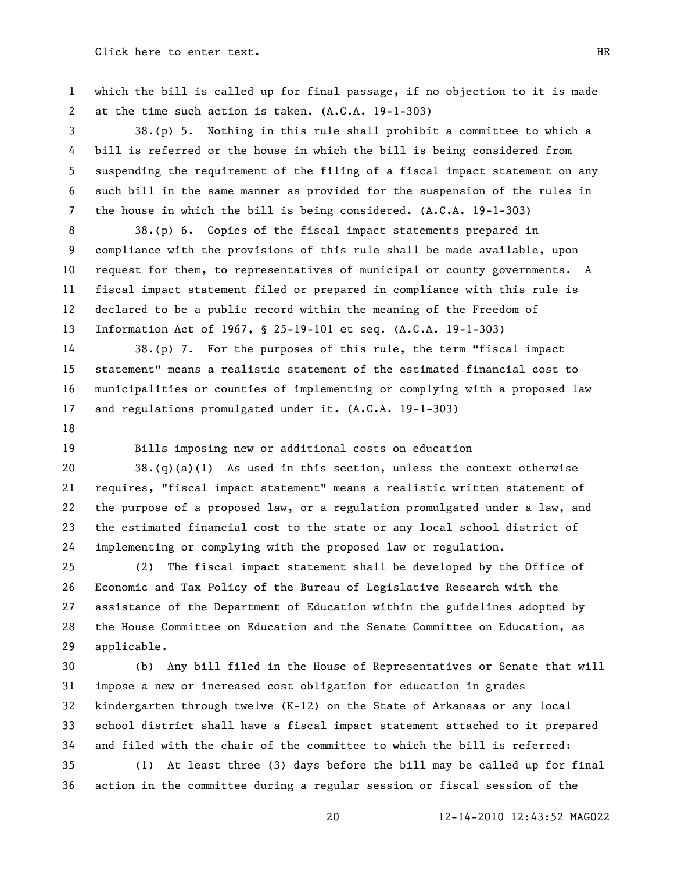which the bill is called up for final passage, if no objection to it is made at the time such action is taken. (A.C.A. 19-1-303)

 38.(p) 5. Nothing in this rule shall prohibit a committee to which a bill is referred or the house in which the bill is being considered from suspending the requirement of the filing of a fiscal impact statement on any such bill in the same manner as provided for the suspension of the rules in the house in which the bill is being considered. (A.C.A. 19-1-303)

 38.(p) 6. Copies of the fiscal impact statements prepared in compliance with the provisions of this rule shall be made available, upon request for them, to representatives of municipal or county governments. A fiscal impact statement filed or prepared in compliance with this rule is declared to be a public record within the meaning of the Freedom of Information Act of 1967, § 25-19-101 et seq. (A.C.A. 19-1-303)

14 38.(p) 7. For the purposes of this rule, the term "fiscal impact statement‖ means a realistic statement of the estimated financial cost to municipalities or counties of implementing or complying with a proposed law and regulations promulgated under it. (A.C.A. 19-1-303)

Bills imposing new or additional costs on education

20 38. $(q)(a)(1)$  As used in this section, unless the context otherwise requires, "fiscal impact statement" means a realistic written statement of the purpose of a proposed law, or a regulation promulgated under a law, and the estimated financial cost to the state or any local school district of implementing or complying with the proposed law or regulation.

 (2) The fiscal impact statement shall be developed by the Office of Economic and Tax Policy of the Bureau of Legislative Research with the assistance of the Department of Education within the guidelines adopted by the House Committee on Education and the Senate Committee on Education, as applicable.

 (b) Any bill filed in the House of Representatives or Senate that will impose a new or increased cost obligation for education in grades kindergarten through twelve (K-12) on the State of Arkansas or any local school district shall have a fiscal impact statement attached to it prepared and filed with the chair of the committee to which the bill is referred:

 (1) At least three (3) days before the bill may be called up for final action in the committee during a regular session or fiscal session of the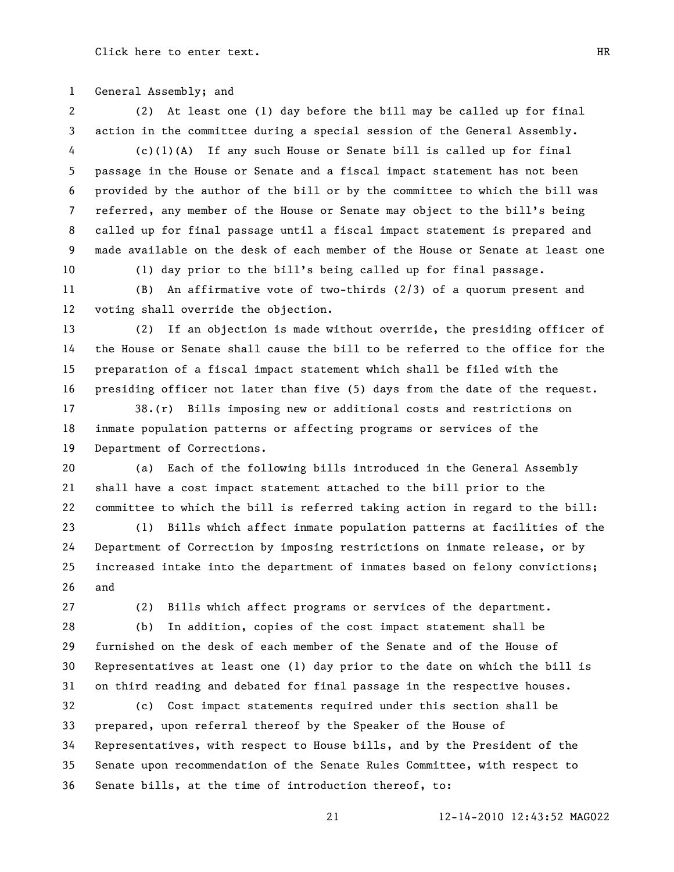General Assembly; and

 (2) At least one (1) day before the bill may be called up for final action in the committee during a special session of the General Assembly.

 (c)(1)(A) If any such House or Senate bill is called up for final passage in the House or Senate and a fiscal impact statement has not been provided by the author of the bill or by the committee to which the bill was referred, any member of the House or Senate may object to the bill's being called up for final passage until a fiscal impact statement is prepared and made available on the desk of each member of the House or Senate at least one

(1) day prior to the bill's being called up for final passage.

 (B) An affirmative vote of two-thirds (2/3) of a quorum present and voting shall override the objection.

 (2) If an objection is made without override, the presiding officer of the House or Senate shall cause the bill to be referred to the office for the preparation of a fiscal impact statement which shall be filed with the presiding officer not later than five (5) days from the date of the request.

 38.(r) Bills imposing new or additional costs and restrictions on inmate population patterns or affecting programs or services of the Department of Corrections.

 (a) Each of the following bills introduced in the General Assembly shall have a cost impact statement attached to the bill prior to the committee to which the bill is referred taking action in regard to the bill:

 (1) Bills which affect inmate population patterns at facilities of the Department of Correction by imposing restrictions on inmate release, or by increased intake into the department of inmates based on felony convictions; and

(2) Bills which affect programs or services of the department.

 (b) In addition, copies of the cost impact statement shall be furnished on the desk of each member of the Senate and of the House of Representatives at least one (1) day prior to the date on which the bill is on third reading and debated for final passage in the respective houses.

 (c) Cost impact statements required under this section shall be prepared, upon referral thereof by the Speaker of the House of Representatives, with respect to House bills, and by the President of the Senate upon recommendation of the Senate Rules Committee, with respect to Senate bills, at the time of introduction thereof, to: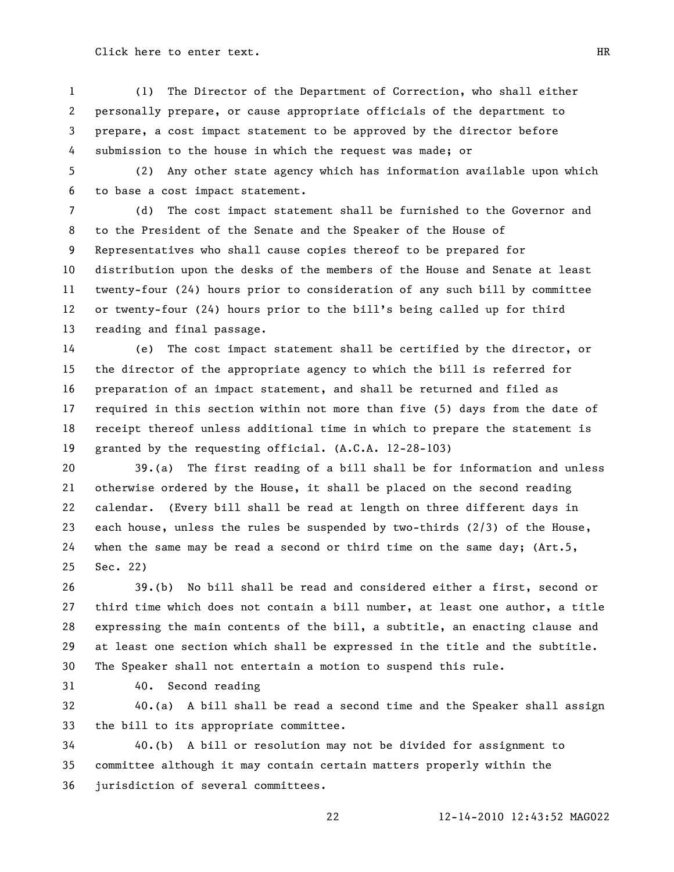(1) The Director of the Department of Correction, who shall either personally prepare, or cause appropriate officials of the department to prepare, a cost impact statement to be approved by the director before submission to the house in which the request was made; or

 (2) Any other state agency which has information available upon which to base a cost impact statement.

 (d) The cost impact statement shall be furnished to the Governor and to the President of the Senate and the Speaker of the House of Representatives who shall cause copies thereof to be prepared for distribution upon the desks of the members of the House and Senate at least twenty-four (24) hours prior to consideration of any such bill by committee or twenty-four (24) hours prior to the bill's being called up for third reading and final passage.

 (e) The cost impact statement shall be certified by the director, or the director of the appropriate agency to which the bill is referred for preparation of an impact statement, and shall be returned and filed as required in this section within not more than five (5) days from the date of receipt thereof unless additional time in which to prepare the statement is granted by the requesting official. (A.C.A. 12-28-103)

 39.(a) The first reading of a bill shall be for information and unless otherwise ordered by the House, it shall be placed on the second reading calendar. (Every bill shall be read at length on three different days in each house, unless the rules be suspended by two-thirds (2/3) of the House, when the same may be read a second or third time on the same day; (Art.5, Sec. 22)

 39.(b) No bill shall be read and considered either a first, second or third time which does not contain a bill number, at least one author, a title expressing the main contents of the bill, a subtitle, an enacting clause and at least one section which shall be expressed in the title and the subtitle. The Speaker shall not entertain a motion to suspend this rule.

40. Second reading

 40.(a) A bill shall be read a second time and the Speaker shall assign the bill to its appropriate committee.

 40.(b) A bill or resolution may not be divided for assignment to committee although it may contain certain matters properly within the jurisdiction of several committees.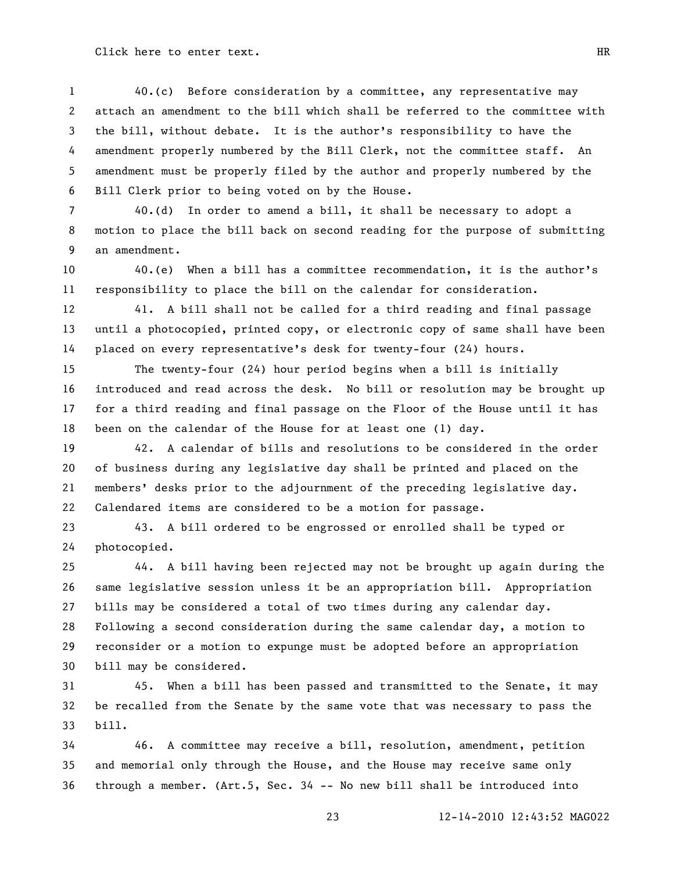40.(c) Before consideration by a committee, any representative may attach an amendment to the bill which shall be referred to the committee with the bill, without debate. It is the author's responsibility to have the amendment properly numbered by the Bill Clerk, not the committee staff. An amendment must be properly filed by the author and properly numbered by the Bill Clerk prior to being voted on by the House.

 40.(d) In order to amend a bill, it shall be necessary to adopt a motion to place the bill back on second reading for the purpose of submitting an amendment.

 40.(e) When a bill has a committee recommendation, it is the author's responsibility to place the bill on the calendar for consideration.

 41. A bill shall not be called for a third reading and final passage until a photocopied, printed copy, or electronic copy of same shall have been placed on every representative's desk for twenty-four (24) hours.

 The twenty-four (24) hour period begins when a bill is initially introduced and read across the desk. No bill or resolution may be brought up for a third reading and final passage on the Floor of the House until it has been on the calendar of the House for at least one (1) day.

 42. A calendar of bills and resolutions to be considered in the order of business during any legislative day shall be printed and placed on the members' desks prior to the adjournment of the preceding legislative day. Calendared items are considered to be a motion for passage.

 43. A bill ordered to be engrossed or enrolled shall be typed or photocopied.

 44. A bill having been rejected may not be brought up again during the same legislative session unless it be an appropriation bill. Appropriation bills may be considered a total of two times during any calendar day. Following a second consideration during the same calendar day, a motion to reconsider or a motion to expunge must be adopted before an appropriation bill may be considered.

 45. When a bill has been passed and transmitted to the Senate, it may be recalled from the Senate by the same vote that was necessary to pass the bill.

 46. A committee may receive a bill, resolution, amendment, petition and memorial only through the House, and the House may receive same only through a member. (Art.5, Sec. 34 -- No new bill shall be introduced into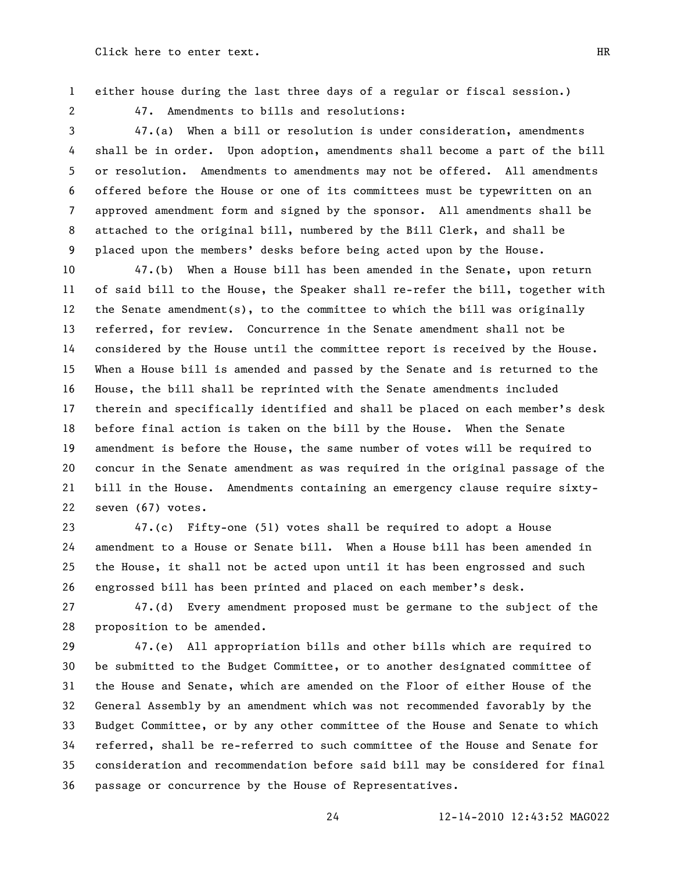either house during the last three days of a regular or fiscal session.)

47. Amendments to bills and resolutions:

 47.(a) When a bill or resolution is under consideration, amendments shall be in order. Upon adoption, amendments shall become a part of the bill or resolution. Amendments to amendments may not be offered. All amendments offered before the House or one of its committees must be typewritten on an approved amendment form and signed by the sponsor. All amendments shall be attached to the original bill, numbered by the Bill Clerk, and shall be placed upon the members' desks before being acted upon by the House.

 47.(b) When a House bill has been amended in the Senate, upon return of said bill to the House, the Speaker shall re-refer the bill, together with the Senate amendment(s), to the committee to which the bill was originally referred, for review. Concurrence in the Senate amendment shall not be considered by the House until the committee report is received by the House. When a House bill is amended and passed by the Senate and is returned to the House, the bill shall be reprinted with the Senate amendments included therein and specifically identified and shall be placed on each member's desk before final action is taken on the bill by the House. When the Senate amendment is before the House, the same number of votes will be required to concur in the Senate amendment as was required in the original passage of the bill in the House. Amendments containing an emergency clause require sixty-seven (67) votes.

 47.(c) Fifty-one (51) votes shall be required to adopt a House amendment to a House or Senate bill. When a House bill has been amended in the House, it shall not be acted upon until it has been engrossed and such engrossed bill has been printed and placed on each member's desk.

 47.(d) Every amendment proposed must be germane to the subject of the proposition to be amended.

 47.(e) All appropriation bills and other bills which are required to be submitted to the Budget Committee, or to another designated committee of the House and Senate, which are amended on the Floor of either House of the General Assembly by an amendment which was not recommended favorably by the Budget Committee, or by any other committee of the House and Senate to which referred, shall be re-referred to such committee of the House and Senate for consideration and recommendation before said bill may be considered for final passage or concurrence by the House of Representatives.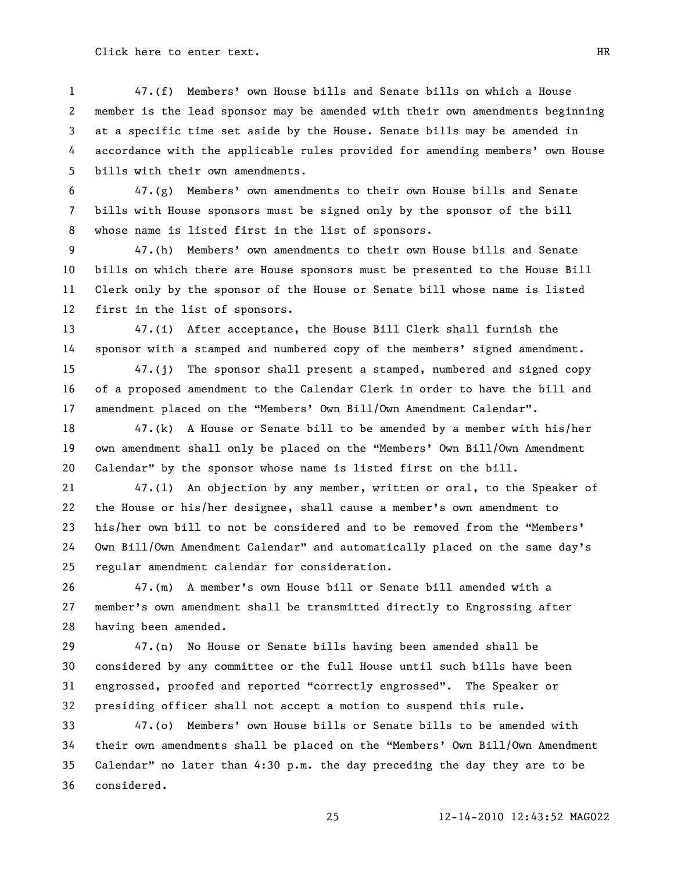47.(f) Members' own House bills and Senate bills on which a House member is the lead sponsor may be amended with their own amendments beginning at a specific time set aside by the House. Senate bills may be amended in accordance with the applicable rules provided for amending members' own House bills with their own amendments.

 47.(g) Members' own amendments to their own House bills and Senate bills with House sponsors must be signed only by the sponsor of the bill whose name is listed first in the list of sponsors.

 47.(h) Members' own amendments to their own House bills and Senate bills on which there are House sponsors must be presented to the House Bill Clerk only by the sponsor of the House or Senate bill whose name is listed first in the list of sponsors.

 47.(i) After acceptance, the House Bill Clerk shall furnish the sponsor with a stamped and numbered copy of the members' signed amendment.

 47.(j) The sponsor shall present a stamped, numbered and signed copy of a proposed amendment to the Calendar Clerk in order to have the bill and 17 amendment placed on the "Members' Own Bill/Own Amendment Calendar".

 47.(k) A House or Senate bill to be amended by a member with his/her 19 own amendment shall only be placed on the "Members' Own Bill/Own Amendment 20 Calendar" by the sponsor whose name is listed first on the bill.

 47.(l) An objection by any member, written or oral, to the Speaker of the House or his/her designee, shall cause a member's own amendment to 23 his/her own bill to not be considered and to be removed from the "Members' 24 Own Bill/Own Amendment Calendar" and automatically placed on the same day's regular amendment calendar for consideration.

 47.(m) A member's own House bill or Senate bill amended with a member's own amendment shall be transmitted directly to Engrossing after having been amended.

 47.(n) No House or Senate bills having been amended shall be considered by any committee or the full House until such bills have been 31 engrossed, proofed and reported "correctly engrossed". The Speaker or presiding officer shall not accept a motion to suspend this rule.

 47.(o) Members' own House bills or Senate bills to be amended with 34 their own amendments shall be placed on the "Members' Own Bill/Own Amendment 35 Calendar" no later than  $4:30$  p.m. the day preceding the day they are to be considered.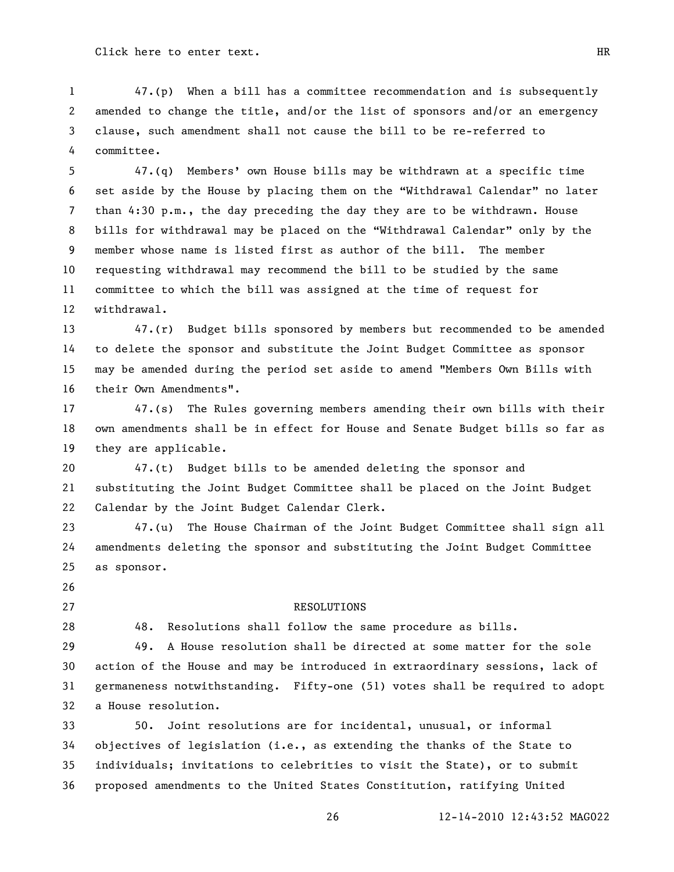47.(p) When a bill has a committee recommendation and is subsequently amended to change the title, and/or the list of sponsors and/or an emergency clause, such amendment shall not cause the bill to be re-referred to committee.

 47.(q) Members' own House bills may be withdrawn at a specific time 6 set aside by the House by placing them on the "Withdrawal Calendar" no later than 4:30 p.m., the day preceding the day they are to be withdrawn. House 8 bills for withdrawal may be placed on the "Withdrawal Calendar" only by the member whose name is listed first as author of the bill. The member requesting withdrawal may recommend the bill to be studied by the same committee to which the bill was assigned at the time of request for withdrawal.

 47.(r) Budget bills sponsored by members but recommended to be amended to delete the sponsor and substitute the Joint Budget Committee as sponsor may be amended during the period set aside to amend "Members Own Bills with their Own Amendments".

 47.(s) The Rules governing members amending their own bills with their own amendments shall be in effect for House and Senate Budget bills so far as they are applicable.

 47.(t) Budget bills to be amended deleting the sponsor and substituting the Joint Budget Committee shall be placed on the Joint Budget Calendar by the Joint Budget Calendar Clerk.

 47.(u) The House Chairman of the Joint Budget Committee shall sign all amendments deleting the sponsor and substituting the Joint Budget Committee as sponsor.

27 RESOLUTIONS

48. Resolutions shall follow the same procedure as bills.

 49. A House resolution shall be directed at some matter for the sole action of the House and may be introduced in extraordinary sessions, lack of germaneness notwithstanding. Fifty-one (51) votes shall be required to adopt a House resolution.

 50. Joint resolutions are for incidental, unusual, or informal objectives of legislation (i.e., as extending the thanks of the State to individuals; invitations to celebrities to visit the State), or to submit proposed amendments to the United States Constitution, ratifying United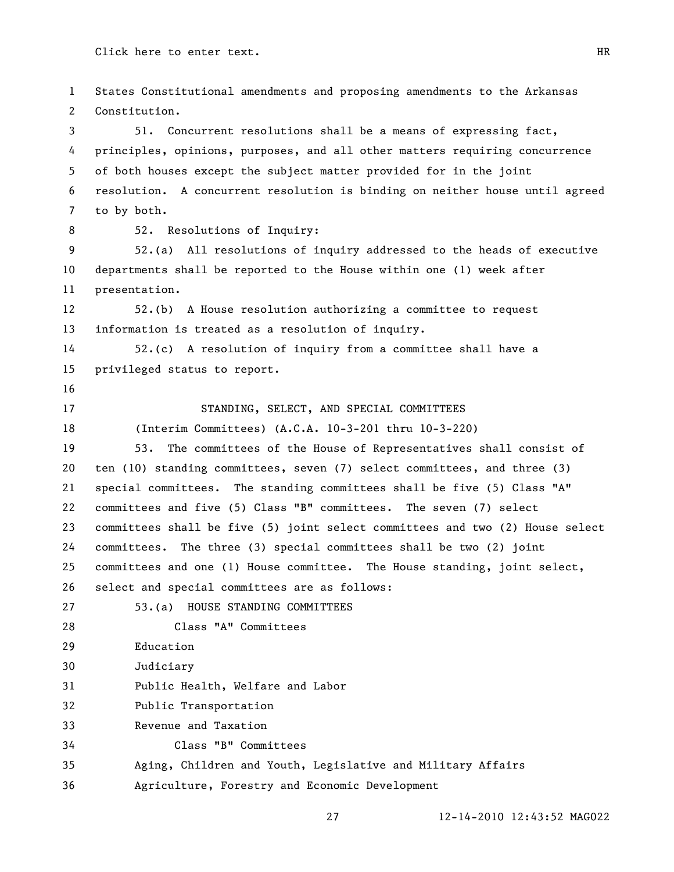States Constitutional amendments and proposing amendments to the Arkansas Constitution. 51. Concurrent resolutions shall be a means of expressing fact, principles, opinions, purposes, and all other matters requiring concurrence of both houses except the subject matter provided for in the joint resolution. A concurrent resolution is binding on neither house until agreed to by both. 52. Resolutions of Inquiry: 52.(a) All resolutions of inquiry addressed to the heads of executive departments shall be reported to the House within one (1) week after presentation. 52.(b) A House resolution authorizing a committee to request information is treated as a resolution of inquiry. 52.(c) A resolution of inquiry from a committee shall have a privileged status to report. 17 STANDING, SELECT, AND SPECIAL COMMITTEES (Interim Committees) (A.C.A. 10-3-201 thru 10-3-220) 53. The committees of the House of Representatives shall consist of ten (10) standing committees, seven (7) select committees, and three (3) special committees. The standing committees shall be five (5) Class "A" committees and five (5) Class "B" committees. The seven (7) select committees shall be five (5) joint select committees and two (2) House select committees. The three (3) special committees shall be two (2) joint committees and one (1) House committee. The House standing, joint select, select and special committees are as follows: 53.(a) HOUSE STANDING COMMITTEES Class "A" Committees Education Judiciary Public Health, Welfare and Labor Public Transportation Revenue and Taxation Class "B" Committees Aging, Children and Youth, Legislative and Military Affairs Agriculture, Forestry and Economic Development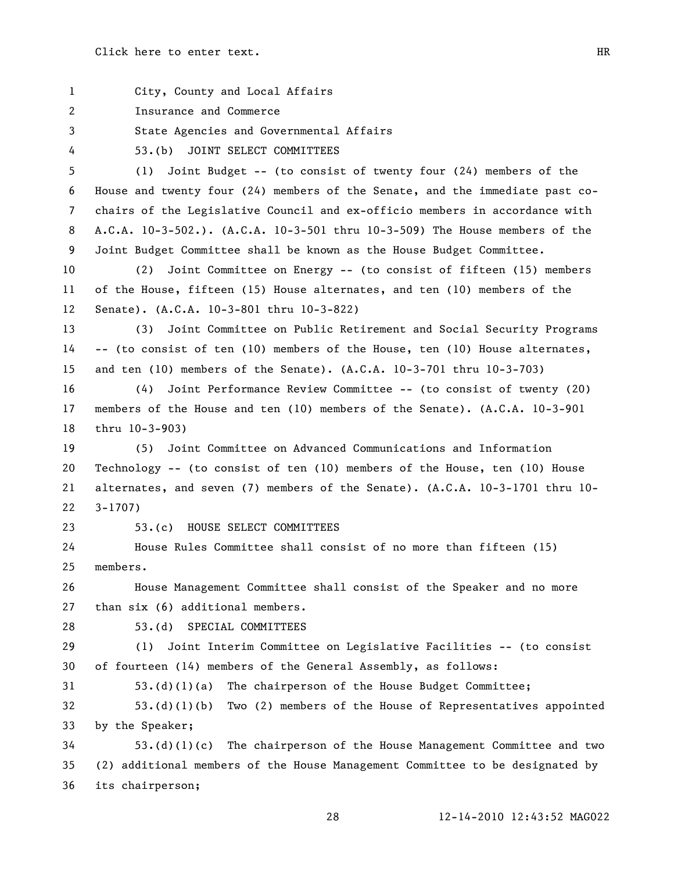City, County and Local Affairs Insurance and Commerce State Agencies and Governmental Affairs 53.(b) JOINT SELECT COMMITTEES (1) Joint Budget -- (to consist of twenty four (24) members of the House and twenty four (24) members of the Senate, and the immediate past co- chairs of the Legislative Council and ex-officio members in accordance with A.C.A. 10-3-502.). (A.C.A. 10-3-501 thru 10-3-509) The House members of the Joint Budget Committee shall be known as the House Budget Committee. (2) Joint Committee on Energy -- (to consist of fifteen (15) members of the House, fifteen (15) House alternates, and ten (10) members of the Senate). (A.C.A. 10-3-801 thru 10-3-822) (3) Joint Committee on Public Retirement and Social Security Programs -- (to consist of ten (10) members of the House, ten (10) House alternates, and ten (10) members of the Senate). (A.C.A. 10-3-701 thru 10-3-703) (4) Joint Performance Review Committee -- (to consist of twenty (20) members of the House and ten (10) members of the Senate). (A.C.A. 10-3-901 thru 10-3-903) (5) Joint Committee on Advanced Communications and Information Technology -- (to consist of ten (10) members of the House, ten (10) House alternates, and seven (7) members of the Senate). (A.C.A. 10-3-1701 thru 10- 3-1707) 53.(c) HOUSE SELECT COMMITTEES House Rules Committee shall consist of no more than fifteen (15) members. House Management Committee shall consist of the Speaker and no more than six (6) additional members. 53.(d) SPECIAL COMMITTEES (1) Joint Interim Committee on Legislative Facilities -- (to consist of fourteen (14) members of the General Assembly, as follows: 53.(d)(1)(a) The chairperson of the House Budget Committee; 53.(d)(1)(b) Two (2) members of the House of Representatives appointed by the Speaker; 53.(d)(1)(c) The chairperson of the House Management Committee and two (2) additional members of the House Management Committee to be designated by its chairperson;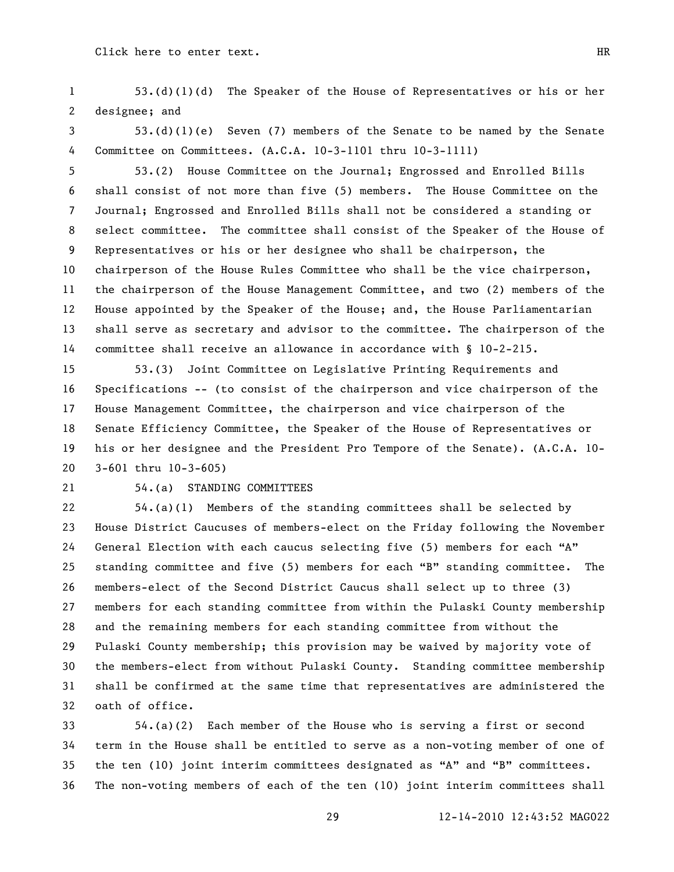53.(d)(1)(d) The Speaker of the House of Representatives or his or her designee; and

 53.(d)(1)(e) Seven (7) members of the Senate to be named by the Senate Committee on Committees. (A.C.A. 10-3-1101 thru 10-3-1111)

 53.(2) House Committee on the Journal; Engrossed and Enrolled Bills shall consist of not more than five (5) members. The House Committee on the Journal; Engrossed and Enrolled Bills shall not be considered a standing or select committee. The committee shall consist of the Speaker of the House of Representatives or his or her designee who shall be chairperson, the chairperson of the House Rules Committee who shall be the vice chairperson, the chairperson of the House Management Committee, and two (2) members of the House appointed by the Speaker of the House; and, the House Parliamentarian shall serve as secretary and advisor to the committee. The chairperson of the committee shall receive an allowance in accordance with § 10-2-215.

 53.(3) Joint Committee on Legislative Printing Requirements and Specifications -- (to consist of the chairperson and vice chairperson of the House Management Committee, the chairperson and vice chairperson of the Senate Efficiency Committee, the Speaker of the House of Representatives or his or her designee and the President Pro Tempore of the Senate). (A.C.A. 10- 3-601 thru 10-3-605)

## 54.(a) STANDING COMMITTEES

 54.(a)(1) Members of the standing committees shall be selected by House District Caucuses of members-elect on the Friday following the November 24 General Election with each caucus selecting five (5) members for each "A" 25 standing committee and five  $(5)$  members for each "B" standing committee. The members-elect of the Second District Caucus shall select up to three (3) members for each standing committee from within the Pulaski County membership and the remaining members for each standing committee from without the Pulaski County membership; this provision may be waived by majority vote of the members-elect from without Pulaski County. Standing committee membership shall be confirmed at the same time that representatives are administered the oath of office.

 54.(a)(2) Each member of the House who is serving a first or second term in the House shall be entitled to serve as a non-voting member of one of 35 the ten (10) joint interim committees designated as "A" and "B" committees. The non-voting members of each of the ten (10) joint interim committees shall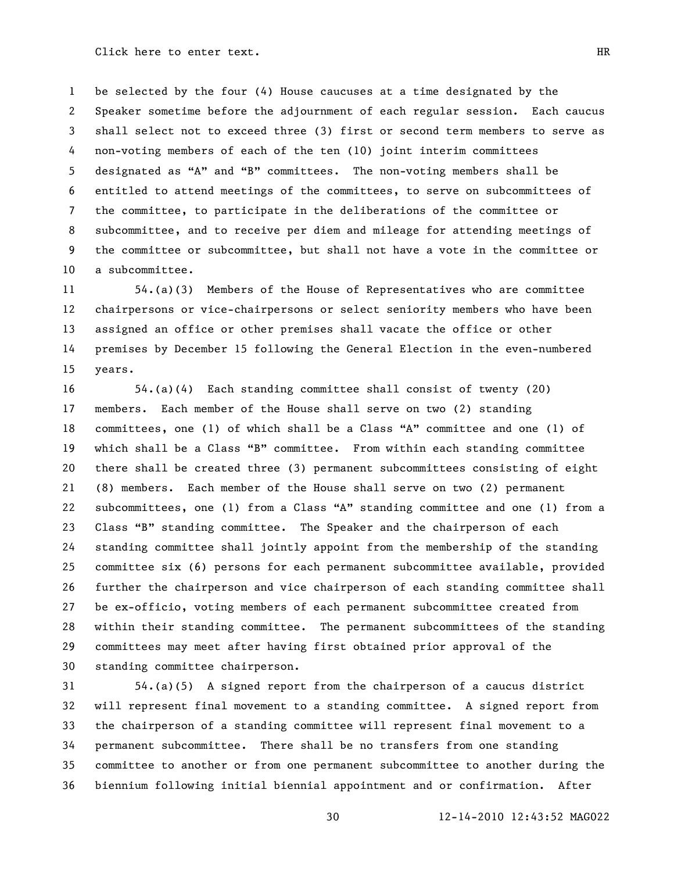be selected by the four (4) House caucuses at a time designated by the Speaker sometime before the adjournment of each regular session. Each caucus shall select not to exceed three (3) first or second term members to serve as non-voting members of each of the ten (10) joint interim committees 5 designated as "A" and "B" committees. The non-voting members shall be entitled to attend meetings of the committees, to serve on subcommittees of the committee, to participate in the deliberations of the committee or subcommittee, and to receive per diem and mileage for attending meetings of the committee or subcommittee, but shall not have a vote in the committee or a subcommittee.

 54.(a)(3) Members of the House of Representatives who are committee chairpersons or vice-chairpersons or select seniority members who have been assigned an office or other premises shall vacate the office or other premises by December 15 following the General Election in the even-numbered years.

 54.(a)(4) Each standing committee shall consist of twenty (20) members. Each member of the House shall serve on two (2) standing 18 committees, one (1) of which shall be a Class "A" committee and one (1) of 19 which shall be a Class "B" committee. From within each standing committee there shall be created three (3) permanent subcommittees consisting of eight (8) members. Each member of the House shall serve on two (2) permanent 22 subcommittees, one (1) from a Class "A" standing committee and one (1) from a 23 Class "B" standing committee. The Speaker and the chairperson of each standing committee shall jointly appoint from the membership of the standing committee six (6) persons for each permanent subcommittee available, provided further the chairperson and vice chairperson of each standing committee shall be ex-officio, voting members of each permanent subcommittee created from within their standing committee. The permanent subcommittees of the standing committees may meet after having first obtained prior approval of the standing committee chairperson.

 54.(a)(5) A signed report from the chairperson of a caucus district will represent final movement to a standing committee. A signed report from the chairperson of a standing committee will represent final movement to a permanent subcommittee. There shall be no transfers from one standing committee to another or from one permanent subcommittee to another during the biennium following initial biennial appointment and or confirmation. After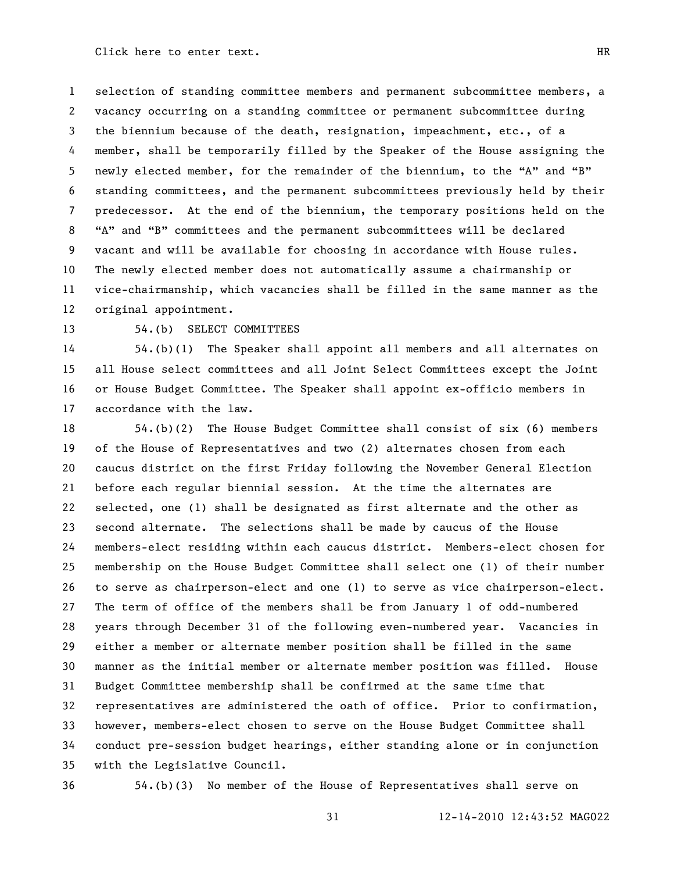selection of standing committee members and permanent subcommittee members, a vacancy occurring on a standing committee or permanent subcommittee during the biennium because of the death, resignation, impeachment, etc., of a member, shall be temporarily filled by the Speaker of the House assigning the 5 newly elected member, for the remainder of the biennium, to the "A" and "B" standing committees, and the permanent subcommittees previously held by their predecessor. At the end of the biennium, the temporary positions held on the 8 "A" and "B" committees and the permanent subcommittees will be declared vacant and will be available for choosing in accordance with House rules. The newly elected member does not automatically assume a chairmanship or vice-chairmanship, which vacancies shall be filled in the same manner as the original appointment.

13 54.(b) SELECT COMMITTEES

 54.(b)(1) The Speaker shall appoint all members and all alternates on all House select committees and all Joint Select Committees except the Joint or House Budget Committee. The Speaker shall appoint ex-officio members in accordance with the law.

 54.(b)(2) The House Budget Committee shall consist of six (6) members of the House of Representatives and two (2) alternates chosen from each caucus district on the first Friday following the November General Election before each regular biennial session. At the time the alternates are selected, one (1) shall be designated as first alternate and the other as second alternate. The selections shall be made by caucus of the House members-elect residing within each caucus district. Members-elect chosen for membership on the House Budget Committee shall select one (1) of their number to serve as chairperson-elect and one (1) to serve as vice chairperson-elect. The term of office of the members shall be from January 1 of odd-numbered years through December 31 of the following even-numbered year. Vacancies in either a member or alternate member position shall be filled in the same manner as the initial member or alternate member position was filled. House Budget Committee membership shall be confirmed at the same time that representatives are administered the oath of office. Prior to confirmation, however, members-elect chosen to serve on the House Budget Committee shall conduct pre-session budget hearings, either standing alone or in conjunction with the Legislative Council.

54.(b)(3) No member of the House of Representatives shall serve on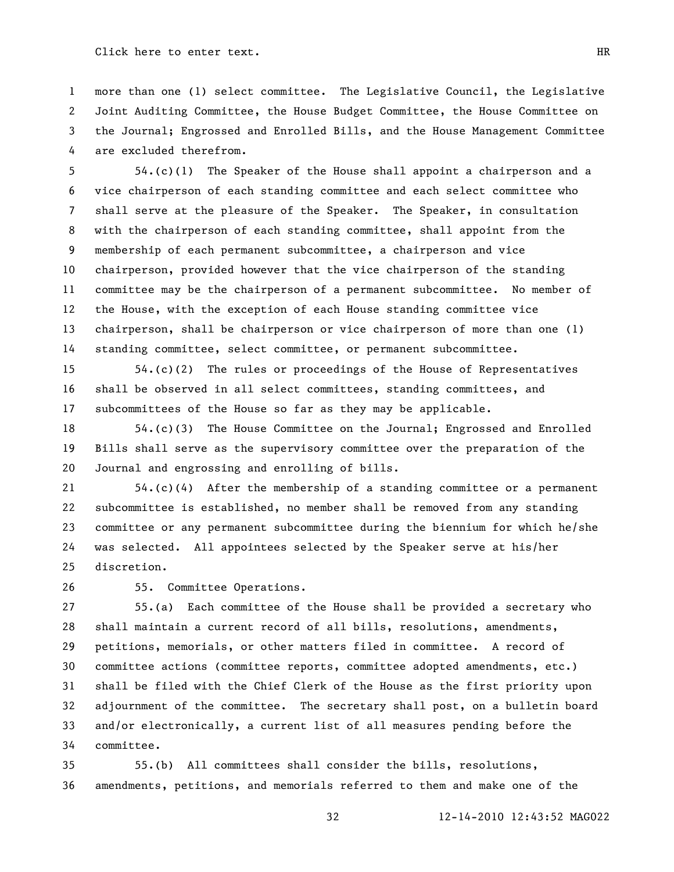more than one (1) select committee. The Legislative Council, the Legislative Joint Auditing Committee, the House Budget Committee, the House Committee on the Journal; Engrossed and Enrolled Bills, and the House Management Committee are excluded therefrom.

 54.(c)(1) The Speaker of the House shall appoint a chairperson and a vice chairperson of each standing committee and each select committee who shall serve at the pleasure of the Speaker. The Speaker, in consultation with the chairperson of each standing committee, shall appoint from the membership of each permanent subcommittee, a chairperson and vice chairperson, provided however that the vice chairperson of the standing committee may be the chairperson of a permanent subcommittee. No member of the House, with the exception of each House standing committee vice chairperson, shall be chairperson or vice chairperson of more than one (1) standing committee, select committee, or permanent subcommittee.

 54.(c)(2) The rules or proceedings of the House of Representatives shall be observed in all select committees, standing committees, and subcommittees of the House so far as they may be applicable.

 54.(c)(3) The House Committee on the Journal; Engrossed and Enrolled Bills shall serve as the supervisory committee over the preparation of the Journal and engrossing and enrolling of bills.

 54.(c)(4) After the membership of a standing committee or a permanent subcommittee is established, no member shall be removed from any standing committee or any permanent subcommittee during the biennium for which he/she was selected. All appointees selected by the Speaker serve at his/her discretion.

55. Committee Operations.

 55.(a) Each committee of the House shall be provided a secretary who shall maintain a current record of all bills, resolutions, amendments, petitions, memorials, or other matters filed in committee. A record of committee actions (committee reports, committee adopted amendments, etc.) shall be filed with the Chief Clerk of the House as the first priority upon adjournment of the committee. The secretary shall post, on a bulletin board and/or electronically, a current list of all measures pending before the committee.

 55.(b) All committees shall consider the bills, resolutions, amendments, petitions, and memorials referred to them and make one of the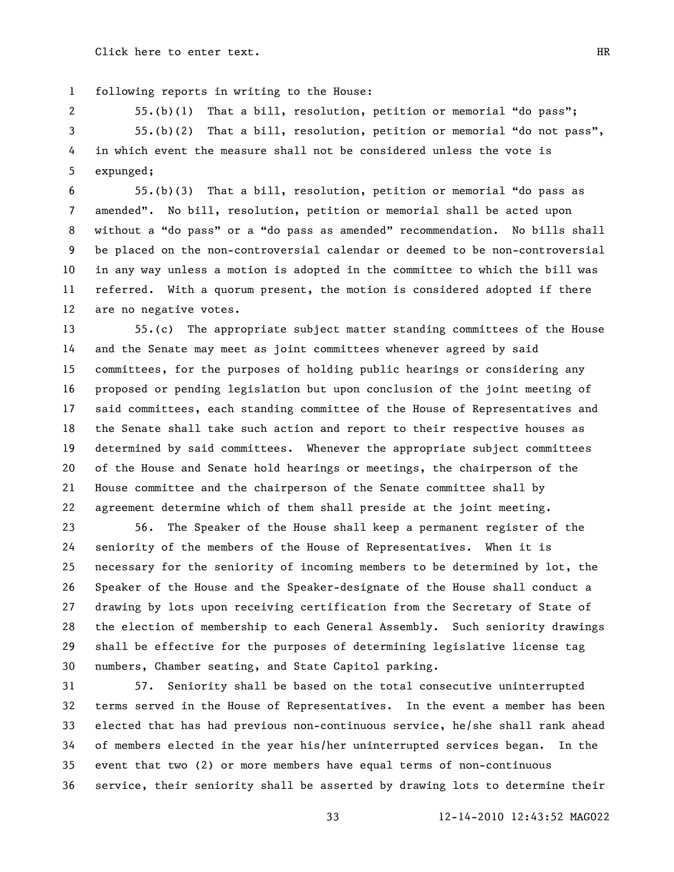following reports in writing to the House:

2 55.(b)(1) That a bill, resolution, petition or memorial "do pass"; 3 55.(b)(2) That a bill, resolution, petition or memorial "do not pass", in which event the measure shall not be considered unless the vote is expunged;

6 55.(b)(3) That a bill, resolution, petition or memorial "do pass as 7 amended". No bill, resolution, petition or memorial shall be acted upon 8 without a "do pass" or a "do pass as amended" recommendation. No bills shall be placed on the non-controversial calendar or deemed to be non-controversial in any way unless a motion is adopted in the committee to which the bill was referred. With a quorum present, the motion is considered adopted if there are no negative votes.

 55.(c) The appropriate subject matter standing committees of the House and the Senate may meet as joint committees whenever agreed by said committees, for the purposes of holding public hearings or considering any proposed or pending legislation but upon conclusion of the joint meeting of said committees, each standing committee of the House of Representatives and the Senate shall take such action and report to their respective houses as determined by said committees. Whenever the appropriate subject committees of the House and Senate hold hearings or meetings, the chairperson of the House committee and the chairperson of the Senate committee shall by agreement determine which of them shall preside at the joint meeting.

 56. The Speaker of the House shall keep a permanent register of the seniority of the members of the House of Representatives. When it is necessary for the seniority of incoming members to be determined by lot, the Speaker of the House and the Speaker-designate of the House shall conduct a drawing by lots upon receiving certification from the Secretary of State of the election of membership to each General Assembly. Such seniority drawings shall be effective for the purposes of determining legislative license tag numbers, Chamber seating, and State Capitol parking.

 57. Seniority shall be based on the total consecutive uninterrupted terms served in the House of Representatives. In the event a member has been elected that has had previous non-continuous service, he/she shall rank ahead of members elected in the year his/her uninterrupted services began. In the event that two (2) or more members have equal terms of non-continuous service, their seniority shall be asserted by drawing lots to determine their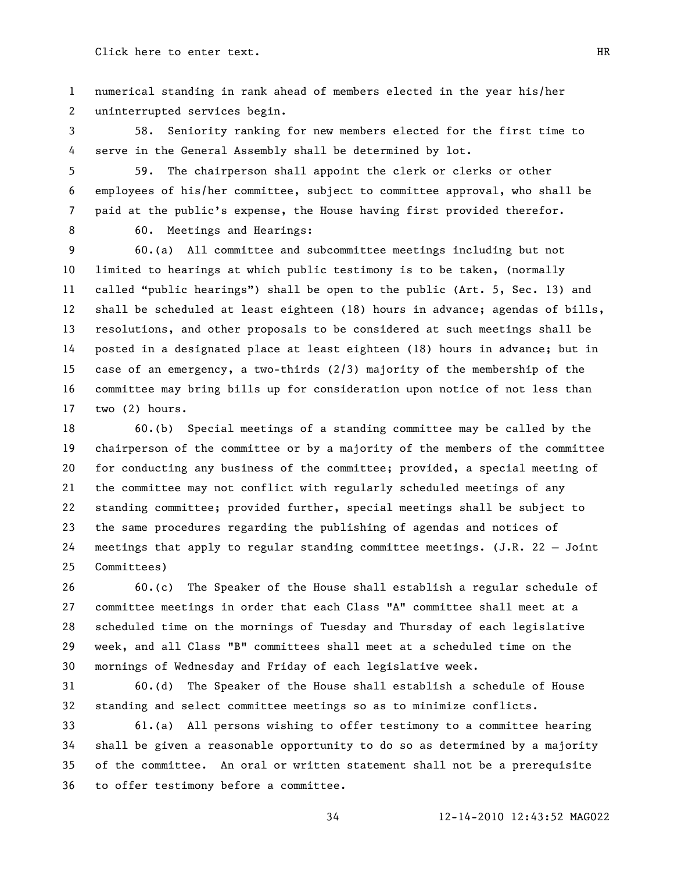numerical standing in rank ahead of members elected in the year his/her uninterrupted services begin.

 58. Seniority ranking for new members elected for the first time to serve in the General Assembly shall be determined by lot.

 59. The chairperson shall appoint the clerk or clerks or other employees of his/her committee, subject to committee approval, who shall be paid at the public's expense, the House having first provided therefor.

8 60. Meetings and Hearings:

 60.(a) All committee and subcommittee meetings including but not limited to hearings at which public testimony is to be taken, (normally 11 called "public hearings") shall be open to the public (Art. 5, Sec. 13) and shall be scheduled at least eighteen (18) hours in advance; agendas of bills, resolutions, and other proposals to be considered at such meetings shall be posted in a designated place at least eighteen (18) hours in advance; but in case of an emergency, a two-thirds (2/3) majority of the membership of the committee may bring bills up for consideration upon notice of not less than two (2) hours.

 60.(b) Special meetings of a standing committee may be called by the chairperson of the committee or by a majority of the members of the committee for conducting any business of the committee; provided, a special meeting of the committee may not conflict with regularly scheduled meetings of any standing committee; provided further, special meetings shall be subject to the same procedures regarding the publishing of agendas and notices of meetings that apply to regular standing committee meetings. (J.R. 22 – Joint Committees)

 60.(c) The Speaker of the House shall establish a regular schedule of committee meetings in order that each Class "A" committee shall meet at a scheduled time on the mornings of Tuesday and Thursday of each legislative week, and all Class "B" committees shall meet at a scheduled time on the mornings of Wednesday and Friday of each legislative week.

 60.(d) The Speaker of the House shall establish a schedule of House standing and select committee meetings so as to minimize conflicts.

 61.(a) All persons wishing to offer testimony to a committee hearing shall be given a reasonable opportunity to do so as determined by a majority of the committee. An oral or written statement shall not be a prerequisite to offer testimony before a committee.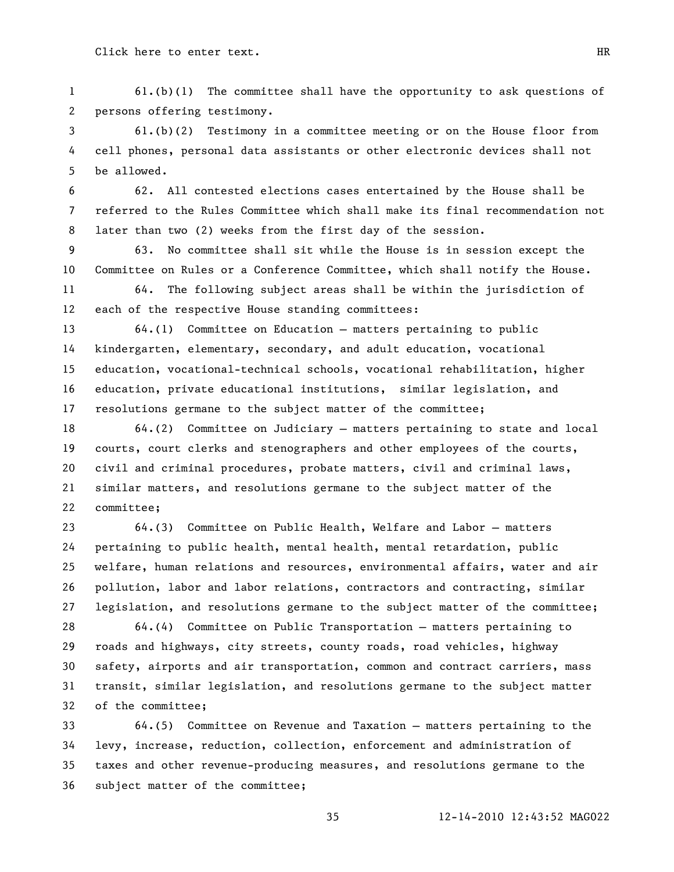61.(b)(1) The committee shall have the opportunity to ask questions of persons offering testimony.

 61.(b)(2) Testimony in a committee meeting or on the House floor from cell phones, personal data assistants or other electronic devices shall not be allowed.

 62. All contested elections cases entertained by the House shall be referred to the Rules Committee which shall make its final recommendation not later than two (2) weeks from the first day of the session.

 63. No committee shall sit while the House is in session except the Committee on Rules or a Conference Committee, which shall notify the House.

 64. The following subject areas shall be within the jurisdiction of each of the respective House standing committees:

 64.(1) Committee on Education – matters pertaining to public kindergarten, elementary, secondary, and adult education, vocational education, vocational-technical schools, vocational rehabilitation, higher education, private educational institutions, similar legislation, and resolutions germane to the subject matter of the committee;

 64.(2) Committee on Judiciary – matters pertaining to state and local courts, court clerks and stenographers and other employees of the courts, civil and criminal procedures, probate matters, civil and criminal laws, similar matters, and resolutions germane to the subject matter of the committee;

 64.(3) Committee on Public Health, Welfare and Labor – matters pertaining to public health, mental health, mental retardation, public welfare, human relations and resources, environmental affairs, water and air pollution, labor and labor relations, contractors and contracting, similar legislation, and resolutions germane to the subject matter of the committee;

 64.(4) Committee on Public Transportation – matters pertaining to roads and highways, city streets, county roads, road vehicles, highway safety, airports and air transportation, common and contract carriers, mass transit, similar legislation, and resolutions germane to the subject matter of the committee;

 64.(5) Committee on Revenue and Taxation – matters pertaining to the levy, increase, reduction, collection, enforcement and administration of taxes and other revenue-producing measures, and resolutions germane to the subject matter of the committee;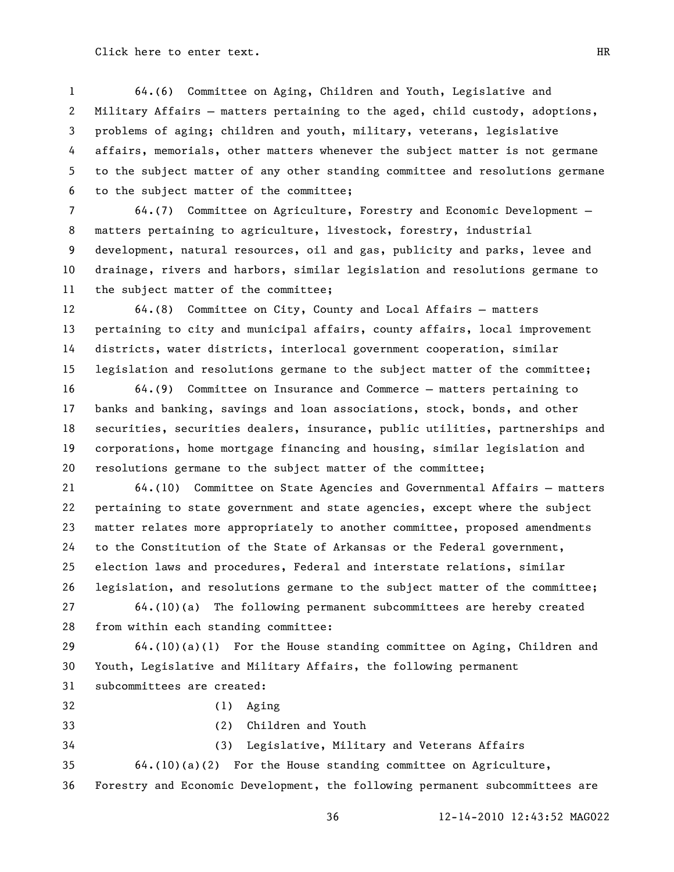64.(6) Committee on Aging, Children and Youth, Legislative and Military Affairs – matters pertaining to the aged, child custody, adoptions, problems of aging; children and youth, military, veterans, legislative affairs, memorials, other matters whenever the subject matter is not germane to the subject matter of any other standing committee and resolutions germane to the subject matter of the committee;

 64.(7) Committee on Agriculture, Forestry and Economic Development – matters pertaining to agriculture, livestock, forestry, industrial development, natural resources, oil and gas, publicity and parks, levee and drainage, rivers and harbors, similar legislation and resolutions germane to the subject matter of the committee;

 64.(8) Committee on City, County and Local Affairs – matters pertaining to city and municipal affairs, county affairs, local improvement districts, water districts, interlocal government cooperation, similar legislation and resolutions germane to the subject matter of the committee;

 64.(9) Committee on Insurance and Commerce – matters pertaining to banks and banking, savings and loan associations, stock, bonds, and other securities, securities dealers, insurance, public utilities, partnerships and corporations, home mortgage financing and housing, similar legislation and resolutions germane to the subject matter of the committee;

 64.(10) Committee on State Agencies and Governmental Affairs – matters pertaining to state government and state agencies, except where the subject matter relates more appropriately to another committee, proposed amendments to the Constitution of the State of Arkansas or the Federal government, election laws and procedures, Federal and interstate relations, similar legislation, and resolutions germane to the subject matter of the committee;

 64.(10)(a) The following permanent subcommittees are hereby created from within each standing committee:

 64.(10)(a)(1) For the House standing committee on Aging, Children and Youth, Legislative and Military Affairs, the following permanent subcommittees are created:

- 
- (1) Aging

- 
- (2) Children and Youth

(3) Legislative, Military and Veterans Affairs

64.(10)(a)(2) For the House standing committee on Agriculture,

Forestry and Economic Development, the following permanent subcommittees are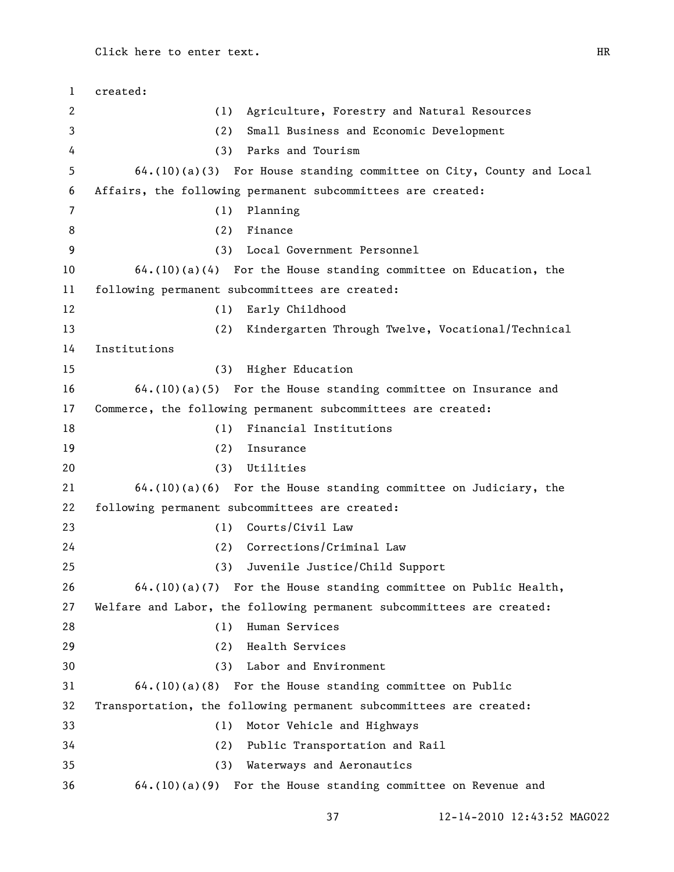created: (1) Agriculture, Forestry and Natural Resources (2) Small Business and Economic Development (3) Parks and Tourism 64.(10)(a)(3) For House standing committee on City, County and Local Affairs, the following permanent subcommittees are created: (1) Planning (2) Finance (3) Local Government Personnel 64.(10)(a)(4) For the House standing committee on Education, the following permanent subcommittees are created: (1) Early Childhood (2) Kindergarten Through Twelve, Vocational/Technical Institutions (3) Higher Education 64.(10)(a)(5) For the House standing committee on Insurance and Commerce, the following permanent subcommittees are created: (1) Financial Institutions (2) Insurance (3) Utilities 64.(10)(a)(6) For the House standing committee on Judiciary, the following permanent subcommittees are created: (1) Courts/Civil Law (2) Corrections/Criminal Law (3) Juvenile Justice/Child Support 64.(10)(a)(7) For the House standing committee on Public Health, Welfare and Labor, the following permanent subcommittees are created: (1) Human Services (2) Health Services (3) Labor and Environment 64.(10)(a)(8) For the House standing committee on Public Transportation, the following permanent subcommittees are created: (1) Motor Vehicle and Highways (2) Public Transportation and Rail (3) Waterways and Aeronautics 64.(10)(a)(9) For the House standing committee on Revenue and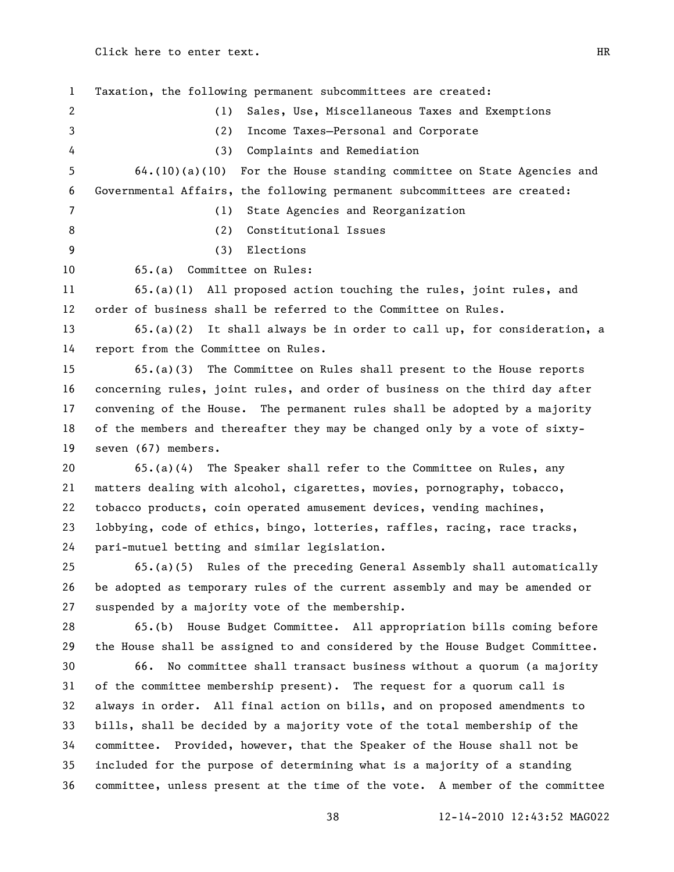Taxation, the following permanent subcommittees are created: (1) Sales, Use, Miscellaneous Taxes and Exemptions (2) Income Taxes—Personal and Corporate (3) Complaints and Remediation 64.(10)(a)(10) For the House standing committee on State Agencies and Governmental Affairs, the following permanent subcommittees are created: (1) State Agencies and Reorganization (2) Constitutional Issues (3) Elections 65.(a) Committee on Rules: 65.(a)(1) All proposed action touching the rules, joint rules, and order of business shall be referred to the Committee on Rules. 65.(a)(2) It shall always be in order to call up, for consideration, a report from the Committee on Rules. 65.(a)(3) The Committee on Rules shall present to the House reports concerning rules, joint rules, and order of business on the third day after convening of the House. The permanent rules shall be adopted by a majority of the members and thereafter they may be changed only by a vote of sixty- seven (67) members. 65.(a)(4) The Speaker shall refer to the Committee on Rules, any matters dealing with alcohol, cigarettes, movies, pornography, tobacco, tobacco products, coin operated amusement devices, vending machines, lobbying, code of ethics, bingo, lotteries, raffles, racing, race tracks, pari-mutuel betting and similar legislation. 65.(a)(5) Rules of the preceding General Assembly shall automatically be adopted as temporary rules of the current assembly and may be amended or suspended by a majority vote of the membership. 65.(b) House Budget Committee. All appropriation bills coming before the House shall be assigned to and considered by the House Budget Committee. 66. No committee shall transact business without a quorum (a majority of the committee membership present). The request for a quorum call is always in order. All final action on bills, and on proposed amendments to bills, shall be decided by a majority vote of the total membership of the committee. Provided, however, that the Speaker of the House shall not be included for the purpose of determining what is a majority of a standing committee, unless present at the time of the vote. A member of the committee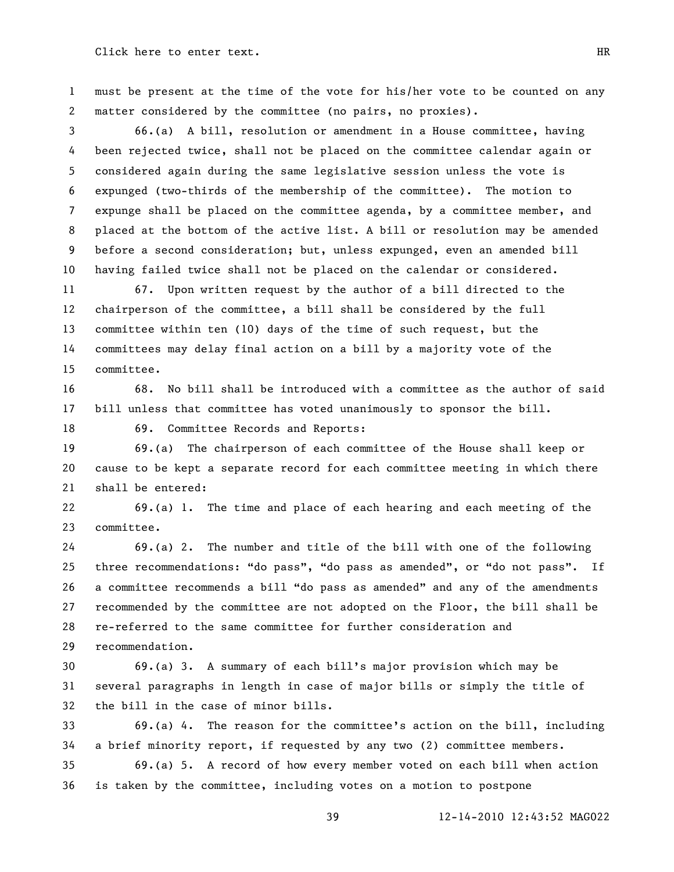must be present at the time of the vote for his/her vote to be counted on any matter considered by the committee (no pairs, no proxies).

 66.(a) A bill, resolution or amendment in a House committee, having been rejected twice, shall not be placed on the committee calendar again or considered again during the same legislative session unless the vote is expunged (two-thirds of the membership of the committee). The motion to expunge shall be placed on the committee agenda, by a committee member, and placed at the bottom of the active list. A bill or resolution may be amended before a second consideration; but, unless expunged, even an amended bill having failed twice shall not be placed on the calendar or considered.

 67. Upon written request by the author of a bill directed to the chairperson of the committee, a bill shall be considered by the full committee within ten (10) days of the time of such request, but the committees may delay final action on a bill by a majority vote of the committee.

 68. No bill shall be introduced with a committee as the author of said bill unless that committee has voted unanimously to sponsor the bill.

69. Committee Records and Reports:

 69.(a) The chairperson of each committee of the House shall keep or cause to be kept a separate record for each committee meeting in which there shall be entered:

 69.(a) 1. The time and place of each hearing and each meeting of the committee.

 69.(a) 2. The number and title of the bill with one of the following 25 three recommendations: "do pass", "do pass as amended", or "do not pass". If 26 a committee recommends a bill "do pass as amended" and any of the amendments recommended by the committee are not adopted on the Floor, the bill shall be re-referred to the same committee for further consideration and recommendation.

 69.(a) 3. A summary of each bill's major provision which may be several paragraphs in length in case of major bills or simply the title of the bill in the case of minor bills.

 69.(a) 4. The reason for the committee's action on the bill, including a brief minority report, if requested by any two (2) committee members.

 69.(a) 5. A record of how every member voted on each bill when action is taken by the committee, including votes on a motion to postpone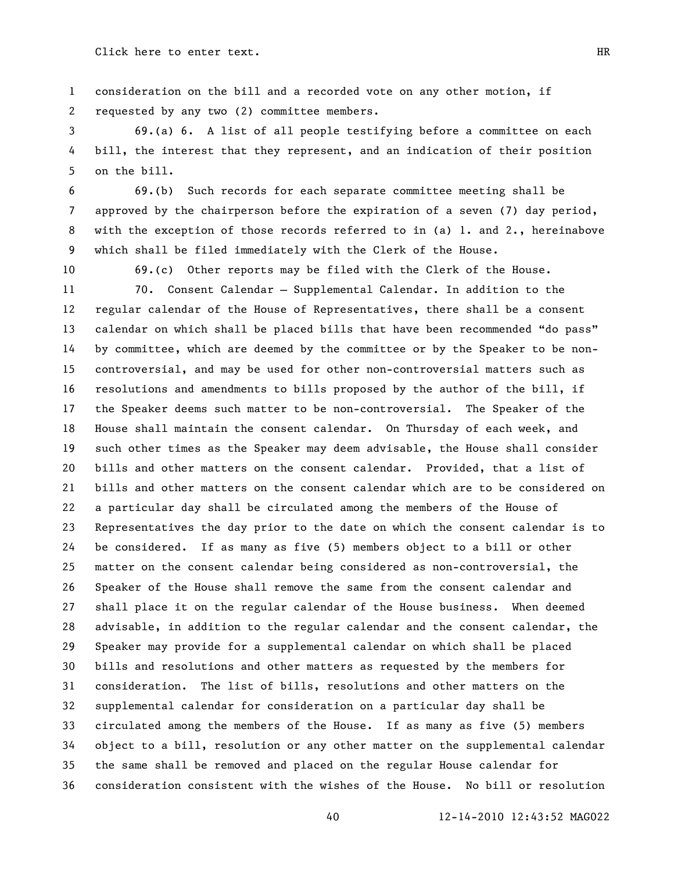consideration on the bill and a recorded vote on any other motion, if requested by any two (2) committee members.

 69.(a) 6. A list of all people testifying before a committee on each bill, the interest that they represent, and an indication of their position on the bill.

 69.(b) Such records for each separate committee meeting shall be approved by the chairperson before the expiration of a seven (7) day period, with the exception of those records referred to in (a) 1. and 2., hereinabove which shall be filed immediately with the Clerk of the House.

69.(c) Other reports may be filed with the Clerk of the House.

 70. Consent Calendar – Supplemental Calendar. In addition to the regular calendar of the House of Representatives, there shall be a consent 13 calendar on which shall be placed bills that have been recommended "do pass" by committee, which are deemed by the committee or by the Speaker to be non- controversial, and may be used for other non-controversial matters such as resolutions and amendments to bills proposed by the author of the bill, if the Speaker deems such matter to be non-controversial. The Speaker of the House shall maintain the consent calendar. On Thursday of each week, and such other times as the Speaker may deem advisable, the House shall consider bills and other matters on the consent calendar. Provided, that a list of bills and other matters on the consent calendar which are to be considered on a particular day shall be circulated among the members of the House of Representatives the day prior to the date on which the consent calendar is to be considered. If as many as five (5) members object to a bill or other matter on the consent calendar being considered as non-controversial, the Speaker of the House shall remove the same from the consent calendar and shall place it on the regular calendar of the House business. When deemed advisable, in addition to the regular calendar and the consent calendar, the Speaker may provide for a supplemental calendar on which shall be placed bills and resolutions and other matters as requested by the members for consideration. The list of bills, resolutions and other matters on the supplemental calendar for consideration on a particular day shall be circulated among the members of the House. If as many as five (5) members object to a bill, resolution or any other matter on the supplemental calendar the same shall be removed and placed on the regular House calendar for consideration consistent with the wishes of the House. No bill or resolution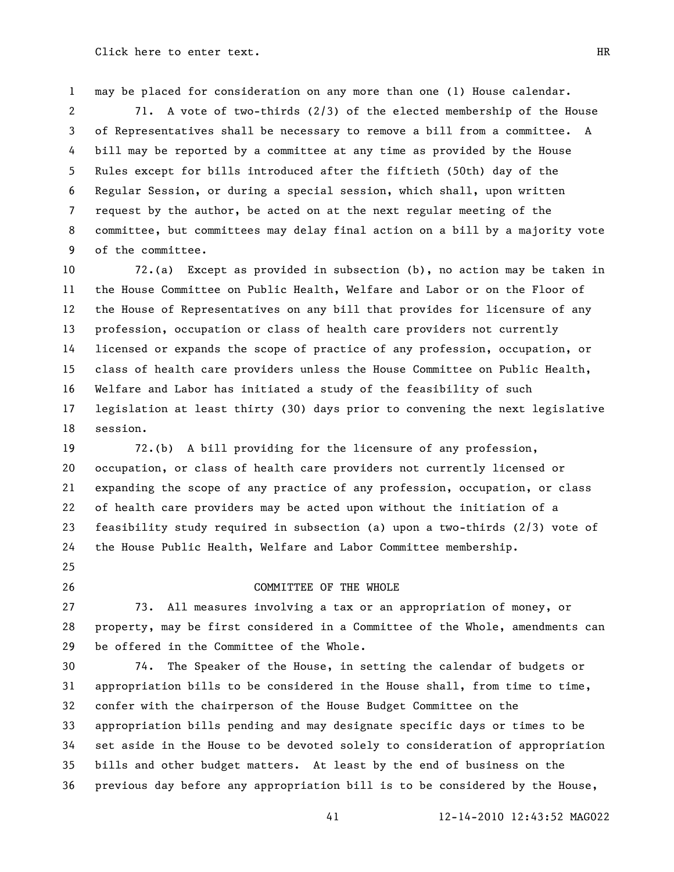may be placed for consideration on any more than one (1) House calendar.

 71. A vote of two-thirds (2/3) of the elected membership of the House of Representatives shall be necessary to remove a bill from a committee. A bill may be reported by a committee at any time as provided by the House Rules except for bills introduced after the fiftieth (50th) day of the Regular Session, or during a special session, which shall, upon written request by the author, be acted on at the next regular meeting of the committee, but committees may delay final action on a bill by a majority vote of the committee.

 72.(a) Except as provided in subsection (b), no action may be taken in the House Committee on Public Health, Welfare and Labor or on the Floor of the House of Representatives on any bill that provides for licensure of any profession, occupation or class of health care providers not currently licensed or expands the scope of practice of any profession, occupation, or class of health care providers unless the House Committee on Public Health, Welfare and Labor has initiated a study of the feasibility of such legislation at least thirty (30) days prior to convening the next legislative session.

 72.(b) A bill providing for the licensure of any profession, occupation, or class of health care providers not currently licensed or expanding the scope of any practice of any profession, occupation, or class of health care providers may be acted upon without the initiation of a feasibility study required in subsection (a) upon a two-thirds (2/3) vote of the House Public Health, Welfare and Labor Committee membership.

#### 26 COMMITTEE OF THE WHOLE

 73. All measures involving a tax or an appropriation of money, or property, may be first considered in a Committee of the Whole, amendments can be offered in the Committee of the Whole.

 74. The Speaker of the House, in setting the calendar of budgets or appropriation bills to be considered in the House shall, from time to time, confer with the chairperson of the House Budget Committee on the appropriation bills pending and may designate specific days or times to be set aside in the House to be devoted solely to consideration of appropriation bills and other budget matters. At least by the end of business on the previous day before any appropriation bill is to be considered by the House,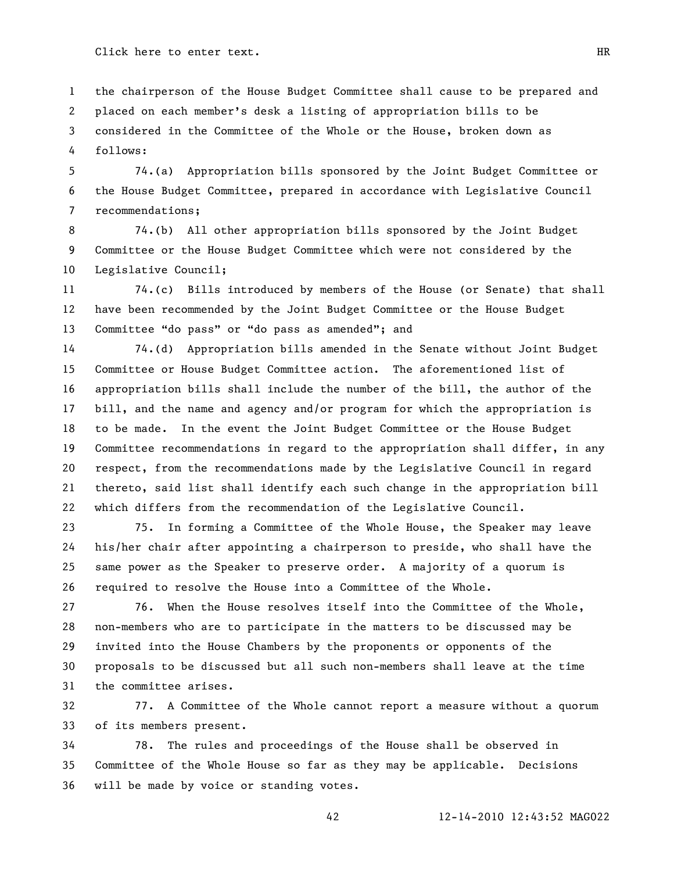the chairperson of the House Budget Committee shall cause to be prepared and placed on each member's desk a listing of appropriation bills to be considered in the Committee of the Whole or the House, broken down as follows:

 74.(a) Appropriation bills sponsored by the Joint Budget Committee or the House Budget Committee, prepared in accordance with Legislative Council recommendations;

 74.(b) All other appropriation bills sponsored by the Joint Budget Committee or the House Budget Committee which were not considered by the Legislative Council;

 74.(c) Bills introduced by members of the House (or Senate) that shall have been recommended by the Joint Budget Committee or the House Budget 13 Committee "do pass" or "do pass as amended"; and

 74.(d) Appropriation bills amended in the Senate without Joint Budget Committee or House Budget Committee action. The aforementioned list of appropriation bills shall include the number of the bill, the author of the bill, and the name and agency and/or program for which the appropriation is to be made. In the event the Joint Budget Committee or the House Budget Committee recommendations in regard to the appropriation shall differ, in any respect, from the recommendations made by the Legislative Council in regard thereto, said list shall identify each such change in the appropriation bill which differs from the recommendation of the Legislative Council.

 75. In forming a Committee of the Whole House, the Speaker may leave his/her chair after appointing a chairperson to preside, who shall have the same power as the Speaker to preserve order. A majority of a quorum is required to resolve the House into a Committee of the Whole.

 76. When the House resolves itself into the Committee of the Whole, non-members who are to participate in the matters to be discussed may be invited into the House Chambers by the proponents or opponents of the proposals to be discussed but all such non-members shall leave at the time the committee arises.

 77. A Committee of the Whole cannot report a measure without a quorum of its members present.

 78. The rules and proceedings of the House shall be observed in Committee of the Whole House so far as they may be applicable. Decisions will be made by voice or standing votes.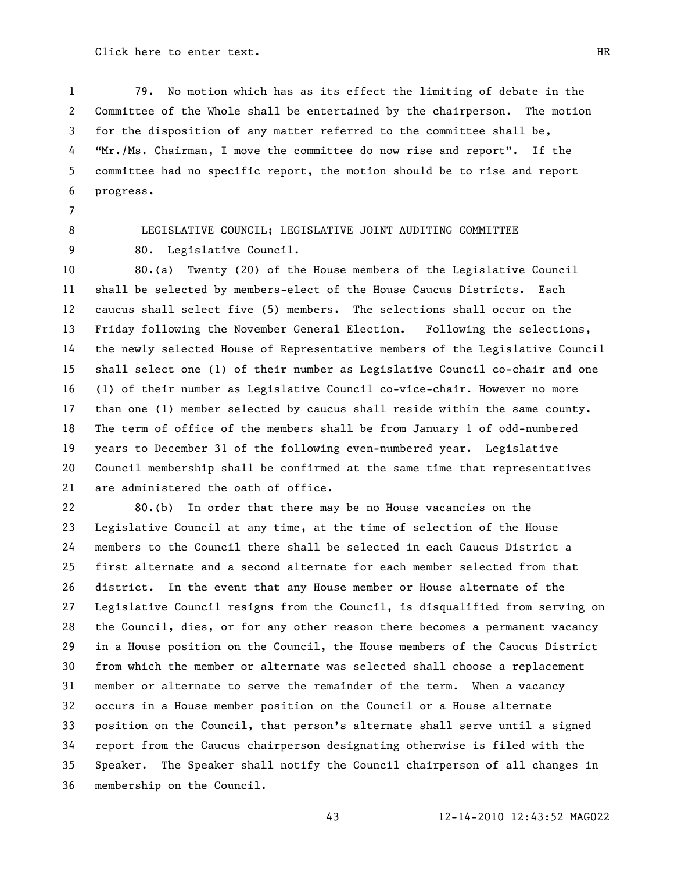79. No motion which has as its effect the limiting of debate in the Committee of the Whole shall be entertained by the chairperson. The motion for the disposition of any matter referred to the committee shall be, 4 "Mr./Ms. Chairman, I move the committee do now rise and report". If the committee had no specific report, the motion should be to rise and report progress.

# 8 LEGISLATIVE COUNCIL; LEGISLATIVE JOINT AUDITING COMMITTEE 80. Legislative Council.

 80.(a) Twenty (20) of the House members of the Legislative Council shall be selected by members-elect of the House Caucus Districts. Each caucus shall select five (5) members. The selections shall occur on the Friday following the November General Election. Following the selections, the newly selected House of Representative members of the Legislative Council shall select one (1) of their number as Legislative Council co-chair and one (1) of their number as Legislative Council co-vice-chair. However no more than one (1) member selected by caucus shall reside within the same county. The term of office of the members shall be from January 1 of odd-numbered years to December 31 of the following even-numbered year. Legislative Council membership shall be confirmed at the same time that representatives are administered the oath of office.

 80.(b) In order that there may be no House vacancies on the Legislative Council at any time, at the time of selection of the House members to the Council there shall be selected in each Caucus District a first alternate and a second alternate for each member selected from that district. In the event that any House member or House alternate of the Legislative Council resigns from the Council, is disqualified from serving on the Council, dies, or for any other reason there becomes a permanent vacancy in a House position on the Council, the House members of the Caucus District from which the member or alternate was selected shall choose a replacement member or alternate to serve the remainder of the term. When a vacancy occurs in a House member position on the Council or a House alternate position on the Council, that person's alternate shall serve until a signed report from the Caucus chairperson designating otherwise is filed with the Speaker. The Speaker shall notify the Council chairperson of all changes in membership on the Council.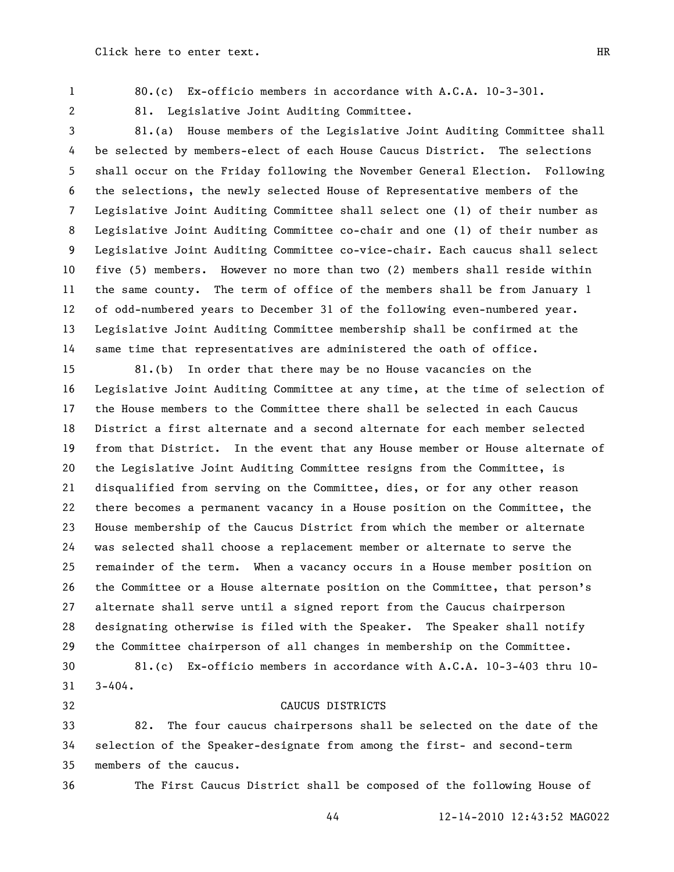- 
- 80.(c) Ex-officio members in accordance with A.C.A. 10-3-301.
- 

81. Legislative Joint Auditing Committee.

 81.(a) House members of the Legislative Joint Auditing Committee shall be selected by members-elect of each House Caucus District. The selections shall occur on the Friday following the November General Election. Following the selections, the newly selected House of Representative members of the Legislative Joint Auditing Committee shall select one (1) of their number as Legislative Joint Auditing Committee co-chair and one (1) of their number as Legislative Joint Auditing Committee co-vice-chair. Each caucus shall select five (5) members. However no more than two (2) members shall reside within the same county. The term of office of the members shall be from January 1 of odd-numbered years to December 31 of the following even-numbered year. Legislative Joint Auditing Committee membership shall be confirmed at the same time that representatives are administered the oath of office.

 81.(b) In order that there may be no House vacancies on the Legislative Joint Auditing Committee at any time, at the time of selection of the House members to the Committee there shall be selected in each Caucus District a first alternate and a second alternate for each member selected from that District. In the event that any House member or House alternate of the Legislative Joint Auditing Committee resigns from the Committee, is disqualified from serving on the Committee, dies, or for any other reason there becomes a permanent vacancy in a House position on the Committee, the House membership of the Caucus District from which the member or alternate was selected shall choose a replacement member or alternate to serve the remainder of the term. When a vacancy occurs in a House member position on the Committee or a House alternate position on the Committee, that person's alternate shall serve until a signed report from the Caucus chairperson designating otherwise is filed with the Speaker. The Speaker shall notify the Committee chairperson of all changes in membership on the Committee.

 81.(c) Ex-officio members in accordance with A.C.A. 10-3-403 thru 10- 3-404.

32 CAUCUS DISTRICTS

 82. The four caucus chairpersons shall be selected on the date of the selection of the Speaker-designate from among the first- and second-term members of the caucus.

The First Caucus District shall be composed of the following House of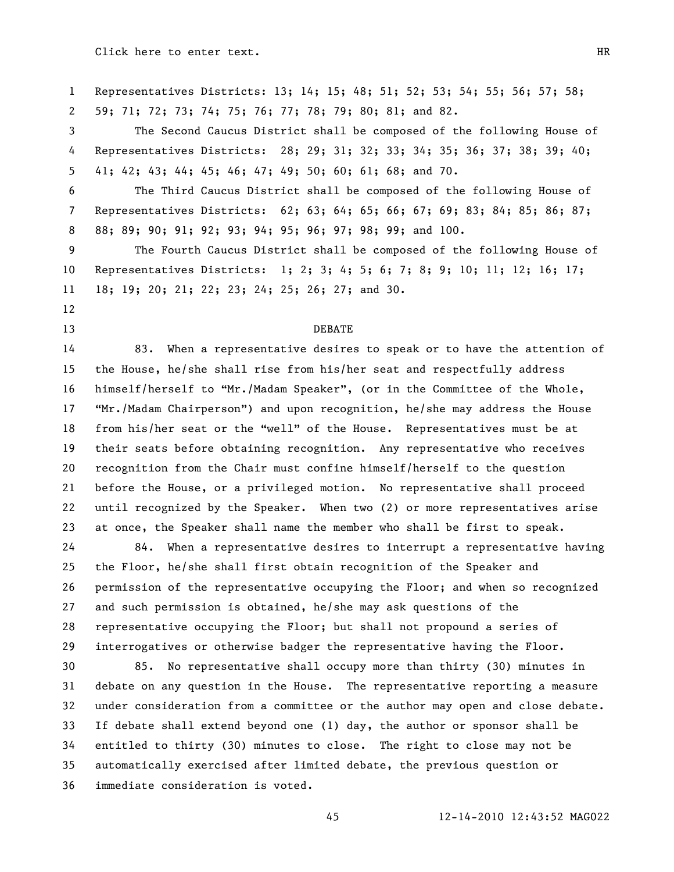Representatives Districts: 13; 14; 15; 48; 51; 52; 53; 54; 55; 56; 57; 58; 59; 71; 72; 73; 74; 75; 76; 77; 78; 79; 80; 81; and 82. The Second Caucus District shall be composed of the following House of Representatives Districts: 28; 29; 31; 32; 33; 34; 35; 36; 37; 38; 39; 40; 41; 42; 43; 44; 45; 46; 47; 49; 50; 60; 61; 68; and 70. The Third Caucus District shall be composed of the following House of Representatives Districts: 62; 63; 64; 65; 66; 67; 69; 83; 84; 85; 86; 87; 88; 89; 90; 91; 92; 93; 94; 95; 96; 97; 98; 99; and 100. The Fourth Caucus District shall be composed of the following House of Representatives Districts: 1; 2; 3; 4; 5; 6; 7; 8; 9; 10; 11; 12; 16; 17; 18; 19; 20; 21; 22; 23; 24; 25; 26; 27; and 30. 13 DEBATE 83. When a representative desires to speak or to have the attention of the House, he/she shall rise from his/her seat and respectfully address 16 himself/herself to "Mr./Madam Speaker", (or in the Committee of the Whole, **"Mr./Madam Chairperson")** and upon recognition, he/she may address the House 18 from his/her seat or the "well" of the House. Representatives must be at their seats before obtaining recognition. Any representative who receives recognition from the Chair must confine himself/herself to the question before the House, or a privileged motion. No representative shall proceed until recognized by the Speaker. When two (2) or more representatives arise at once, the Speaker shall name the member who shall be first to speak. 84. When a representative desires to interrupt a representative having the Floor, he/she shall first obtain recognition of the Speaker and permission of the representative occupying the Floor; and when so recognized and such permission is obtained, he/she may ask questions of the representative occupying the Floor; but shall not propound a series of interrogatives or otherwise badger the representative having the Floor. 85. No representative shall occupy more than thirty (30) minutes in debate on any question in the House. The representative reporting a measure under consideration from a committee or the author may open and close debate. If debate shall extend beyond one (1) day, the author or sponsor shall be entitled to thirty (30) minutes to close. The right to close may not be automatically exercised after limited debate, the previous question or immediate consideration is voted.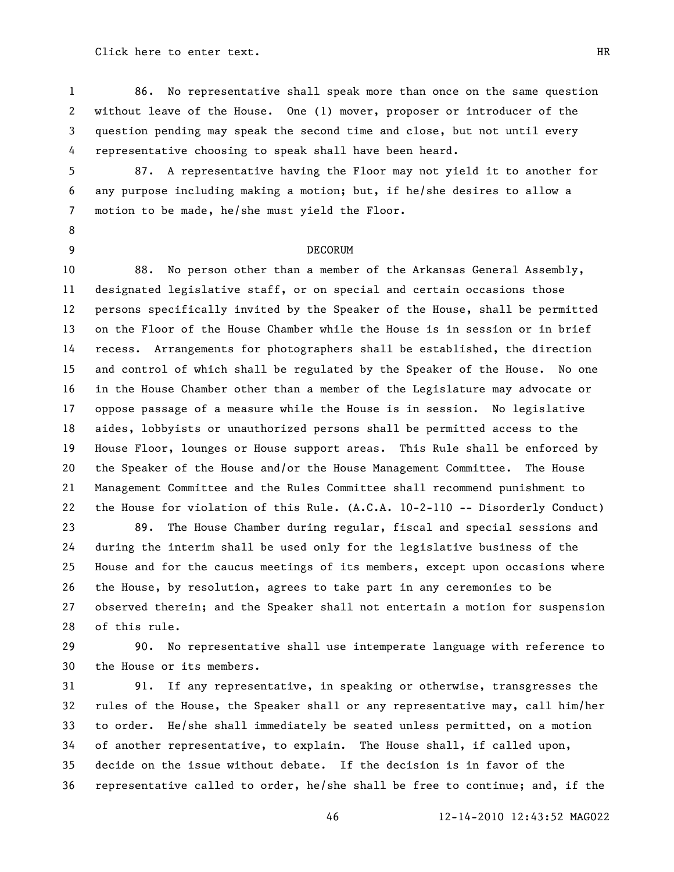86. No representative shall speak more than once on the same question without leave of the House. One (1) mover, proposer or introducer of the question pending may speak the second time and close, but not until every representative choosing to speak shall have been heard.

 87. A representative having the Floor may not yield it to another for any purpose including making a motion; but, if he/she desires to allow a motion to be made, he/she must yield the Floor.

### 9 DECORUM

 88. No person other than a member of the Arkansas General Assembly, designated legislative staff, or on special and certain occasions those persons specifically invited by the Speaker of the House, shall be permitted on the Floor of the House Chamber while the House is in session or in brief recess. Arrangements for photographers shall be established, the direction and control of which shall be regulated by the Speaker of the House. No one in the House Chamber other than a member of the Legislature may advocate or oppose passage of a measure while the House is in session. No legislative aides, lobbyists or unauthorized persons shall be permitted access to the House Floor, lounges or House support areas. This Rule shall be enforced by the Speaker of the House and/or the House Management Committee. The House Management Committee and the Rules Committee shall recommend punishment to the House for violation of this Rule. (A.C.A. 10-2-110 -- Disorderly Conduct)

 89. The House Chamber during regular, fiscal and special sessions and during the interim shall be used only for the legislative business of the House and for the caucus meetings of its members, except upon occasions where the House, by resolution, agrees to take part in any ceremonies to be observed therein; and the Speaker shall not entertain a motion for suspension of this rule.

 90. No representative shall use intemperate language with reference to the House or its members.

 91. If any representative, in speaking or otherwise, transgresses the rules of the House, the Speaker shall or any representative may, call him/her to order. He/she shall immediately be seated unless permitted, on a motion of another representative, to explain. The House shall, if called upon, decide on the issue without debate. If the decision is in favor of the representative called to order, he/she shall be free to continue; and, if the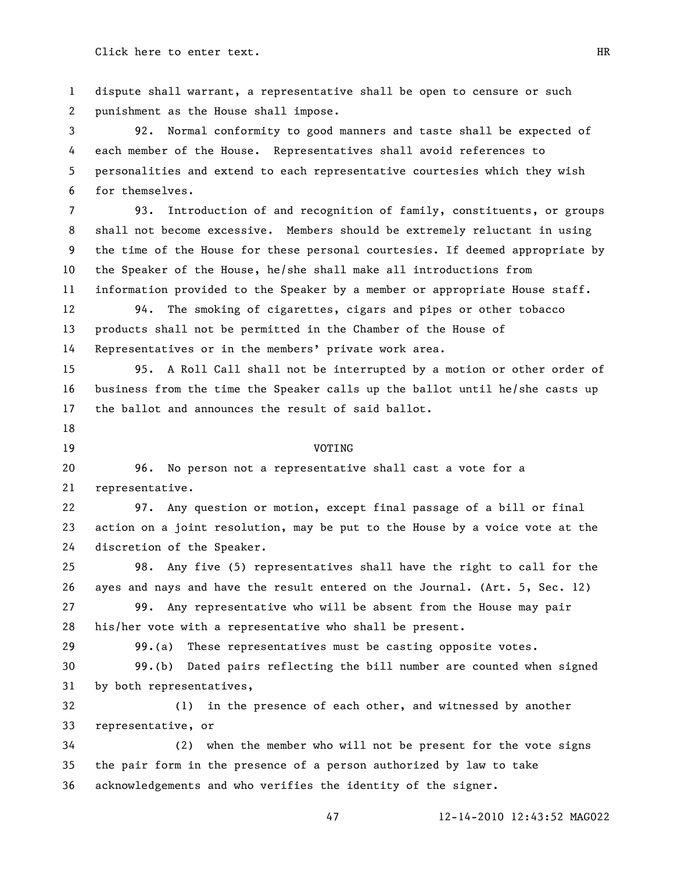dispute shall warrant, a representative shall be open to censure or such punishment as the House shall impose.

 92. Normal conformity to good manners and taste shall be expected of each member of the House. Representatives shall avoid references to personalities and extend to each representative courtesies which they wish for themselves.

 93. Introduction of and recognition of family, constituents, or groups shall not become excessive. Members should be extremely reluctant in using the time of the House for these personal courtesies. If deemed appropriate by the Speaker of the House, he/she shall make all introductions from information provided to the Speaker by a member or appropriate House staff.

 94. The smoking of cigarettes, cigars and pipes or other tobacco products shall not be permitted in the Chamber of the House of Representatives or in the members' private work area.

 95. A Roll Call shall not be interrupted by a motion or other order of business from the time the Speaker calls up the ballot until he/she casts up the ballot and announces the result of said ballot.

#### 19 VOTING

 96. No person not a representative shall cast a vote for a representative.

 97. Any question or motion, except final passage of a bill or final action on a joint resolution, may be put to the House by a voice vote at the discretion of the Speaker.

 98. Any five (5) representatives shall have the right to call for the ayes and nays and have the result entered on the Journal. (Art. 5, Sec. 12)

 99. Any representative who will be absent from the House may pair his/her vote with a representative who shall be present.

99.(a) These representatives must be casting opposite votes.

 99.(b) Dated pairs reflecting the bill number are counted when signed by both representatives,

 (1) in the presence of each other, and witnessed by another representative, or

 (2) when the member who will not be present for the vote signs the pair form in the presence of a person authorized by law to take acknowledgements and who verifies the identity of the signer.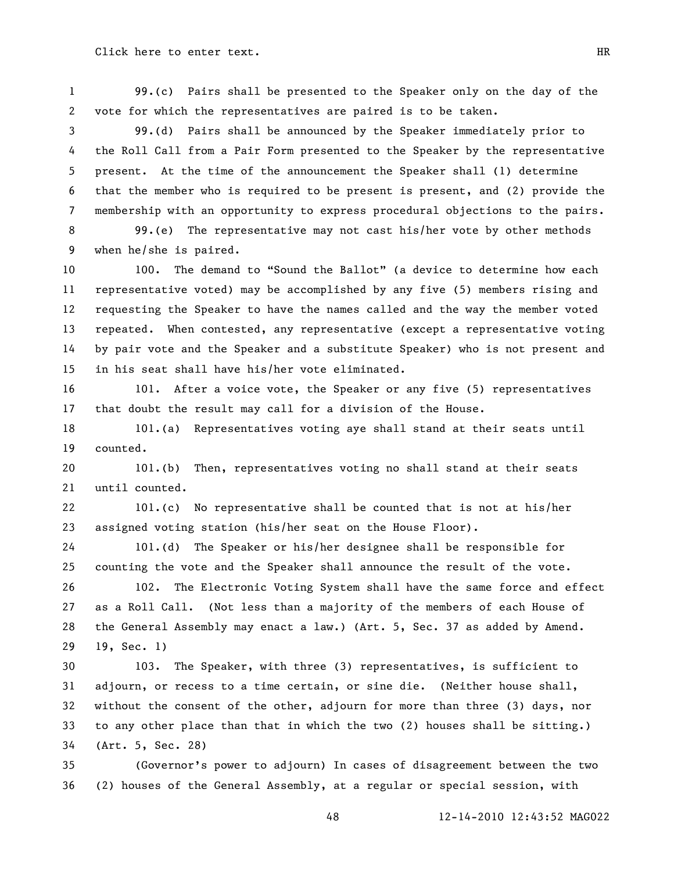99.(c) Pairs shall be presented to the Speaker only on the day of the vote for which the representatives are paired is to be taken.

 99.(d) Pairs shall be announced by the Speaker immediately prior to the Roll Call from a Pair Form presented to the Speaker by the representative present. At the time of the announcement the Speaker shall (1) determine that the member who is required to be present is present, and (2) provide the membership with an opportunity to express procedural objections to the pairs.

 99.(e) The representative may not cast his/her vote by other methods when he/she is paired.

10 100. The demand to "Sound the Ballot" (a device to determine how each representative voted) may be accomplished by any five (5) members rising and requesting the Speaker to have the names called and the way the member voted repeated. When contested, any representative (except a representative voting by pair vote and the Speaker and a substitute Speaker) who is not present and in his seat shall have his/her vote eliminated.

 101. After a voice vote, the Speaker or any five (5) representatives that doubt the result may call for a division of the House.

 101.(a) Representatives voting aye shall stand at their seats until counted.

 101.(b) Then, representatives voting no shall stand at their seats until counted.

 101.(c) No representative shall be counted that is not at his/her assigned voting station (his/her seat on the House Floor).

 101.(d) The Speaker or his/her designee shall be responsible for counting the vote and the Speaker shall announce the result of the vote.

 102. The Electronic Voting System shall have the same force and effect as a Roll Call. (Not less than a majority of the members of each House of the General Assembly may enact a law.) (Art. 5, Sec. 37 as added by Amend. 19, Sec. 1)

 103. The Speaker, with three (3) representatives, is sufficient to adjourn, or recess to a time certain, or sine die. (Neither house shall, without the consent of the other, adjourn for more than three (3) days, nor to any other place than that in which the two (2) houses shall be sitting.) (Art. 5, Sec. 28)

 (Governor's power to adjourn) In cases of disagreement between the two (2) houses of the General Assembly, at a regular or special session, with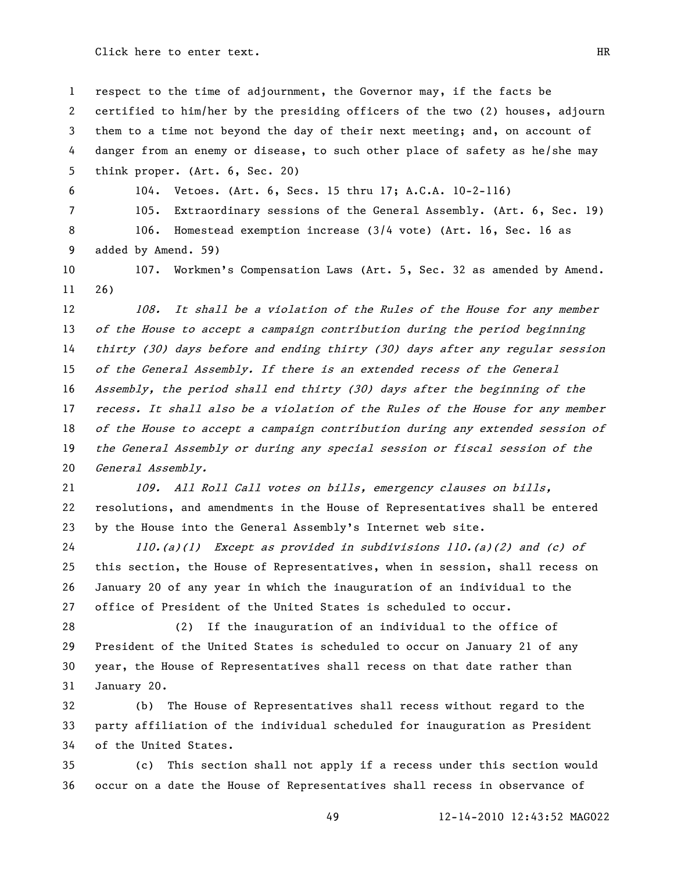respect to the time of adjournment, the Governor may, if the facts be certified to him/her by the presiding officers of the two (2) houses, adjourn them to a time not beyond the day of their next meeting; and, on account of danger from an enemy or disease, to such other place of safety as he/she may think proper. (Art. 6, Sec. 20)

104. Vetoes. (Art. 6, Secs. 15 thru 17; A.C.A. 10-2-116)

105. Extraordinary sessions of the General Assembly. (Art. 6, Sec. 19)

 106. Homestead exemption increase (3/4 vote) (Art. 16, Sec. 16 as added by Amend. 59)

10 107. Workmen's Compensation Laws (Art. 5, Sec. 32 as amended by Amend. 26)

12 108. It shall be a violation of the Rules of the House for any member of the House to accept a campaign contribution during the period beginning thirty (30) days before and ending thirty (30) days after any regular session of the General Assembly. If there is an extended recess of the General Assembly, the period shall end thirty (30) days after the beginning of the 17 recess. It shall also be a violation of the Rules of the House for any member 18 of the House to accept a campaign contribution during any extended session of the General Assembly or during any special session or fiscal session of the General Assembly.

 109. All Roll Call votes on bills, emergency clauses on bills, resolutions, and amendments in the House of Representatives shall be entered by the House into the General Assembly's Internet web site.

 110.(a)(1) Except as provided in subdivisions 110.(a)(2) and (c) of this section, the House of Representatives, when in session, shall recess on January 20 of any year in which the inauguration of an individual to the office of President of the United States is scheduled to occur.

 (2) If the inauguration of an individual to the office of President of the United States is scheduled to occur on January 21 of any year, the House of Representatives shall recess on that date rather than January 20.

 (b) The House of Representatives shall recess without regard to the party affiliation of the individual scheduled for inauguration as President of the United States.

 (c) This section shall not apply if a recess under this section would occur on a date the House of Representatives shall recess in observance of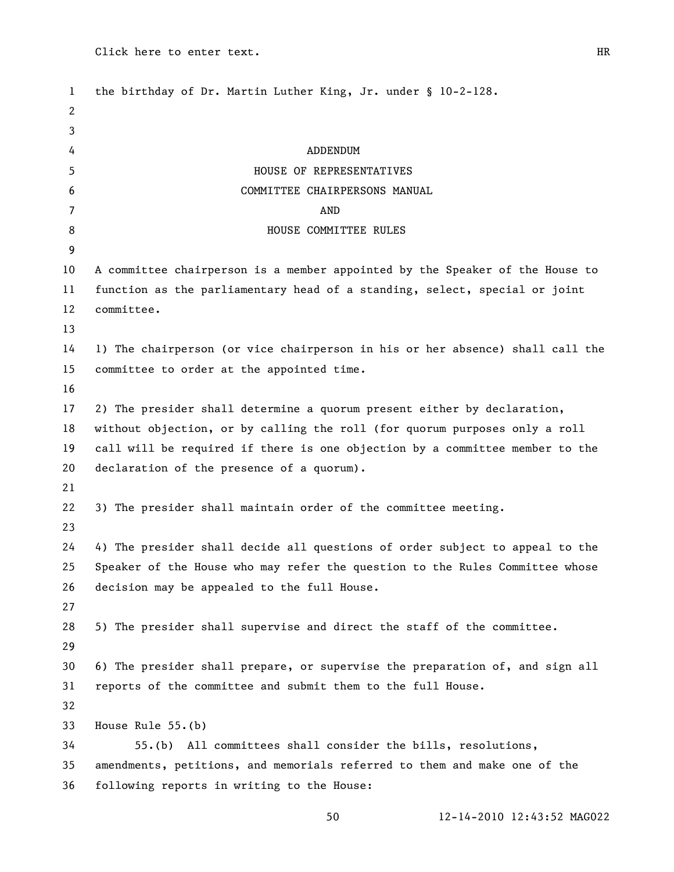| $\mathbf{1}$ | the birthday of Dr. Martin Luther King, Jr. under § 10-2-128.                 |
|--------------|-------------------------------------------------------------------------------|
| 2            |                                                                               |
| 3            |                                                                               |
| 4            | ADDENDUM                                                                      |
| 5            | HOUSE OF REPRESENTATIVES                                                      |
| 6            | COMMITTEE CHAIRPERSONS MANUAL                                                 |
| 7            | <b>AND</b>                                                                    |
| 8            | HOUSE COMMITTEE RULES                                                         |
| 9            |                                                                               |
| 10           | A committee chairperson is a member appointed by the Speaker of the House to  |
| 11           | function as the parliamentary head of a standing, select, special or joint    |
| 12           | committee.                                                                    |
| 13           |                                                                               |
| 14           | 1) The chairperson (or vice chairperson in his or her absence) shall call the |
| 15           | committee to order at the appointed time.                                     |
| 16           |                                                                               |
| 17           | 2) The presider shall determine a quorum present either by declaration,       |
| 18           | without objection, or by calling the roll (for quorum purposes only a roll    |
| 19           | call will be required if there is one objection by a committee member to the  |
| 20           | declaration of the presence of a quorum).                                     |
| 21           |                                                                               |
| 22           | 3) The presider shall maintain order of the committee meeting.                |
| 23           |                                                                               |
| 24           | 4) The presider shall decide all questions of order subject to appeal to the  |
| 25           | Speaker of the House who may refer the question to the Rules Committee whose  |
| 26           | decision may be appealed to the full House.                                   |
| 27           |                                                                               |
| 28           | 5) The presider shall supervise and direct the staff of the committee.        |
| 29           |                                                                               |
| 30           | 6) The presider shall prepare, or supervise the preparation of, and sign all  |
| 31           | reports of the committee and submit them to the full House.                   |
| 32           |                                                                               |
| 33           | House Rule 55.(b)                                                             |
| 34           | 55.(b) All committees shall consider the bills, resolutions,                  |
| 35           | amendments, petitions, and memorials referred to them and make one of the     |
| 36           | following reports in writing to the House:                                    |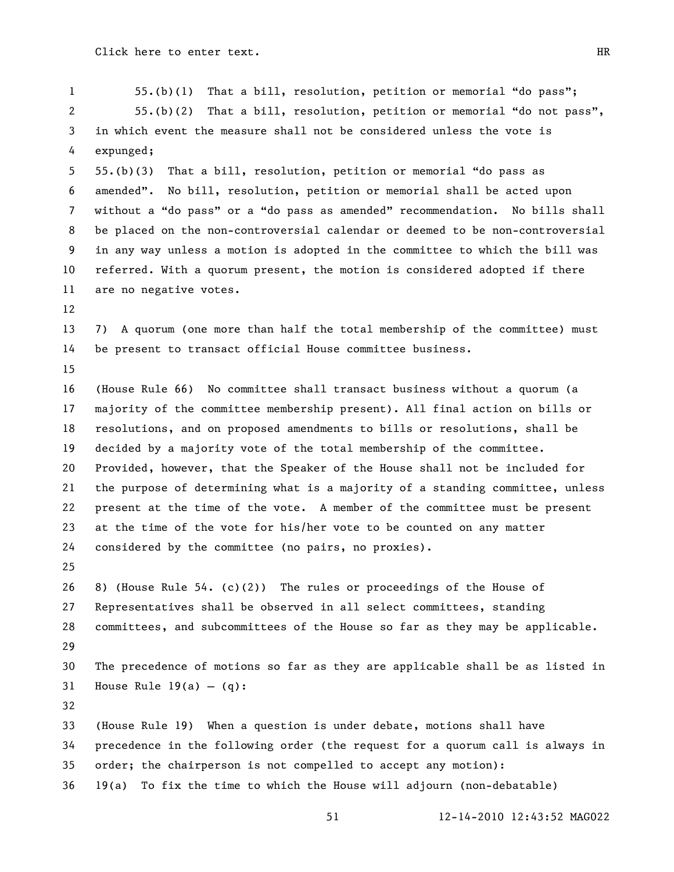1 55.(b)(1) That a bill, resolution, petition or memorial "do pass"; 2 55.(b)(2) That a bill, resolution, petition or memorial "do not pass", in which event the measure shall not be considered unless the vote is expunged; 5 55.(b)(3) That a bill, resolution, petition or memorial "do pass as 6 amended". No bill, resolution, petition or memorial shall be acted upon 7 without a "do pass" or a "do pass as amended" recommendation. No bills shall be placed on the non-controversial calendar or deemed to be non-controversial in any way unless a motion is adopted in the committee to which the bill was referred. With a quorum present, the motion is considered adopted if there are no negative votes. 7) A quorum (one more than half the total membership of the committee) must be present to transact official House committee business. (House Rule 66) No committee shall transact business without a quorum (a majority of the committee membership present). All final action on bills or resolutions, and on proposed amendments to bills or resolutions, shall be decided by a majority vote of the total membership of the committee. Provided, however, that the Speaker of the House shall not be included for the purpose of determining what is a majority of a standing committee, unless present at the time of the vote. A member of the committee must be present at the time of the vote for his/her vote to be counted on any matter considered by the committee (no pairs, no proxies). 8) (House Rule 54. (c)(2)) The rules or proceedings of the House of Representatives shall be observed in all select committees, standing committees, and subcommittees of the House so far as they may be applicable. The precedence of motions so far as they are applicable shall be as listed in 31 House Rule  $19(a) - (q)$ : (House Rule 19) When a question is under debate, motions shall have precedence in the following order (the request for a quorum call is always in order; the chairperson is not compelled to accept any motion): 19(a) To fix the time to which the House will adjourn (non-debatable)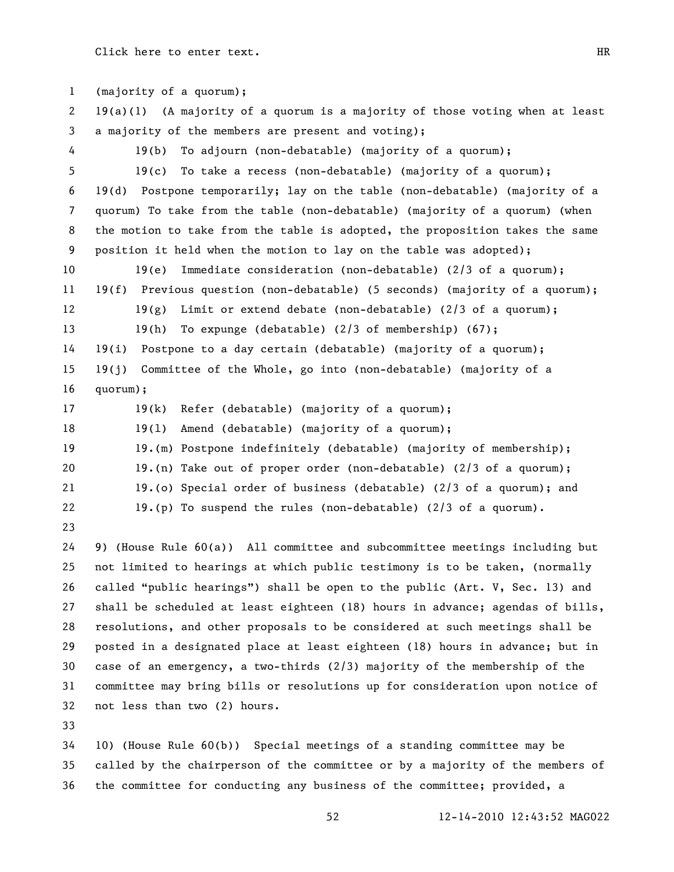(majority of a quorum); 19(a)(1) (A majority of a quorum is a majority of those voting when at least a majority of the members are present and voting); 19(b) To adjourn (non-debatable) (majority of a quorum); 19(c) To take a recess (non-debatable) (majority of a quorum); 19(d) Postpone temporarily; lay on the table (non-debatable) (majority of a quorum) To take from the table (non-debatable) (majority of a quorum) (when the motion to take from the table is adopted, the proposition takes the same position it held when the motion to lay on the table was adopted); 19(e) Immediate consideration (non-debatable) (2/3 of a quorum); 19(f) Previous question (non-debatable) (5 seconds) (majority of a quorum); 12 19(g) Limit or extend debate (non-debatable) (2/3 of a quorum); 19(h) To expunge (debatable) (2/3 of membership) (67); 19(i) Postpone to a day certain (debatable) (majority of a quorum); 19(j) Committee of the Whole, go into (non-debatable) (majority of a quorum); 19(k) Refer (debatable) (majority of a quorum); 19(l) Amend (debatable) (majority of a quorum); 19.(m) Postpone indefinitely (debatable) (majority of membership); 19.(n) Take out of proper order (non-debatable) (2/3 of a quorum); 19.(o) Special order of business (debatable) (2/3 of a quorum); and 19.(p) To suspend the rules (non-debatable) (2/3 of a quorum). 9) (House Rule 60(a)) All committee and subcommittee meetings including but not limited to hearings at which public testimony is to be taken, (normally 26 called "public hearings") shall be open to the public (Art. V, Sec. 13) and shall be scheduled at least eighteen (18) hours in advance; agendas of bills, resolutions, and other proposals to be considered at such meetings shall be posted in a designated place at least eighteen (18) hours in advance; but in case of an emergency, a two-thirds (2/3) majority of the membership of the committee may bring bills or resolutions up for consideration upon notice of not less than two (2) hours. 10) (House Rule 60(b)) Special meetings of a standing committee may be called by the chairperson of the committee or by a majority of the members of

the committee for conducting any business of the committee; provided, a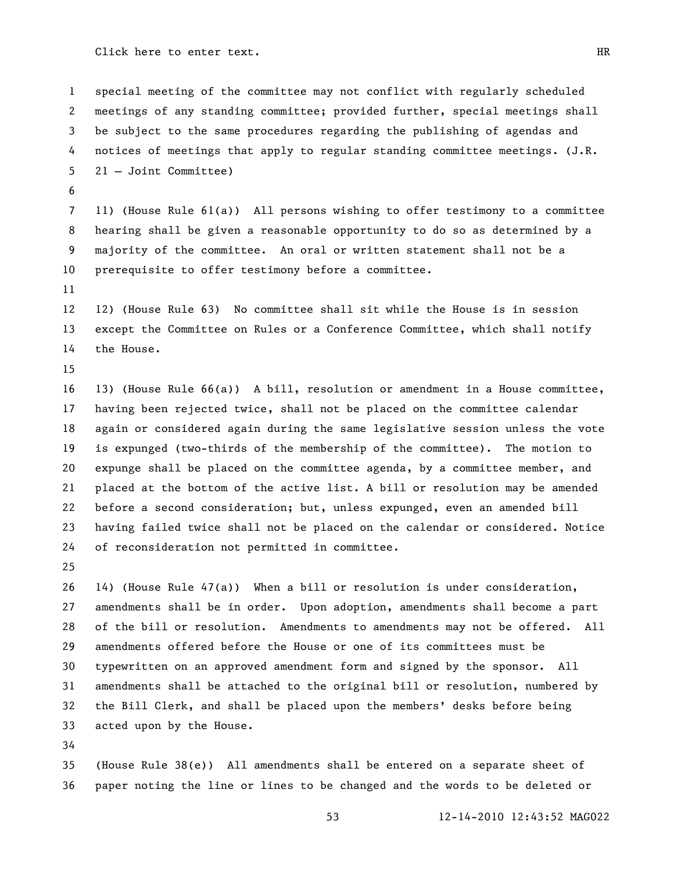special meeting of the committee may not conflict with regularly scheduled meetings of any standing committee; provided further, special meetings shall be subject to the same procedures regarding the publishing of agendas and notices of meetings that apply to regular standing committee meetings. (J.R. 21 – Joint Committee)

 11) (House Rule 61(a)) All persons wishing to offer testimony to a committee hearing shall be given a reasonable opportunity to do so as determined by a majority of the committee. An oral or written statement shall not be a prerequisite to offer testimony before a committee.

 12) (House Rule 63) No committee shall sit while the House is in session except the Committee on Rules or a Conference Committee, which shall notify the House.

 13) (House Rule 66(a)) A bill, resolution or amendment in a House committee, having been rejected twice, shall not be placed on the committee calendar again or considered again during the same legislative session unless the vote is expunged (two-thirds of the membership of the committee). The motion to expunge shall be placed on the committee agenda, by a committee member, and placed at the bottom of the active list. A bill or resolution may be amended before a second consideration; but, unless expunged, even an amended bill having failed twice shall not be placed on the calendar or considered. Notice of reconsideration not permitted in committee.

 14) (House Rule 47(a)) When a bill or resolution is under consideration, amendments shall be in order. Upon adoption, amendments shall become a part of the bill or resolution. Amendments to amendments may not be offered. All amendments offered before the House or one of its committees must be typewritten on an approved amendment form and signed by the sponsor. All amendments shall be attached to the original bill or resolution, numbered by the Bill Clerk, and shall be placed upon the members' desks before being acted upon by the House.

 (House Rule 38(e)) All amendments shall be entered on a separate sheet of paper noting the line or lines to be changed and the words to be deleted or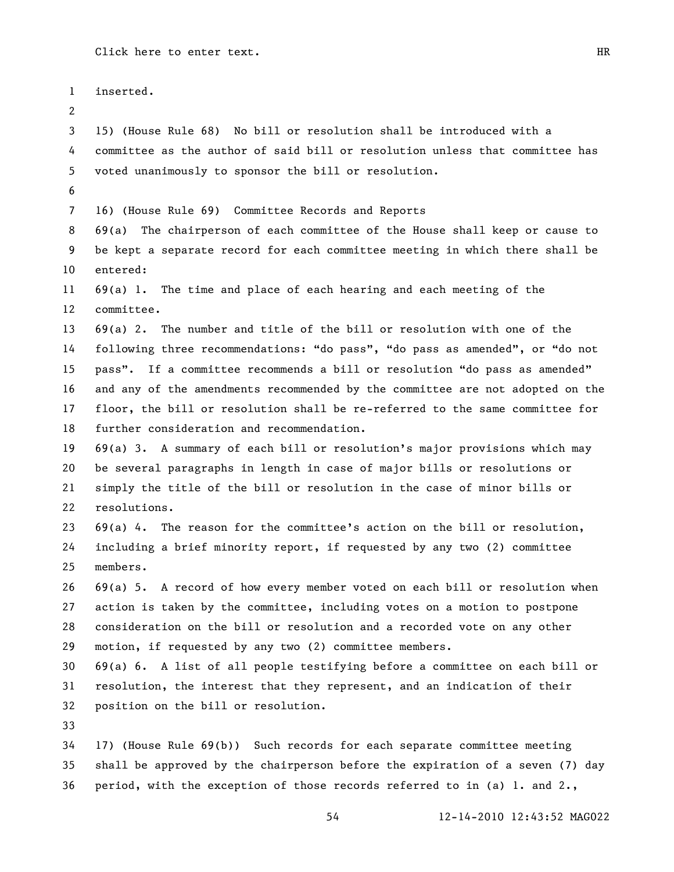| $\mathbf{1}$   | inserted.                                                                     |
|----------------|-------------------------------------------------------------------------------|
| 2              |                                                                               |
| 3              | 15) (House Rule 68) No bill or resolution shall be introduced with a          |
| 4              | committee as the author of said bill or resolution unless that committee has  |
| 5              | voted unanimously to sponsor the bill or resolution.                          |
| 6              |                                                                               |
| $\overline{7}$ | 16) (House Rule 69) Committee Records and Reports                             |
| 8              | 69(a) The chairperson of each committee of the House shall keep or cause to   |
| 9              | be kept a separate record for each committee meeting in which there shall be  |
| 10             | entered:                                                                      |
| 11             | $69(a)$ 1. The time and place of each hearing and each meeting of the         |
| 12             | committee.                                                                    |
| 13             | $69(a)$ 2. The number and title of the bill or resolution with one of the     |
| 14             | following three recommendations: "do pass", "do pass as amended", or "do not  |
| 15             | pass". If a committee recommends a bill or resolution "do pass as amended"    |
| 16             | and any of the amendments recommended by the committee are not adopted on the |
| 17             | floor, the bill or resolution shall be re-referred to the same committee for  |
| 18             | further consideration and recommendation.                                     |
| 19             | 69(a) 3. A summary of each bill or resolution's major provisions which may    |
| 20             | be several paragraphs in length in case of major bills or resolutions or      |
| 21             | simply the title of the bill or resolution in the case of minor bills or      |
| 22             | resolutions.                                                                  |
| 23             | $69(a)$ 4. The reason for the committee's action on the bill or resolution,   |
| 24             | including a brief minority report, if requested by any two (2) committee      |
| 25             | members.                                                                      |
| 26             | $69(a)$ 5. A record of how every member voted on each bill or resolution when |
| 27             | action is taken by the committee, including votes on a motion to postpone     |
| 28             | consideration on the bill or resolution and a recorded vote on any other      |
| 29             | motion, if requested by any two (2) committee members.                        |
| 30             | $69(a)$ 6. A list of all people testifying before a committee on each bill or |
| 31             | resolution, the interest that they represent, and an indication of their      |
| 32             | position on the bill or resolution.                                           |
| 33             |                                                                               |
| 34             | 17) (House Rule 69(b)) Such records for each separate committee meeting       |
| 35             | shall be approved by the chairperson before the expiration of a seven (7) day |
| 36             | period, with the exception of those records referred to in (a) 1. and 2.,     |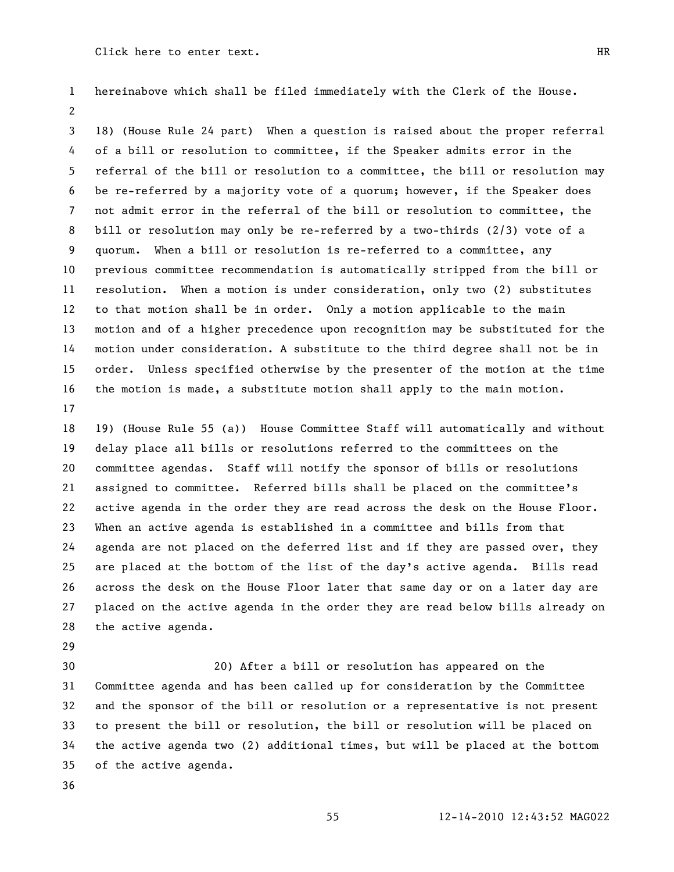hereinabove which shall be filed immediately with the Clerk of the House. 

 18) (House Rule 24 part) When a question is raised about the proper referral of a bill or resolution to committee, if the Speaker admits error in the referral of the bill or resolution to a committee, the bill or resolution may be re-referred by a majority vote of a quorum; however, if the Speaker does not admit error in the referral of the bill or resolution to committee, the bill or resolution may only be re-referred by a two-thirds (2/3) vote of a quorum. When a bill or resolution is re-referred to a committee, any previous committee recommendation is automatically stripped from the bill or resolution. When a motion is under consideration, only two (2) substitutes to that motion shall be in order. Only a motion applicable to the main motion and of a higher precedence upon recognition may be substituted for the motion under consideration. A substitute to the third degree shall not be in order. Unless specified otherwise by the presenter of the motion at the time the motion is made, a substitute motion shall apply to the main motion. 

 19) (House Rule 55 (a)) House Committee Staff will automatically and without delay place all bills or resolutions referred to the committees on the committee agendas. Staff will notify the sponsor of bills or resolutions assigned to committee. Referred bills shall be placed on the committee's active agenda in the order they are read across the desk on the House Floor. When an active agenda is established in a committee and bills from that agenda are not placed on the deferred list and if they are passed over, they are placed at the bottom of the list of the day's active agenda. Bills read across the desk on the House Floor later that same day or on a later day are placed on the active agenda in the order they are read below bills already on the active agenda.

 20) After a bill or resolution has appeared on the Committee agenda and has been called up for consideration by the Committee and the sponsor of the bill or resolution or a representative is not present to present the bill or resolution, the bill or resolution will be placed on the active agenda two (2) additional times, but will be placed at the bottom of the active agenda.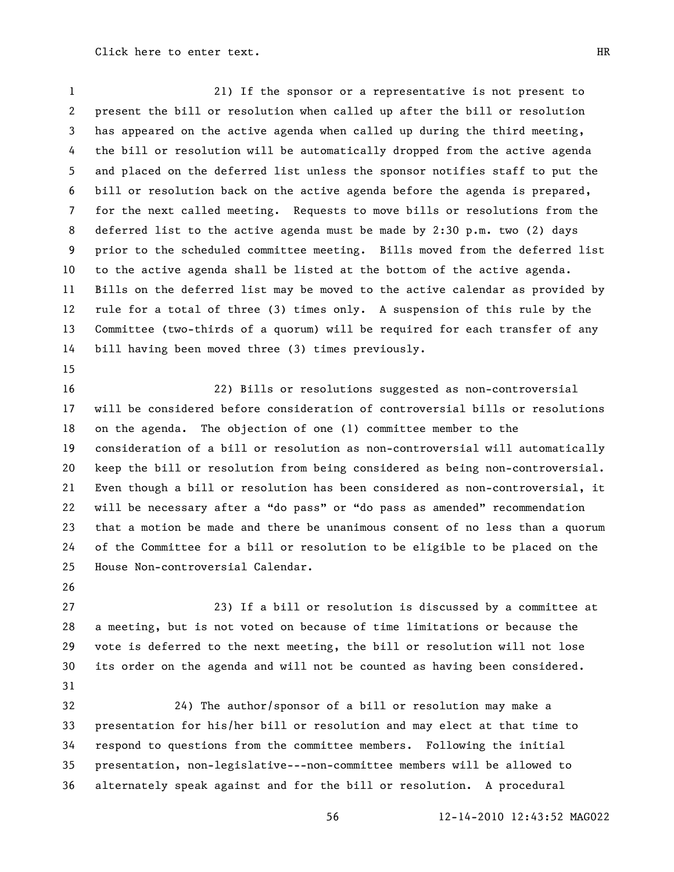21) If the sponsor or a representative is not present to present the bill or resolution when called up after the bill or resolution has appeared on the active agenda when called up during the third meeting, the bill or resolution will be automatically dropped from the active agenda and placed on the deferred list unless the sponsor notifies staff to put the bill or resolution back on the active agenda before the agenda is prepared, for the next called meeting. Requests to move bills or resolutions from the deferred list to the active agenda must be made by 2:30 p.m. two (2) days prior to the scheduled committee meeting. Bills moved from the deferred list to the active agenda shall be listed at the bottom of the active agenda. Bills on the deferred list may be moved to the active calendar as provided by rule for a total of three (3) times only. A suspension of this rule by the Committee (two-thirds of a quorum) will be required for each transfer of any bill having been moved three (3) times previously.

 22) Bills or resolutions suggested as non-controversial will be considered before consideration of controversial bills or resolutions on the agenda. The objection of one (1) committee member to the consideration of a bill or resolution as non-controversial will automatically keep the bill or resolution from being considered as being non-controversial. Even though a bill or resolution has been considered as non-controversial, it 22 will be necessary after a "do pass" or "do pass as amended" recommendation that a motion be made and there be unanimous consent of no less than a quorum of the Committee for a bill or resolution to be eligible to be placed on the House Non-controversial Calendar.

 23) If a bill or resolution is discussed by a committee at a meeting, but is not voted on because of time limitations or because the vote is deferred to the next meeting, the bill or resolution will not lose its order on the agenda and will not be counted as having been considered. 

 24) The author/sponsor of a bill or resolution may make a presentation for his/her bill or resolution and may elect at that time to respond to questions from the committee members. Following the initial presentation, non-legislative---non-committee members will be allowed to alternately speak against and for the bill or resolution. A procedural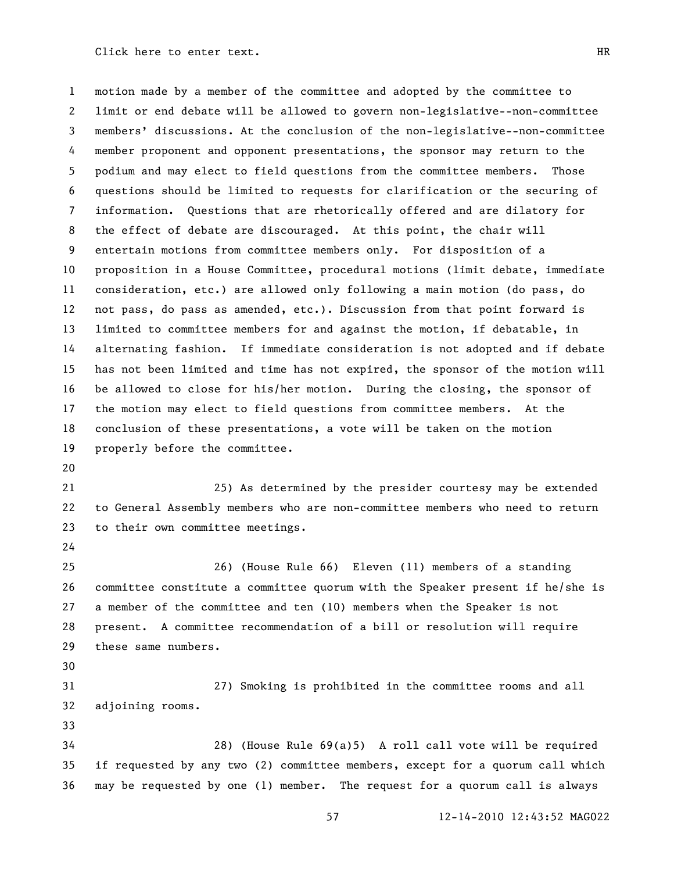motion made by a member of the committee and adopted by the committee to limit or end debate will be allowed to govern non-legislative--non-committee members' discussions. At the conclusion of the non-legislative--non-committee member proponent and opponent presentations, the sponsor may return to the podium and may elect to field questions from the committee members. Those questions should be limited to requests for clarification or the securing of information. Questions that are rhetorically offered and are dilatory for the effect of debate are discouraged. At this point, the chair will entertain motions from committee members only. For disposition of a proposition in a House Committee, procedural motions (limit debate, immediate consideration, etc.) are allowed only following a main motion (do pass, do not pass, do pass as amended, etc.). Discussion from that point forward is limited to committee members for and against the motion, if debatable, in alternating fashion. If immediate consideration is not adopted and if debate has not been limited and time has not expired, the sponsor of the motion will be allowed to close for his/her motion. During the closing, the sponsor of the motion may elect to field questions from committee members. At the conclusion of these presentations, a vote will be taken on the motion properly before the committee.

 25) As determined by the presider courtesy may be extended to General Assembly members who are non-committee members who need to return to their own committee meetings.

26) (House Rule 66) Eleven (11) members of a standing

 committee constitute a committee quorum with the Speaker present if he/she is a member of the committee and ten (10) members when the Speaker is not present. A committee recommendation of a bill or resolution will require these same numbers.

 27) Smoking is prohibited in the committee rooms and all adjoining rooms.

 28) (House Rule 69(a)5) A roll call vote will be required if requested by any two (2) committee members, except for a quorum call which may be requested by one (1) member. The request for a quorum call is always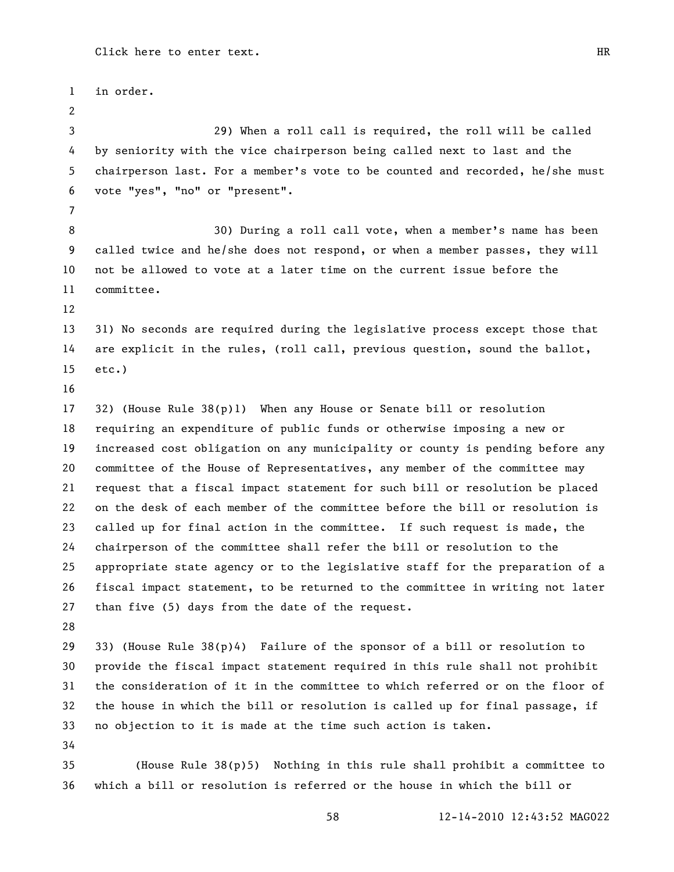in order. 29) When a roll call is required, the roll will be called by seniority with the vice chairperson being called next to last and the chairperson last. For a member's vote to be counted and recorded, he/she must vote "yes", "no" or "present". 30) During a roll call vote, when a member's name has been called twice and he/she does not respond, or when a member passes, they will not be allowed to vote at a later time on the current issue before the committee. 31) No seconds are required during the legislative process except those that are explicit in the rules, (roll call, previous question, sound the ballot, etc.) 32) (House Rule 38(p)1) When any House or Senate bill or resolution requiring an expenditure of public funds or otherwise imposing a new or increased cost obligation on any municipality or county is pending before any committee of the House of Representatives, any member of the committee may request that a fiscal impact statement for such bill or resolution be placed on the desk of each member of the committee before the bill or resolution is called up for final action in the committee. If such request is made, the chairperson of the committee shall refer the bill or resolution to the appropriate state agency or to the legislative staff for the preparation of a fiscal impact statement, to be returned to the committee in writing not later than five (5) days from the date of the request. 33) (House Rule 38(p)4) Failure of the sponsor of a bill or resolution to provide the fiscal impact statement required in this rule shall not prohibit the consideration of it in the committee to which referred or on the floor of the house in which the bill or resolution is called up for final passage, if no objection to it is made at the time such action is taken. (House Rule 38(p)5) Nothing in this rule shall prohibit a committee to which a bill or resolution is referred or the house in which the bill or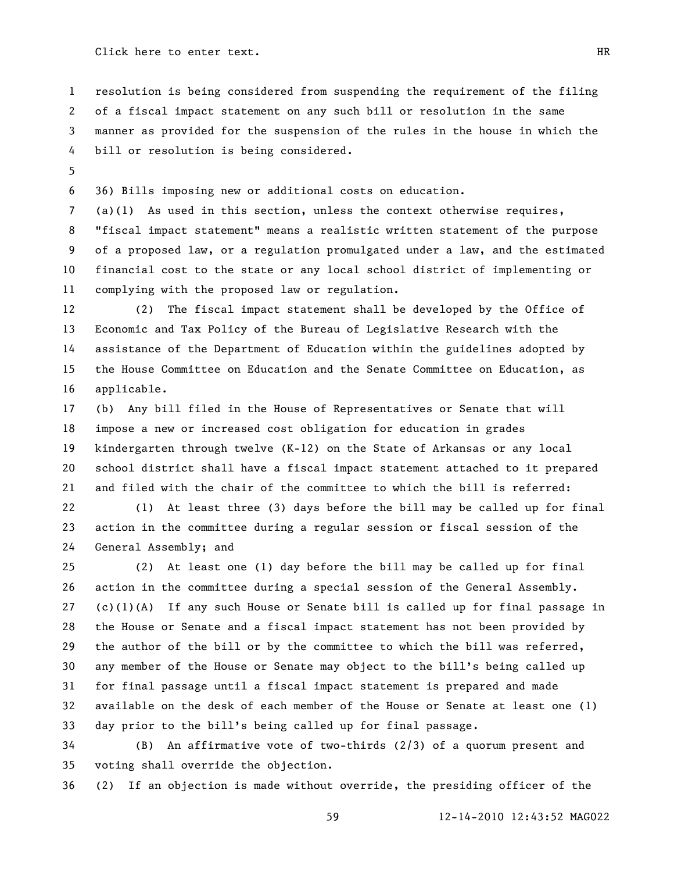resolution is being considered from suspending the requirement of the filing of a fiscal impact statement on any such bill or resolution in the same manner as provided for the suspension of the rules in the house in which the bill or resolution is being considered.

36) Bills imposing new or additional costs on education.

 (a)(1) As used in this section, unless the context otherwise requires, "fiscal impact statement" means a realistic written statement of the purpose of a proposed law, or a regulation promulgated under a law, and the estimated financial cost to the state or any local school district of implementing or complying with the proposed law or regulation.

 (2) The fiscal impact statement shall be developed by the Office of Economic and Tax Policy of the Bureau of Legislative Research with the assistance of the Department of Education within the guidelines adopted by the House Committee on Education and the Senate Committee on Education, as applicable.

 (b) Any bill filed in the House of Representatives or Senate that will impose a new or increased cost obligation for education in grades kindergarten through twelve (K-12) on the State of Arkansas or any local school district shall have a fiscal impact statement attached to it prepared and filed with the chair of the committee to which the bill is referred:

 (1) At least three (3) days before the bill may be called up for final action in the committee during a regular session or fiscal session of the General Assembly; and

 (2) At least one (1) day before the bill may be called up for final action in the committee during a special session of the General Assembly. 27 (c)(1)(A) If any such House or Senate bill is called up for final passage in the House or Senate and a fiscal impact statement has not been provided by the author of the bill or by the committee to which the bill was referred, any member of the House or Senate may object to the bill's being called up for final passage until a fiscal impact statement is prepared and made available on the desk of each member of the House or Senate at least one (1) day prior to the bill's being called up for final passage.

 (B) An affirmative vote of two-thirds (2/3) of a quorum present and voting shall override the objection.

(2) If an objection is made without override, the presiding officer of the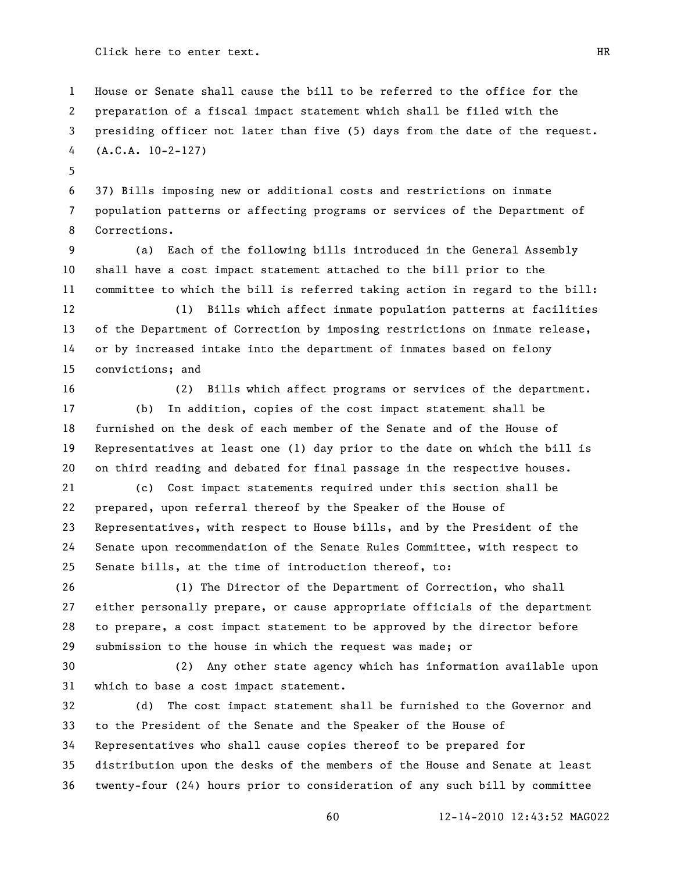House or Senate shall cause the bill to be referred to the office for the preparation of a fiscal impact statement which shall be filed with the presiding officer not later than five (5) days from the date of the request. (A.C.A. 10-2-127)

 37) Bills imposing new or additional costs and restrictions on inmate population patterns or affecting programs or services of the Department of Corrections.

 (a) Each of the following bills introduced in the General Assembly shall have a cost impact statement attached to the bill prior to the committee to which the bill is referred taking action in regard to the bill:

 (1) Bills which affect inmate population patterns at facilities of the Department of Correction by imposing restrictions on inmate release, or by increased intake into the department of inmates based on felony convictions; and

 (2) Bills which affect programs or services of the department. (b) In addition, copies of the cost impact statement shall be furnished on the desk of each member of the Senate and of the House of Representatives at least one (1) day prior to the date on which the bill is on third reading and debated for final passage in the respective houses.

 (c) Cost impact statements required under this section shall be prepared, upon referral thereof by the Speaker of the House of Representatives, with respect to House bills, and by the President of the Senate upon recommendation of the Senate Rules Committee, with respect to Senate bills, at the time of introduction thereof, to:

 (1) The Director of the Department of Correction, who shall either personally prepare, or cause appropriate officials of the department to prepare, a cost impact statement to be approved by the director before submission to the house in which the request was made; or

 (2) Any other state agency which has information available upon which to base a cost impact statement.

 (d) The cost impact statement shall be furnished to the Governor and to the President of the Senate and the Speaker of the House of Representatives who shall cause copies thereof to be prepared for distribution upon the desks of the members of the House and Senate at least twenty-four (24) hours prior to consideration of any such bill by committee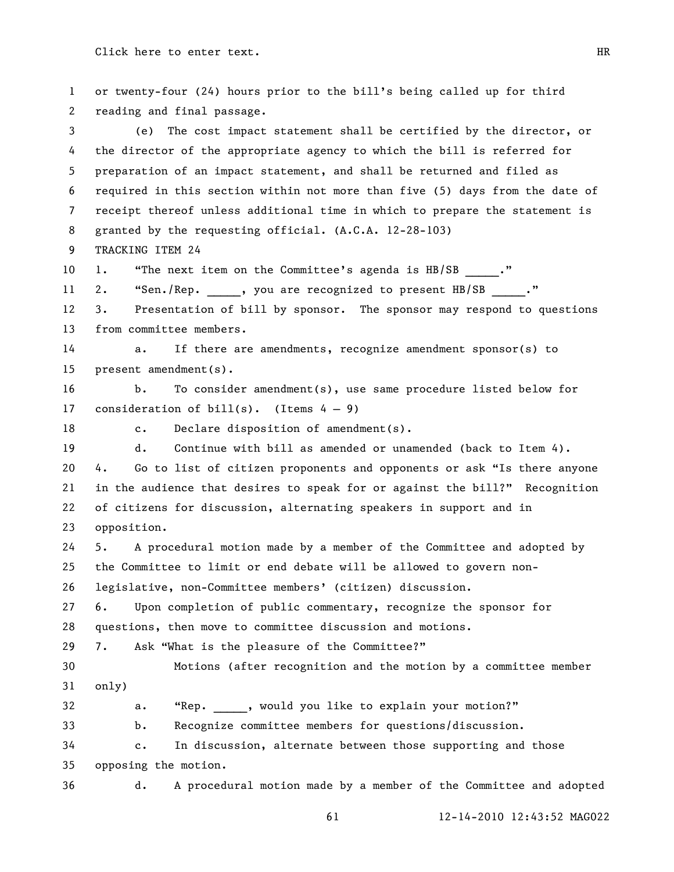or twenty-four (24) hours prior to the bill's being called up for third reading and final passage. (e) The cost impact statement shall be certified by the director, or the director of the appropriate agency to which the bill is referred for preparation of an impact statement, and shall be returned and filed as required in this section within not more than five (5) days from the date of receipt thereof unless additional time in which to prepare the statement is granted by the requesting official. (A.C.A. 12-28-103) TRACKING ITEM 24 10 1. "The next item on the Committee's agenda is HB/SB ." 11 2. "Sen./Rep. , you are recognized to present HB/SB ." 3. Presentation of bill by sponsor. The sponsor may respond to questions from committee members. a. If there are amendments, recognize amendment sponsor(s) to present amendment(s). b. To consider amendment(s), use same procedure listed below for 17 consideration of  $\text{bill}(s)$ . (Items  $4 - 9$ ) 18 c. Declare disposition of amendment(s). d. Continue with bill as amended or unamended (back to Item 4). 20 4. Go to list of citizen proponents and opponents or ask "Is there anyone 21 in the audience that desires to speak for or against the bill?" Recognition of citizens for discussion, alternating speakers in support and in opposition. 5. A procedural motion made by a member of the Committee and adopted by the Committee to limit or end debate will be allowed to govern non- legislative, non-Committee members' (citizen) discussion. 6. Upon completion of public commentary, recognize the sponsor for questions, then move to committee discussion and motions. 29 7. Ask "What is the pleasure of the Committee?" Motions (after recognition and the motion by a committee member only) 32 a. "Rep. , would you like to explain your motion?" b. Recognize committee members for questions/discussion. c. In discussion, alternate between those supporting and those opposing the motion. d. A procedural motion made by a member of the Committee and adopted